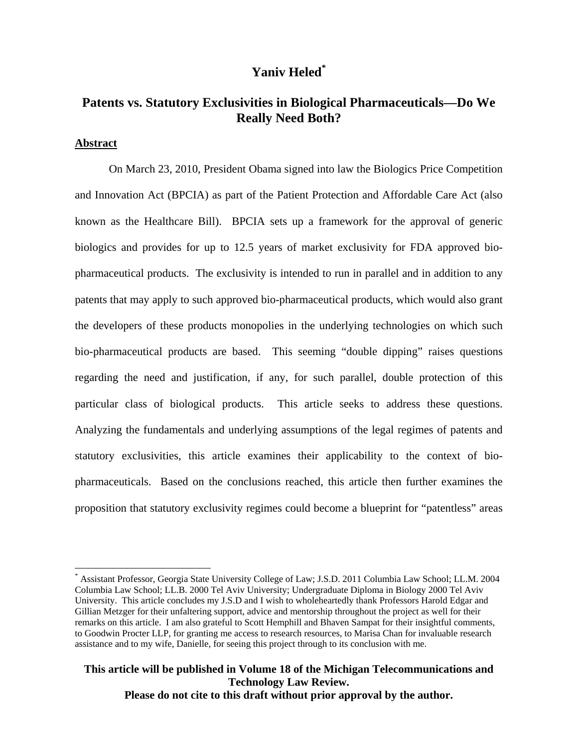# **Yaniv Heled\***

# **Patents vs. Statutory Exclusivities in Biological Pharmaceuticals—Do We Really Need Both?**

### **Abstract**

 $\overline{a}$ 

On March 23, 2010, President Obama signed into law the Biologics Price Competition and Innovation Act (BPCIA) as part of the Patient Protection and Affordable Care Act (also known as the Healthcare Bill). BPCIA sets up a framework for the approval of generic biologics and provides for up to 12.5 years of market exclusivity for FDA approved biopharmaceutical products. The exclusivity is intended to run in parallel and in addition to any patents that may apply to such approved bio-pharmaceutical products, which would also grant the developers of these products monopolies in the underlying technologies on which such bio-pharmaceutical products are based. This seeming "double dipping" raises questions regarding the need and justification, if any, for such parallel, double protection of this particular class of biological products. This article seeks to address these questions. Analyzing the fundamentals and underlying assumptions of the legal regimes of patents and statutory exclusivities, this article examines their applicability to the context of biopharmaceuticals. Based on the conclusions reached, this article then further examines the proposition that statutory exclusivity regimes could become a blueprint for "patentless" areas

<sup>\*</sup> Assistant Professor, Georgia State University College of Law; J.S.D. 2011 Columbia Law School; LL.M. 2004 Columbia Law School; LL.B. 2000 Tel Aviv University; Undergraduate Diploma in Biology 2000 Tel Aviv University. This article concludes my J.S.D and I wish to wholeheartedly thank Professors Harold Edgar and Gillian Metzger for their unfaltering support, advice and mentorship throughout the project as well for their remarks on this article. I am also grateful to Scott Hemphill and Bhaven Sampat for their insightful comments, to Goodwin Procter LLP, for granting me access to research resources, to Marisa Chan for invaluable research assistance and to my wife, Danielle, for seeing this project through to its conclusion with me.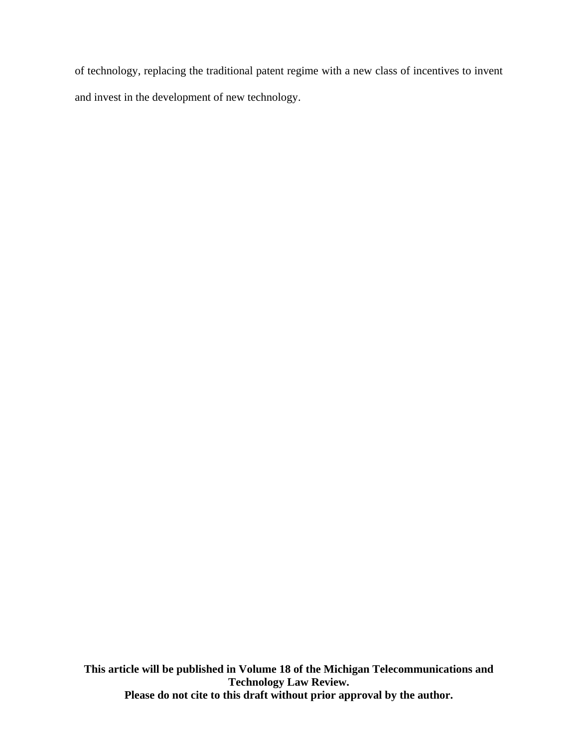of technology, replacing the traditional patent regime with a new class of incentives to invent and invest in the development of new technology.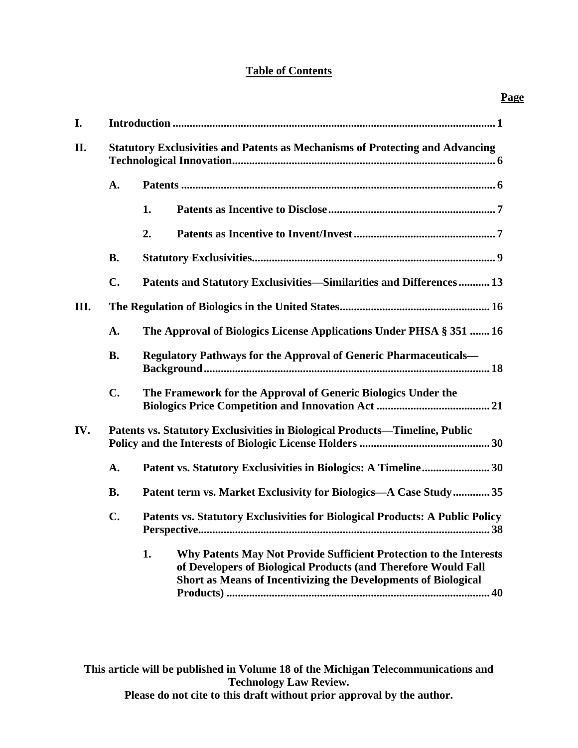# **Table of Contents**

| I.  |                                                                             |                                                                                                                                                                                                              |  |  |  |
|-----|-----------------------------------------------------------------------------|--------------------------------------------------------------------------------------------------------------------------------------------------------------------------------------------------------------|--|--|--|
| II. |                                                                             | <b>Statutory Exclusivities and Patents as Mechanisms of Protecting and Advancing</b>                                                                                                                         |  |  |  |
|     | A.                                                                          |                                                                                                                                                                                                              |  |  |  |
|     |                                                                             | 1.                                                                                                                                                                                                           |  |  |  |
|     |                                                                             | 2.                                                                                                                                                                                                           |  |  |  |
|     | <b>B.</b>                                                                   |                                                                                                                                                                                                              |  |  |  |
|     | $C_{\bullet}$                                                               | Patents and Statutory Exclusivities-Similarities and Differences 13                                                                                                                                          |  |  |  |
| Ш.  |                                                                             |                                                                                                                                                                                                              |  |  |  |
|     | A.                                                                          | The Approval of Biologics License Applications Under PHSA § 351  16                                                                                                                                          |  |  |  |
|     | <b>B.</b>                                                                   | Regulatory Pathways for the Approval of Generic Pharmaceuticals-                                                                                                                                             |  |  |  |
|     | $C_{\bullet}$                                                               | The Framework for the Approval of Generic Biologics Under the                                                                                                                                                |  |  |  |
| IV. | Patents vs. Statutory Exclusivities in Biological Products-Timeline, Public |                                                                                                                                                                                                              |  |  |  |
|     | A.                                                                          |                                                                                                                                                                                                              |  |  |  |
|     | <b>B.</b>                                                                   | Patent term vs. Market Exclusivity for Biologics—A Case Study 35                                                                                                                                             |  |  |  |
|     | $\mathbf{C}$ .                                                              | Patents vs. Statutory Exclusivities for Biological Products: A Public Policy                                                                                                                                 |  |  |  |
|     |                                                                             | 1.<br>Why Patents May Not Provide Sufficient Protection to the Interests<br>of Developers of Biological Products (and Therefore Would Fall<br>Short as Means of Incentivizing the Developments of Biological |  |  |  |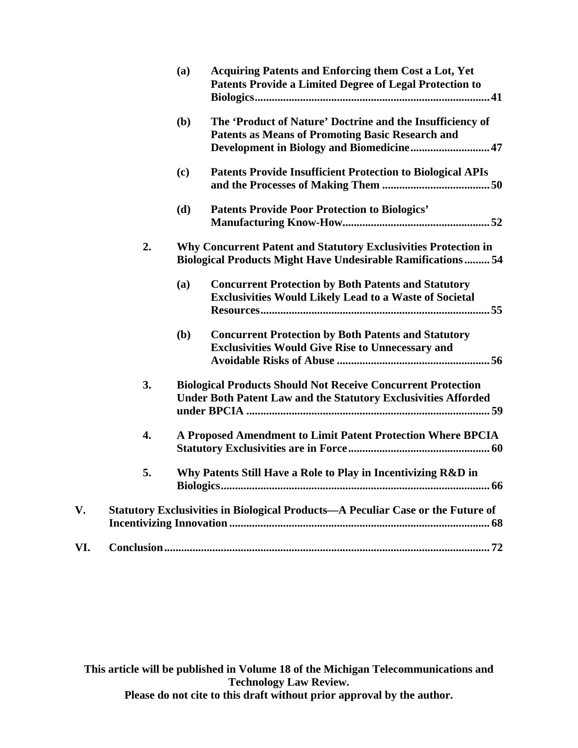|     |                  | (a)                                                                                                                                          | Acquiring Patents and Enforcing them Cost a Lot, Yet<br><b>Patents Provide a Limited Degree of Legal Protection to</b>                |  |
|-----|------------------|----------------------------------------------------------------------------------------------------------------------------------------------|---------------------------------------------------------------------------------------------------------------------------------------|--|
|     |                  | (b)                                                                                                                                          | The 'Product of Nature' Doctrine and the Insufficiency of<br><b>Patents as Means of Promoting Basic Research and</b>                  |  |
|     |                  | (c)                                                                                                                                          | <b>Patents Provide Insufficient Protection to Biological APIs</b>                                                                     |  |
|     |                  | (d)                                                                                                                                          | <b>Patents Provide Poor Protection to Biologics'</b>                                                                                  |  |
|     | 2.               |                                                                                                                                              | Why Concurrent Patent and Statutory Exclusivities Protection in<br><b>Biological Products Might Have Undesirable Ramifications 54</b> |  |
|     |                  | (a)                                                                                                                                          | <b>Concurrent Protection by Both Patents and Statutory</b><br><b>Exclusivities Would Likely Lead to a Waste of Societal</b>           |  |
|     |                  | (b)                                                                                                                                          | <b>Concurrent Protection by Both Patents and Statutory</b><br><b>Exclusivities Would Give Rise to Unnecessary and</b>                 |  |
|     | 3.               | <b>Biological Products Should Not Receive Concurrent Protection</b><br><b>Under Both Patent Law and the Statutory Exclusivities Afforded</b> |                                                                                                                                       |  |
|     | $\overline{4}$ . | A Proposed Amendment to Limit Patent Protection Where BPCIA                                                                                  |                                                                                                                                       |  |
|     | 5.               | Why Patents Still Have a Role to Play in Incentivizing R&D in                                                                                |                                                                                                                                       |  |
| V.  |                  | Statutory Exclusivities in Biological Products-A Peculiar Case or the Future of                                                              |                                                                                                                                       |  |
| VI. |                  |                                                                                                                                              |                                                                                                                                       |  |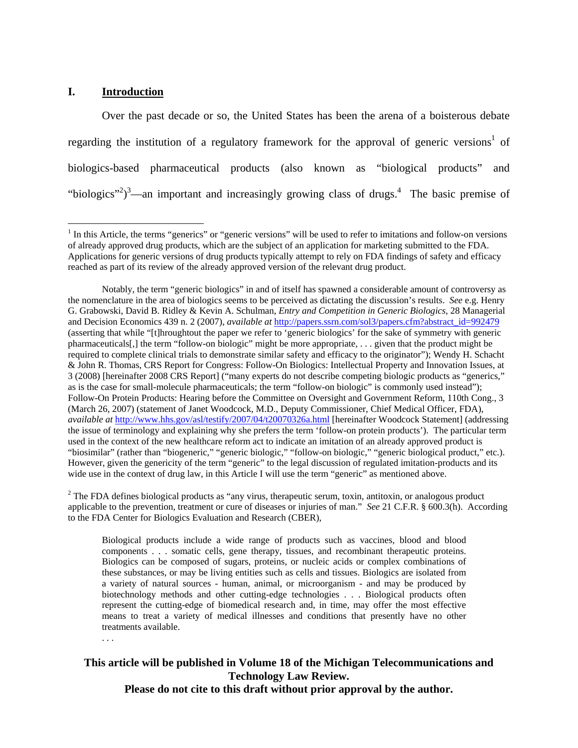#### **I. Introduction**

. . .

 $\overline{a}$ 

Over the past decade or so, the United States has been the arena of a boisterous debate regarding the institution of a regulatory framework for the approval of generic versions<sup>1</sup> of biologics-based pharmaceutical products (also known as "biological products" and "biologics"<sup>2</sup>)<sup>3</sup>—an important and increasingly growing class of drugs.<sup>4</sup> The basic premise of

 $2^2$  The FDA defines biological products as "any virus, therapeutic serum, toxin, antitoxin, or analogous product applicable to the prevention, treatment or cure of diseases or injuries of man." *See* 21 C.F.R. § 600.3(h). According to the FDA Center for Biologics Evaluation and Research (CBER),

Biological products include a wide range of products such as vaccines, blood and blood components . . . somatic cells, gene therapy, tissues, and recombinant therapeutic proteins. Biologics can be composed of sugars, proteins, or nucleic acids or complex combinations of these substances, or may be living entities such as cells and tissues. Biologics are isolated from a variety of natural sources - human, animal, or microorganism - and may be produced by biotechnology methods and other cutting-edge technologies . . . Biological products often represent the cutting-edge of biomedical research and, in time, may offer the most effective means to treat a variety of medical illnesses and conditions that presently have no other treatments available.

<sup>&</sup>lt;sup>1</sup> In this Article, the terms "generics" or "generic versions" will be used to refer to imitations and follow-on versions of already approved drug products, which are the subject of an application for marketing submitted to the FDA. Applications for generic versions of drug products typically attempt to rely on FDA findings of safety and efficacy reached as part of its review of the already approved version of the relevant drug product.

Notably, the term "generic biologics" in and of itself has spawned a considerable amount of controversy as the nomenclature in the area of biologics seems to be perceived as dictating the discussion's results. *See* e.g. Henry G. Grabowski, David B. Ridley & Kevin A. Schulman, *Entry and Competition in Generic Biologics*, 28 Managerial and Decision Economics 439 n. 2 (2007), *available at http://papers.ssrn.com/sol3/papers.cfm?abstract\_id=992479* (asserting that while "[t]hroughtout the paper we refer to 'generic biologics' for the sake of symmetry with generic pharmaceuticals[,] the term "follow-on biologic" might be more appropriate, . . . given that the product might be required to complete clinical trials to demonstrate similar safety and efficacy to the originator"); Wendy H. Schacht & John R. Thomas, CRS Report for Congress: Follow-On Biologics: Intellectual Property and Innovation Issues, at 3 (2008) [hereinafter 2008 CRS Report] ("many experts do not describe competing biologic products as "generics," as is the case for small-molecule pharmaceuticals; the term "follow-on biologic" is commonly used instead"); Follow-On Protein Products: Hearing before the Committee on Oversight and Government Reform, 110th Cong., 3 (March 26, 2007) (statement of Janet Woodcock, M.D., Deputy Commissioner, Chief Medical Officer, FDA), *available at* http://www.hhs.gov/asl/testify/2007/04/t20070326a.html [hereinafter Woodcock Statement] (addressing the issue of terminology and explaining why she prefers the term 'follow-on protein products'). The particular term used in the context of the new healthcare reform act to indicate an imitation of an already approved product is "biosimilar" (rather than "biogeneric," "generic biologic," "follow-on biologic," "generic biological product," etc.). However, given the genericity of the term "generic" to the legal discussion of regulated imitation-products and its wide use in the context of drug law, in this Article I will use the term "generic" as mentioned above.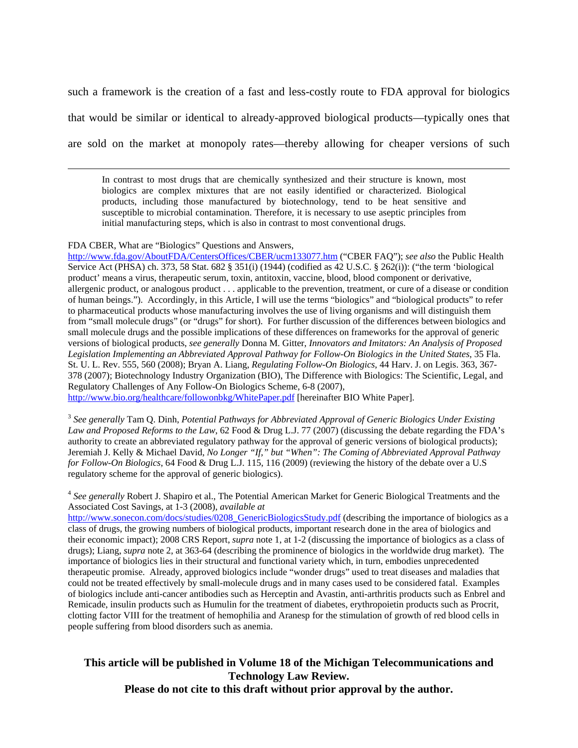such a framework is the creation of a fast and less-costly route to FDA approval for biologics that would be similar or identical to already-approved biological products—typically ones that are sold on the market at monopoly rates—thereby allowing for cheaper versions of such

 In contrast to most drugs that are chemically synthesized and their structure is known, most biologics are complex mixtures that are not easily identified or characterized. Biological products, including those manufactured by biotechnology, tend to be heat sensitive and susceptible to microbial contamination. Therefore, it is necessary to use aseptic principles from initial manufacturing steps, which is also in contrast to most conventional drugs.

#### FDA CBER, What are "Biologics" Questions and Answers,

http://www.fda.gov/AboutFDA/CentersOffices/CBER/ucm133077.htm ("CBER FAQ"); *see also* the Public Health Service Act (PHSA) ch. 373, 58 Stat. 682 § 351(i) (1944) (codified as 42 U.S.C. § 262(i)): ("the term 'biological product' means a virus, therapeutic serum, toxin, antitoxin, vaccine, blood, blood component or derivative, allergenic product, or analogous product . . . applicable to the prevention, treatment, or cure of a disease or condition of human beings."). Accordingly, in this Article, I will use the terms "biologics" and "biological products" to refer to pharmaceutical products whose manufacturing involves the use of living organisms and will distinguish them from "small molecule drugs" (or "drugs" for short). For further discussion of the differences between biologics and small molecule drugs and the possible implications of these differences on frameworks for the approval of generic versions of biological products, *see generally* Donna M. Gitter, *Innovators and Imitators: An Analysis of Proposed Legislation Implementing an Abbreviated Approval Pathway for Follow-On Biologics in the United States*, 35 Fla. St. U. L. Rev. 555, 560 (2008); Bryan A. Liang, *Regulating Follow-On Biologics*, 44 Harv. J. on Legis. 363, 367- 378 (2007); Biotechnology Industry Organization (BIO), The Difference with Biologics: The Scientific, Legal, and Regulatory Challenges of Any Follow-On Biologics Scheme, 6-8 (2007),

http://www.bio.org/healthcare/followonbkg/WhitePaper.pdf [hereinafter BIO White Paper].

<sup>3</sup> *See generally* Tam Q. Dinh, *Potential Pathways for Abbreviated Approval of Generic Biologics Under Existing Law and Proposed Reforms to the Law*, 62 Food & Drug L.J. 77 (2007) (discussing the debate regarding the FDA's authority to create an abbreviated regulatory pathway for the approval of generic versions of biological products); Jeremiah J. Kelly & Michael David, *No Longer "If," but "When": The Coming of Abbreviated Approval Pathway for Follow-On Biologics*, 64 Food & Drug L.J. 115, 116 (2009) (reviewing the history of the debate over a U.S regulatory scheme for the approval of generic biologics).

<sup>4</sup> See generally Robert J. Shapiro et al., The Potential American Market for Generic Biological Treatments and the Associated Cost Savings, at 1-3 (2008), *available at*

http://www.sonecon.com/docs/studies/0208\_GenericBiologicsStudy.pdf (describing the importance of biologics as a class of drugs, the growing numbers of biological products, important research done in the area of biologics and their economic impact); 2008 CRS Report, *supra* note 1, at 1-2 (discussing the importance of biologics as a class of drugs); Liang, *supra* note 2, at 363-64 (describing the prominence of biologics in the worldwide drug market). The importance of biologics lies in their structural and functional variety which, in turn, embodies unprecedented therapeutic promise. Already, approved biologics include "wonder drugs" used to treat diseases and maladies that could not be treated effectively by small-molecule drugs and in many cases used to be considered fatal. Examples of biologics include anti-cancer antibodies such as Herceptin and Avastin, anti-arthritis products such as Enbrel and Remicade, insulin products such as Humulin for the treatment of diabetes, erythropoietin products such as Procrit, clotting factor VIII for the treatment of hemophilia and Aranesp for the stimulation of growth of red blood cells in people suffering from blood disorders such as anemia.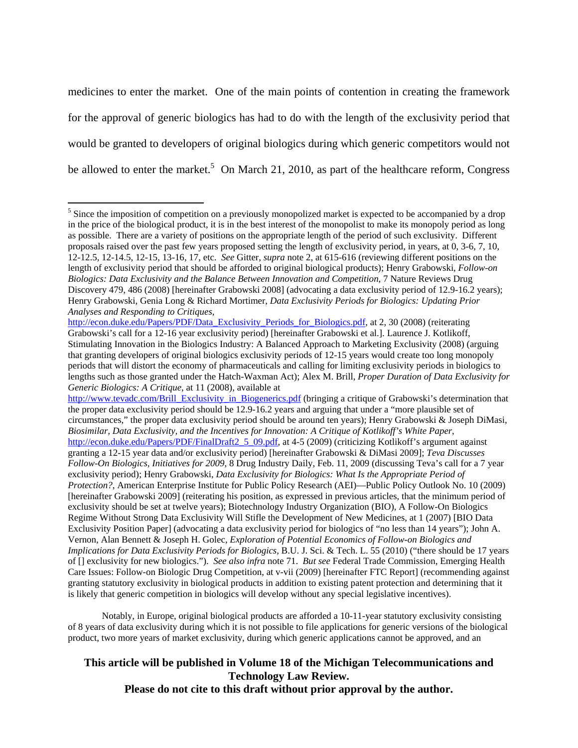medicines to enter the market. One of the main points of contention in creating the framework for the approval of generic biologics has had to do with the length of the exclusivity period that would be granted to developers of original biologics during which generic competitors would not be allowed to enter the market.<sup>5</sup> On March 21, 2010, as part of the healthcare reform, Congress

http://www.tevadc.com/Brill\_Exclusivity\_in\_Biogenerics.pdf (bringing a critique of Grabowski's determination that the proper data exclusivity period should be 12.9-16.2 years and arguing that under a "more plausible set of circumstances," the proper data exclusivity period should be around ten years); Henry Grabowski & Joseph DiMasi, *Biosimilar, Data Exclusivity, and the Incentives for Innovation: A Critique of Kotlikoff's White Paper*, http://econ.duke.edu/Papers/PDF/FinalDraft2\_5\_09.pdf, at 4-5 (2009) (criticizing Kotlikoff's argument against granting a 12-15 year data and/or exclusivity period) [hereinafter Grabowski & DiMasi 2009]; *Teva Discusses Follow-On Biologics, Initiatives for 2009*, 8 Drug Industry Daily, Feb. 11, 2009 (discussing Teva's call for a 7 year exclusivity period); Henry Grabowski, *Data Exclusivity for Biologics: What Is the Appropriate Period of Protection?*, American Enterprise Institute for Public Policy Research (AEI)—Public Policy Outlook No. 10 (2009) [hereinafter Grabowski 2009] (reiterating his position, as expressed in previous articles, that the minimum period of exclusivity should be set at twelve years); Biotechnology Industry Organization (BIO), A Follow-On Biologics Regime Without Strong Data Exclusivity Will Stifle the Development of New Medicines, at 1 (2007) [BIO Data Exclusivity Position Paper] (advocating a data exclusivity period for biologics of "no less than 14 years"); John A. Vernon, Alan Bennett & Joseph H. Golec, *Exploration of Potential Economics of Follow-on Biologics and Implications for Data Exclusivity Periods for Biologics,* B.U. J. Sci. & Tech. L. 55 (2010) ("there should be 17 years of [] exclusivity for new biologics."). *See also infra* note 71. *But see* Federal Trade Commission, Emerging Health Care Issues: Follow-on Biologic Drug Competition, at v-vii (2009) [hereinafter FTC Report] (recommending against granting statutory exclusivity in biological products in addition to existing patent protection and determining that it is likely that generic competition in biologics will develop without any special legislative incentives).

Notably, in Europe, original biological products are afforded a 10-11-year statutory exclusivity consisting of 8 years of data exclusivity during which it is not possible to file applications for generic versions of the biological product, two more years of market exclusivity, during which generic applications cannot be approved, and an

<sup>&</sup>lt;sup>5</sup> Since the imposition of competition on a previously monopolized market is expected to be accompanied by a drop in the price of the biological product, it is in the best interest of the monopolist to make its monopoly period as long as possible. There are a variety of positions on the appropriate length of the period of such exclusivity. Different proposals raised over the past few years proposed setting the length of exclusivity period, in years, at 0, 3-6, 7, 10, 12-12.5, 12-14.5, 12-15, 13-16, 17, etc. *See* Gitter, *supra* note 2, at 615-616 (reviewing different positions on the length of exclusivity period that should be afforded to original biological products); Henry Grabowski, *Follow-on Biologics: Data Exclusivity and the Balance Between Innovation and Competition*, 7 Nature Reviews Drug Discovery 479, 486 (2008) [hereinafter Grabowski 2008] (advocating a data exclusivity period of 12.9-16.2 years); Henry Grabowski, Genia Long & Richard Mortimer, *Data Exclusivity Periods for Biologics: Updating Prior Analyses and Responding to Critiques*,

http://econ.duke.edu/Papers/PDF/Data\_Exclusivity\_Periods\_for\_Biologics.pdf, at 2, 30 (2008) (reiterating Grabowski's call for a 12-16 year exclusivity period) [hereinafter Grabowski et al.]. Laurence J. Kotlikoff, Stimulating Innovation in the Biologics Industry: A Balanced Approach to Marketing Exclusivity (2008) (arguing that granting developers of original biologics exclusivity periods of 12-15 years would create too long monopoly periods that will distort the economy of pharmaceuticals and calling for limiting exclusivity periods in biologics to lengths such as those granted under the Hatch-Waxman Act); Alex M. Brill, *Proper Duration of Data Exclusivity for Generic Biologics: A Critique*, at 11 (2008), available at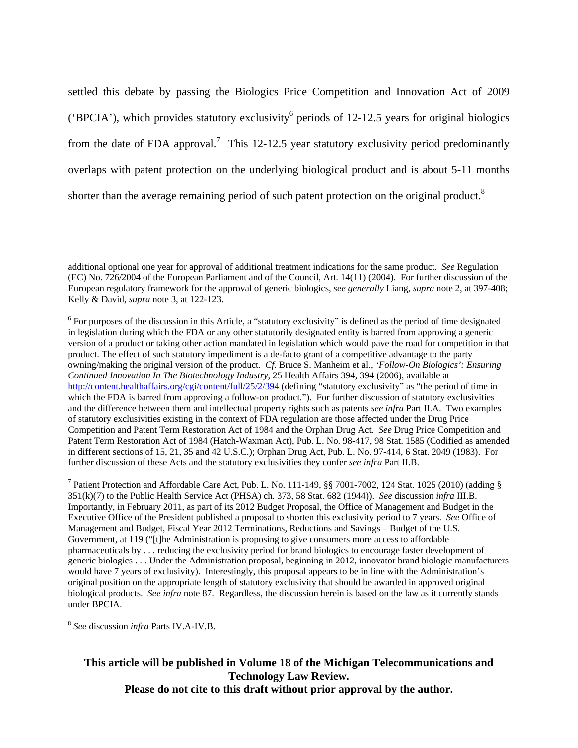settled this debate by passing the Biologics Price Competition and Innovation Act of 2009 ('BPCIA'), which provides statutory exclusivity<sup>6</sup> periods of 12-12.5 years for original biologics from the date of FDA approval.<sup>7</sup> This 12-12.5 year statutory exclusivity period predominantly overlaps with patent protection on the underlying biological product and is about 5-11 months shorter than the average remaining period of such patent protection on the original product.<sup>8</sup>

<sup>6</sup> For purposes of the discussion in this Article, a "statutory exclusivity" is defined as the period of time designated in legislation during which the FDA or any other statutorily designated entity is barred from approving a generic version of a product or taking other action mandated in legislation which would pave the road for competition in that product. The effect of such statutory impediment is a de-facto grant of a competitive advantage to the party owning/making the original version of the product. *Cf*. Bruce S. Manheim et al., *'Follow-On Biologics': Ensuring Continued Innovation In The Biotechnology Industry*, 25 Health Affairs 394, 394 (2006), available at http://content.healthaffairs.org/cgi/content/full/25/2/394 (defining "statutory exclusivity" as "the period of time in which the FDA is barred from approving a follow-on product."). For further discussion of statutory exclusivities and the difference between them and intellectual property rights such as patents *see infra* Part II.A. Two examples of statutory exclusivities existing in the context of FDA regulation are those affected under the Drug Price Competition and Patent Term Restoration Act of 1984 and the Orphan Drug Act. *See* Drug Price Competition and Patent Term Restoration Act of 1984 (Hatch-Waxman Act), Pub. L. No. 98-417, 98 Stat. 1585 (Codified as amended in different sections of 15, 21, 35 and 42 U.S.C.); Orphan Drug Act, Pub. L. No. 97-414, 6 Stat. 2049 (1983). For further discussion of these Acts and the statutory exclusivities they confer *see infra* Part II.B.

<sup>7</sup> Patient Protection and Affordable Care Act, Pub. L. No. 111-149, §§ 7001-7002, 124 Stat. 1025 (2010) (adding § 351(k)(7) to the Public Health Service Act (PHSA) ch. 373, 58 Stat. 682 (1944)). *See* discussion *infra* III.B. Importantly, in February 2011, as part of its 2012 Budget Proposal, the Office of Management and Budget in the Executive Office of the President published a proposal to shorten this exclusivity period to 7 years. *See* Office of Management and Budget, Fiscal Year 2012 Terminations, Reductions and Savings – Budget of the U.S. Government, at 119 ("[t]he Administration is proposing to give consumers more access to affordable pharmaceuticals by . . . reducing the exclusivity period for brand biologics to encourage faster development of generic biologics . . . Under the Administration proposal, beginning in 2012, innovator brand biologic manufacturers would have 7 years of exclusivity). Interestingly, this proposal appears to be in line with the Administration's original position on the appropriate length of statutory exclusivity that should be awarded in approved original biological products. *See infra* note 87. Regardless, the discussion herein is based on the law as it currently stands under BPCIA.

<sup>8</sup> *See* discussion *infra* Parts IV.A-IV.B.

additional optional one year for approval of additional treatment indications for the same product. *See* Regulation (EC) No. 726/2004 of the European Parliament and of the Council, Art. 14(11) (2004). For further discussion of the European regulatory framework for the approval of generic biologics, *see generally* Liang, *supra* note 2, at 397-408; Kelly & David, *supra* note 3, at 122-123.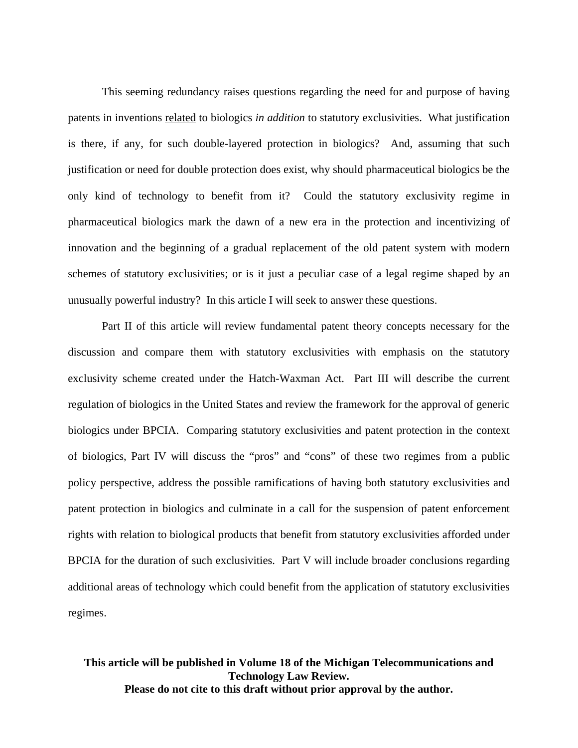This seeming redundancy raises questions regarding the need for and purpose of having patents in inventions related to biologics *in addition* to statutory exclusivities. What justification is there, if any, for such double-layered protection in biologics? And, assuming that such justification or need for double protection does exist, why should pharmaceutical biologics be the only kind of technology to benefit from it? Could the statutory exclusivity regime in pharmaceutical biologics mark the dawn of a new era in the protection and incentivizing of innovation and the beginning of a gradual replacement of the old patent system with modern schemes of statutory exclusivities; or is it just a peculiar case of a legal regime shaped by an unusually powerful industry? In this article I will seek to answer these questions.

Part II of this article will review fundamental patent theory concepts necessary for the discussion and compare them with statutory exclusivities with emphasis on the statutory exclusivity scheme created under the Hatch-Waxman Act. Part III will describe the current regulation of biologics in the United States and review the framework for the approval of generic biologics under BPCIA. Comparing statutory exclusivities and patent protection in the context of biologics, Part IV will discuss the "pros" and "cons" of these two regimes from a public policy perspective, address the possible ramifications of having both statutory exclusivities and patent protection in biologics and culminate in a call for the suspension of patent enforcement rights with relation to biological products that benefit from statutory exclusivities afforded under BPCIA for the duration of such exclusivities. Part V will include broader conclusions regarding additional areas of technology which could benefit from the application of statutory exclusivities regimes.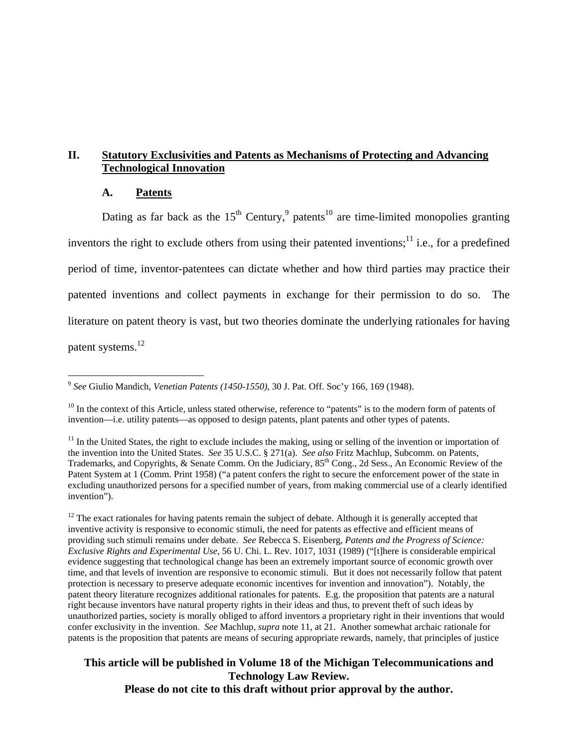# **II. Statutory Exclusivities and Patents as Mechanisms of Protecting and Advancing Technological Innovation**

#### **A. Patents**

Dating as far back as the  $15<sup>th</sup>$  Century,<sup>9</sup> patents<sup>10</sup> are time-limited monopolies granting inventors the right to exclude others from using their patented inventions;<sup>11</sup> i.e., for a predefined period of time, inventor-patentees can dictate whether and how third parties may practice their patented inventions and collect payments in exchange for their permission to do so. The literature on patent theory is vast, but two theories dominate the underlying rationales for having patent systems.<sup>12</sup>

 $\overline{a}$ <sup>9</sup> *See* Giulio Mandich, *Venetian Patents (1450-1550)*, 30 J. Pat. Off. Soc'y 166, 169 (1948).

 $10$  In the context of this Article, unless stated otherwise, reference to "patents" is to the modern form of patents of invention—i.e. utility patents—as opposed to design patents, plant patents and other types of patents.

 $11$  In the United States, the right to exclude includes the making, using or selling of the invention or importation of the invention into the United States. *See* 35 U.S.C. § 271(a). *See also* Fritz Machlup, Subcomm. on Patents, Trademarks, and Copyrights, & Senate Comm. On the Judiciary, 85th Cong., 2d Sess., An Economic Review of the Patent System at 1 (Comm. Print 1958) ("a patent confers the right to secure the enforcement power of the state in excluding unauthorized persons for a specified number of years, from making commercial use of a clearly identified invention").

 $12$  The exact rationales for having patents remain the subject of debate. Although it is generally accepted that inventive activity is responsive to economic stimuli, the need for patents as effective and efficient means of providing such stimuli remains under debate. *See* Rebecca S. Eisenberg, *Patents and the Progress of Science: Exclusive Rights and Experimental Use*, 56 U. Chi. L. Rev. 1017, 1031 (1989) ("[t]here is considerable empirical evidence suggesting that technological change has been an extremely important source of economic growth over time, and that levels of invention are responsive to economic stimuli. But it does not necessarily follow that patent protection is necessary to preserve adequate economic incentives for invention and innovation"). Notably, the patent theory literature recognizes additional rationales for patents. E.g. the proposition that patents are a natural right because inventors have natural property rights in their ideas and thus, to prevent theft of such ideas by unauthorized parties, society is morally obliged to afford inventors a proprietary right in their inventions that would confer exclusivity in the invention. *See* Machlup, *supra* note 11, at 21. Another somewhat archaic rationale for patents is the proposition that patents are means of securing appropriate rewards, namely, that principles of justice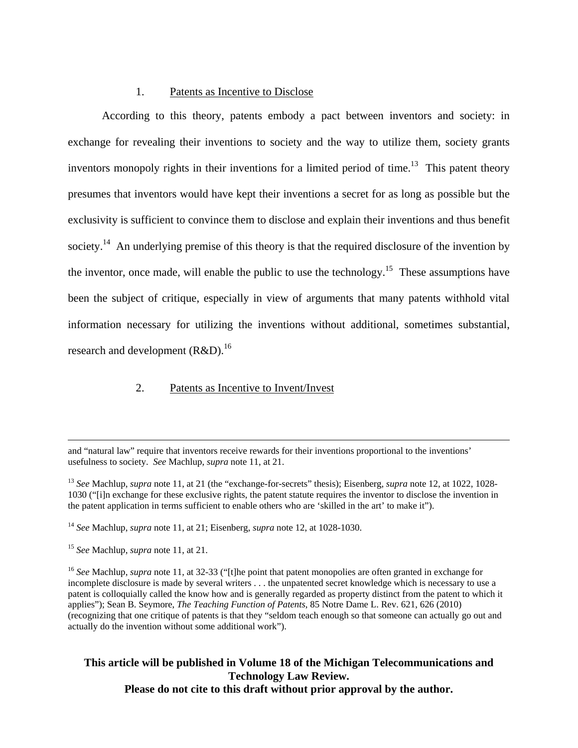### 1. Patents as Incentive to Disclose

According to this theory, patents embody a pact between inventors and society: in exchange for revealing their inventions to society and the way to utilize them, society grants inventors monopoly rights in their inventions for a limited period of time.<sup>13</sup> This patent theory presumes that inventors would have kept their inventions a secret for as long as possible but the exclusivity is sufficient to convince them to disclose and explain their inventions and thus benefit society.<sup>14</sup> An underlying premise of this theory is that the required disclosure of the invention by the inventor, once made, will enable the public to use the technology.<sup>15</sup> These assumptions have been the subject of critique, especially in view of arguments that many patents withhold vital information necessary for utilizing the inventions without additional, sometimes substantial, research and development  $(R&D)^{16}$ 

#### 2. Patents as Incentive to Invent/Invest

 and "natural law" require that inventors receive rewards for their inventions proportional to the inventions' usefulness to society. *See* Machlup, *supra* note 11, at 21.

<sup>13</sup> *See* Machlup, *supra* note 11, at 21 (the "exchange-for-secrets" thesis); Eisenberg, *supra* note 12, at 1022, 1028- 1030 ("[i]n exchange for these exclusive rights, the patent statute requires the inventor to disclose the invention in the patent application in terms sufficient to enable others who are 'skilled in the art' to make it").

<sup>14</sup> *See* Machlup, *supra* note 11, at 21; Eisenberg, *supra* note 12, at 1028-1030.

<sup>15</sup> *See* Machlup, *supra* note 11, at 21.

<sup>16</sup> *See* Machlup, *supra* note 11, at 32-33 ("[t]he point that patent monopolies are often granted in exchange for incomplete disclosure is made by several writers . . . the unpatented secret knowledge which is necessary to use a patent is colloquially called the know how and is generally regarded as property distinct from the patent to which it applies"); Sean B. Seymore, *The Teaching Function of Patents*, 85 Notre Dame L. Rev. 621, 626 (2010) (recognizing that one critique of patents is that they "seldom teach enough so that someone can actually go out and actually do the invention without some additional work").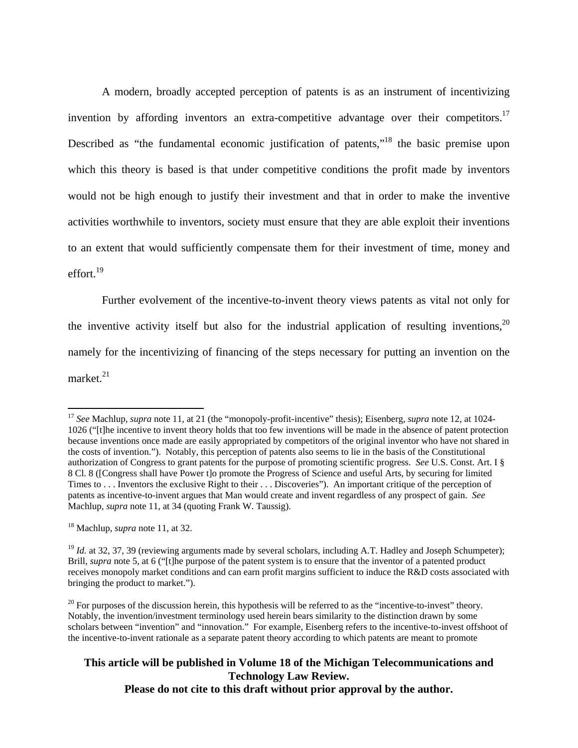A modern, broadly accepted perception of patents is as an instrument of incentivizing invention by affording inventors an extra-competitive advantage over their competitors.<sup>17</sup> Described as "the fundamental economic justification of patents,"<sup>18</sup> the basic premise upon which this theory is based is that under competitive conditions the profit made by inventors would not be high enough to justify their investment and that in order to make the inventive activities worthwhile to inventors, society must ensure that they are able exploit their inventions to an extent that would sufficiently compensate them for their investment of time, money and effort.<sup>19</sup>

Further evolvement of the incentive-to-invent theory views patents as vital not only for the inventive activity itself but also for the industrial application of resulting inventions,  $20$ namely for the incentivizing of financing of the steps necessary for putting an invention on the market. $21$ 

18 Machlup, *supra* note 11, at 32.

 $\overline{a}$ 

<sup>17</sup> *See* Machlup, *supra* note 11, at 21 (the "monopoly-profit-incentive" thesis); Eisenberg, *supra* note 12, at 1024- 1026 ("[t]he incentive to invent theory holds that too few inventions will be made in the absence of patent protection because inventions once made are easily appropriated by competitors of the original inventor who have not shared in the costs of invention."). Notably, this perception of patents also seems to lie in the basis of the Constitutional authorization of Congress to grant patents for the purpose of promoting scientific progress. *See* U.S. Const. Art. I § 8 Cl. 8 ([Congress shall have Power t]o promote the Progress of Science and useful Arts, by securing for limited Times to . . . Inventors the exclusive Right to their . . . Discoveries"). An important critique of the perception of patents as incentive-to-invent argues that Man would create and invent regardless of any prospect of gain. *See* Machlup, *supra* note 11, at 34 (quoting Frank W. Taussig).

<sup>&</sup>lt;sup>19</sup> *Id.* at 32, 37, 39 (reviewing arguments made by several scholars, including A.T. Hadley and Joseph Schumpeter); Brill, *supra* note 5, at 6 ("[t]he purpose of the patent system is to ensure that the inventor of a patented product receives monopoly market conditions and can earn profit margins sufficient to induce the R&D costs associated with bringing the product to market.").

 $20$  For purposes of the discussion herein, this hypothesis will be referred to as the "incentive-to-invest" theory. Notably, the invention/investment terminology used herein bears similarity to the distinction drawn by some scholars between "invention" and "innovation." For example, Eisenberg refers to the incentive-to-invest offshoot of the incentive-to-invent rationale as a separate patent theory according to which patents are meant to promote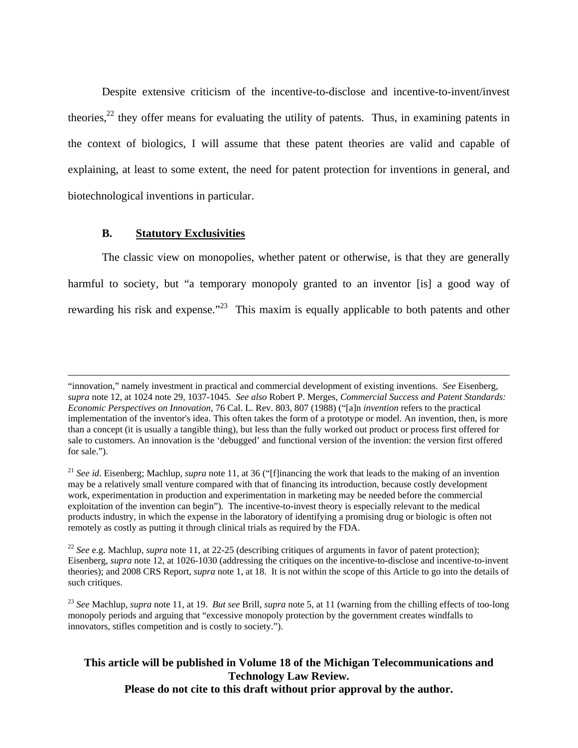Despite extensive criticism of the incentive-to-disclose and incentive-to-invent/invest theories, $22$  they offer means for evaluating the utility of patents. Thus, in examining patents in the context of biologics, I will assume that these patent theories are valid and capable of explaining, at least to some extent, the need for patent protection for inventions in general, and biotechnological inventions in particular.

### **B. Statutory Exclusivities**

The classic view on monopolies, whether patent or otherwise, is that they are generally harmful to society, but "a temporary monopoly granted to an inventor [is] a good way of rewarding his risk and expense."<sup>23</sup> This maxim is equally applicable to both patents and other

 <sup>&</sup>quot;innovation," namely investment in practical and commercial development of existing inventions. *See* Eisenberg, *supra* note 12, at 1024 note 29, 1037-1045. *See also* Robert P. Merges, *Commercial Success and Patent Standards: Economic Perspectives on Innovation*, 76 Cal. L. Rev. 803, 807 (1988) ("[a]n *invention* refers to the practical implementation of the inventor's idea. This often takes the form of a prototype or model. An invention, then, is more than a concept (it is usually a tangible thing), but less than the fully worked out product or process first offered for sale to customers. An innovation is the 'debugged' and functional version of the invention: the version first offered for sale.").

<sup>21</sup> *See id*. Eisenberg; Machlup, *supra* note 11, at 36 ("[f]inancing the work that leads to the making of an invention may be a relatively small venture compared with that of financing its introduction, because costly development work, experimentation in production and experimentation in marketing may be needed before the commercial exploitation of the invention can begin"). The incentive-to-invest theory is especially relevant to the medical products industry, in which the expense in the laboratory of identifying a promising drug or biologic is often not remotely as costly as putting it through clinical trials as required by the FDA.

<sup>22</sup> *See* e.g. Machlup, *supra* note 11, at 22-25 (describing critiques of arguments in favor of patent protection); Eisenberg, *supra* note 12, at 1026-1030 (addressing the critiques on the incentive-to-disclose and incentive-to-invent theories); and 2008 CRS Report, *supra* note 1, at 18. It is not within the scope of this Article to go into the details of such critiques.

<sup>23</sup> *See* Machlup, *supra* note 11, at 19. *But see* Brill, *supra* note 5, at 11 (warning from the chilling effects of too-long monopoly periods and arguing that "excessive monopoly protection by the government creates windfalls to innovators, stifles competition and is costly to society.").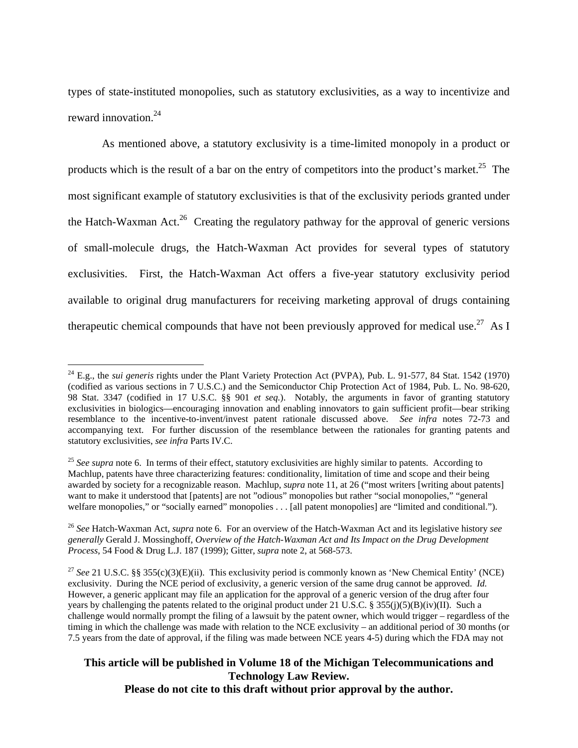types of state-instituted monopolies, such as statutory exclusivities, as a way to incentivize and reward innovation  $24$ 

As mentioned above, a statutory exclusivity is a time-limited monopoly in a product or products which is the result of a bar on the entry of competitors into the product's market.<sup>25</sup> The most significant example of statutory exclusivities is that of the exclusivity periods granted under the Hatch-Waxman Act.<sup>26</sup> Creating the regulatory pathway for the approval of generic versions of small-molecule drugs, the Hatch-Waxman Act provides for several types of statutory exclusivities. First, the Hatch-Waxman Act offers a five-year statutory exclusivity period available to original drug manufacturers for receiving marketing approval of drugs containing therapeutic chemical compounds that have not been previously approved for medical use.<sup>27</sup> As I

<u>.</u>

<sup>24</sup> E.g., the *sui generis* rights under the Plant Variety Protection Act (PVPA), Pub. L. 91-577, 84 Stat. 1542 (1970) (codified as various sections in 7 U.S.C.) and the Semiconductor Chip Protection Act of 1984, Pub. L. No. 98-620, 98 Stat. 3347 (codified in 17 U.S.C. §§ 901 *et seq.*). Notably, the arguments in favor of granting statutory exclusivities in biologics—encouraging innovation and enabling innovators to gain sufficient profit—bear striking resemblance to the incentive-to-invent/invest patent rationale discussed above. *See infra* notes 72-73 and accompanying text. For further discussion of the resemblance between the rationales for granting patents and statutory exclusivities, *see infra* Parts IV.C.

<sup>&</sup>lt;sup>25</sup> See supra note 6. In terms of their effect, statutory exclusivities are highly similar to patents. According to Machlup, patents have three characterizing features: conditionality, limitation of time and scope and their being awarded by society for a recognizable reason. Machlup, *supra* note 11, at 26 ("most writers [writing about patents] want to make it understood that [patents] are not "odious" monopolies but rather "social monopolies," "general welfare monopolies," or "socially earned" monopolies . . . [all patent monopolies] are "limited and conditional.").

<sup>26</sup> *See* Hatch-Waxman Act, *supra* note 6. For an overview of the Hatch-Waxman Act and its legislative history *see generally* Gerald J. Mossinghoff, *Overview of the Hatch-Waxman Act and Its Impact on the Drug Development Process*, 54 Food & Drug L.J. 187 (1999); Gitter, *supra* note 2, at 568-573.

<sup>&</sup>lt;sup>27</sup> See 21 U.S.C. §§ 355(c)(3)(E)(ii). This exclusivity period is commonly known as 'New Chemical Entity' (NCE) exclusivity. During the NCE period of exclusivity, a generic version of the same drug cannot be approved. *Id.* However, a generic applicant may file an application for the approval of a generic version of the drug after four years by challenging the patents related to the original product under 21 U.S.C. § 355(j)(5)(B)(iv)(II). Such a challenge would normally prompt the filing of a lawsuit by the patent owner, which would trigger – regardless of the timing in which the challenge was made with relation to the NCE exclusivity – an additional period of 30 months (or 7.5 years from the date of approval, if the filing was made between NCE years 4-5) during which the FDA may not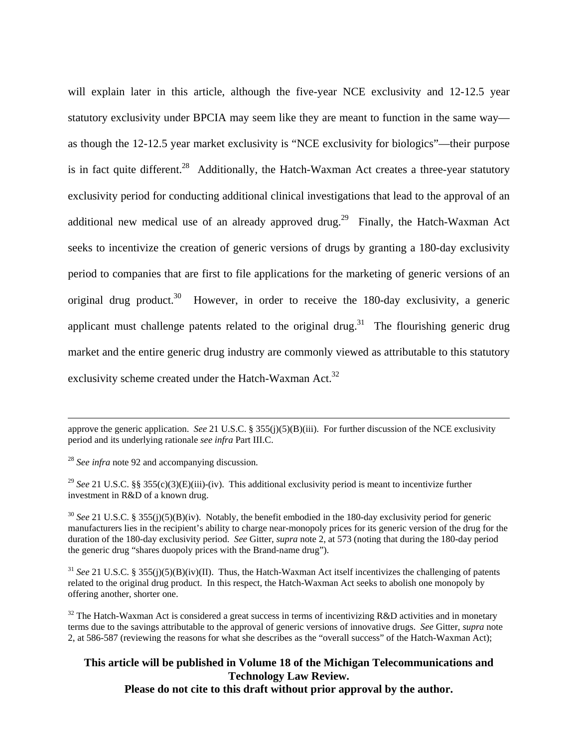will explain later in this article, although the five-year NCE exclusivity and 12-12.5 year statutory exclusivity under BPCIA may seem like they are meant to function in the same way as though the 12-12.5 year market exclusivity is "NCE exclusivity for biologics"—their purpose is in fact quite different.<sup>28</sup> Additionally, the Hatch-Waxman Act creates a three-year statutory exclusivity period for conducting additional clinical investigations that lead to the approval of an additional new medical use of an already approved drug.<sup>29</sup> Finally, the Hatch-Waxman Act seeks to incentivize the creation of generic versions of drugs by granting a 180-day exclusivity period to companies that are first to file applications for the marketing of generic versions of an original drug product.<sup>30</sup> However, in order to receive the 180-day exclusivity, a generic applicant must challenge patents related to the original drug.<sup>31</sup> The flourishing generic drug market and the entire generic drug industry are commonly viewed as attributable to this statutory exclusivity scheme created under the Hatch-Waxman Act.<sup>32</sup>

 approve the generic application. *See* 21 U.S.C. § 355(j)(5)(B)(iii). For further discussion of the NCE exclusivity period and its underlying rationale *see infra* Part III.C.

<sup>28</sup> *See infra* note 92 and accompanying discussion.

<sup>29</sup> *See* 21 U.S.C. §§ 355(c)(3)(E)(iii)-(iv). This additional exclusivity period is meant to incentivize further investment in R&D of a known drug.

<sup>30</sup> See 21 U.S.C. § 355(j)(5)(B)(iv). Notably, the benefit embodied in the 180-day exclusivity period for generic manufacturers lies in the recipient's ability to charge near-monopoly prices for its generic version of the drug for the duration of the 180-day exclusivity period. *See* Gitter, *supra* note 2, at 573 (noting that during the 180-day period the generic drug "shares duopoly prices with the Brand-name drug").

 $31$  *See* 21 U.S.C. § 355(j)(5)(B)(iv)(II). Thus, the Hatch-Waxman Act itself incentivizes the challenging of patents related to the original drug product. In this respect, the Hatch-Waxman Act seeks to abolish one monopoly by offering another, shorter one.

 $32$  The Hatch-Waxman Act is considered a great success in terms of incentivizing R&D activities and in monetary terms due to the savings attributable to the approval of generic versions of innovative drugs. *See* Gitter, *supra* note 2, at 586-587 (reviewing the reasons for what she describes as the "overall success" of the Hatch-Waxman Act);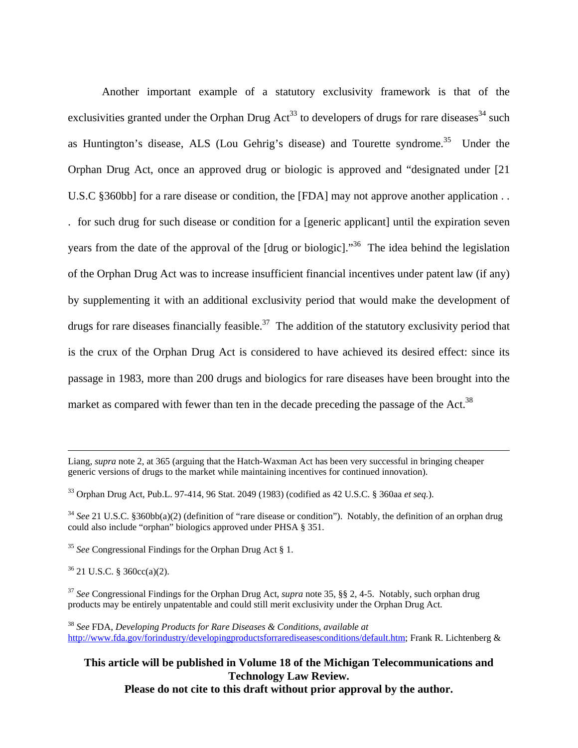Another important example of a statutory exclusivity framework is that of the exclusivities granted under the Orphan Drug Act<sup>33</sup> to developers of drugs for rare diseases<sup>34</sup> such as Huntington's disease, ALS (Lou Gehrig's disease) and Tourette syndrome.<sup>35</sup> Under the Orphan Drug Act, once an approved drug or biologic is approved and "designated under [21 U.S.C §360bb] for a rare disease or condition, the [FDA] may not approve another application . . . for such drug for such disease or condition for a [generic applicant] until the expiration seven years from the date of the approval of the [drug or biologic]."<sup>36</sup> The idea behind the legislation of the Orphan Drug Act was to increase insufficient financial incentives under patent law (if any) by supplementing it with an additional exclusivity period that would make the development of drugs for rare diseases financially feasible.<sup>37</sup> The addition of the statutory exclusivity period that is the crux of the Orphan Drug Act is considered to have achieved its desired effect: since its passage in 1983, more than 200 drugs and biologics for rare diseases have been brought into the market as compared with fewer than ten in the decade preceding the passage of the Act.<sup>38</sup>

<sup>35</sup> *See* Congressional Findings for the Orphan Drug Act § 1.

 $36$  21 U.S.C. § 360cc(a)(2).

<sup>37</sup> *See* Congressional Findings for the Orphan Drug Act, *supra* note 35, §§ 2, 4-5. Notably, such orphan drug products may be entirely unpatentable and could still merit exclusivity under the Orphan Drug Act.

<sup>38</sup> *See* FDA, *Developing Products for Rare Diseases & Conditions*, *available at*  http://www.fda.gov/forindustry/developingproductsforrarediseasesconditions/default.htm; Frank R. Lichtenberg &

Liang, *supra* note 2, at 365 (arguing that the Hatch-Waxman Act has been very successful in bringing cheaper generic versions of drugs to the market while maintaining incentives for continued innovation).

<sup>33</sup> Orphan Drug Act, Pub.L. 97-414, 96 Stat. 2049 (1983) (codified as 42 U.S.C. § 360aa *et seq.*).

<sup>&</sup>lt;sup>34</sup> See 21 U.S.C. §360bb(a)(2) (definition of "rare disease or condition"). Notably, the definition of an orphan drug could also include "orphan" biologics approved under PHSA § 351.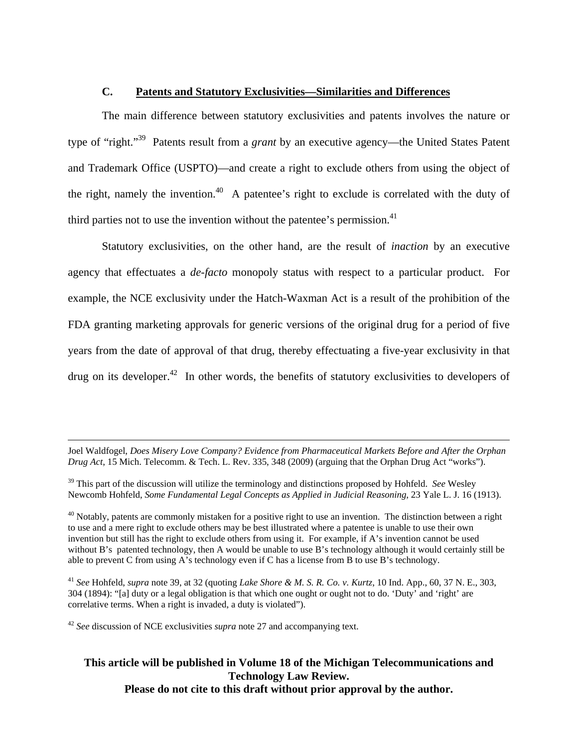#### **C. Patents and Statutory Exclusivities—Similarities and Differences**

The main difference between statutory exclusivities and patents involves the nature or type of "right."39 Patents result from a *grant* by an executive agency—the United States Patent and Trademark Office (USPTO)—and create a right to exclude others from using the object of the right, namely the invention.<sup>40</sup> A patentee's right to exclude is correlated with the duty of third parties not to use the invention without the patentee's permission. $41$ 

Statutory exclusivities, on the other hand, are the result of *inaction* by an executive agency that effectuates a *de-facto* monopoly status with respect to a particular product. For example, the NCE exclusivity under the Hatch-Waxman Act is a result of the prohibition of the FDA granting marketing approvals for generic versions of the original drug for a period of five years from the date of approval of that drug, thereby effectuating a five-year exclusivity in that drug on its developer.<sup>42</sup> In other words, the benefits of statutory exclusivities to developers of

 Joel Waldfogel, *Does Misery Love Company? Evidence from Pharmaceutical Markets Before and After the Orphan Drug Act*, 15 Mich. Telecomm. & Tech. L. Rev. 335, 348 (2009) (arguing that the Orphan Drug Act "works").

 $^{40}$  Notably, patents are commonly mistaken for a positive right to use an invention. The distinction between a right to use and a mere right to exclude others may be best illustrated where a patentee is unable to use their own invention but still has the right to exclude others from using it. For example, if A's invention cannot be used without B's patented technology, then A would be unable to use B's technology although it would certainly still be able to prevent C from using A's technology even if C has a license from B to use B's technology.

<sup>41</sup> *See* Hohfeld, *supra* note 39, at 32 (quoting *Lake Shore & M. S. R. Co. v. Kurtz*, 10 Ind. App., 60, 37 N. E., 303, 304 (1894): "[a] duty or a legal obligation is that which one ought or ought not to do. 'Duty' and 'right' are correlative terms. When a right is invaded, a duty is violated").

<sup>42</sup> *See* discussion of NCE exclusivities *supra* note 27 and accompanying text.

<sup>39</sup> This part of the discussion will utilize the terminology and distinctions proposed by Hohfeld. *See* Wesley Newcomb Hohfeld, *Some Fundamental Legal Concepts as Applied in Judicial Reasoning*, 23 Yale L. J. 16 (1913).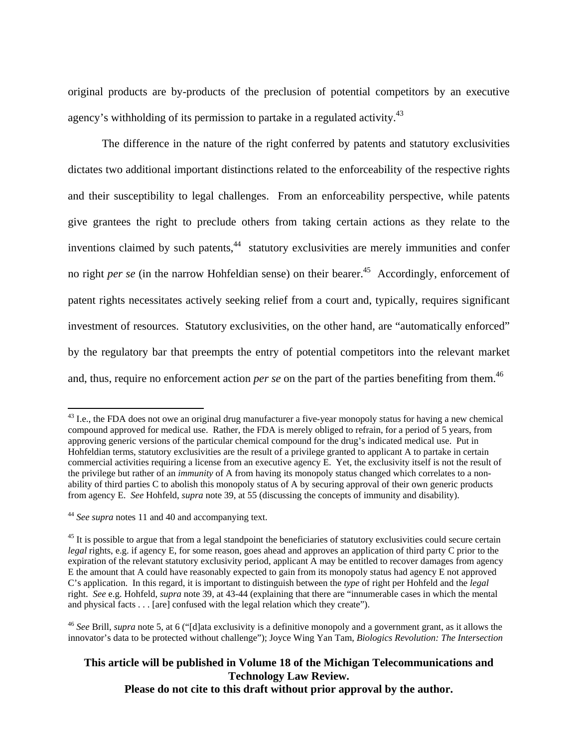original products are by-products of the preclusion of potential competitors by an executive agency's withholding of its permission to partake in a regulated activity.<sup>43</sup>

The difference in the nature of the right conferred by patents and statutory exclusivities dictates two additional important distinctions related to the enforceability of the respective rights and their susceptibility to legal challenges. From an enforceability perspective, while patents give grantees the right to preclude others from taking certain actions as they relate to the inventions claimed by such patents,<sup>44</sup> statutory exclusivities are merely immunities and confer no right *per se* (in the narrow Hohfeldian sense) on their bearer.<sup>45</sup> Accordingly, enforcement of patent rights necessitates actively seeking relief from a court and, typically, requires significant investment of resources. Statutory exclusivities, on the other hand, are "automatically enforced" by the regulatory bar that preempts the entry of potential competitors into the relevant market and, thus, require no enforcement action *per se* on the part of the parties benefiting from them.<sup>46</sup>

 $\overline{a}$ 

 $^{43}$  I.e., the FDA does not owe an original drug manufacturer a five-year monopoly status for having a new chemical compound approved for medical use. Rather, the FDA is merely obliged to refrain, for a period of 5 years, from approving generic versions of the particular chemical compound for the drug's indicated medical use. Put in Hohfeldian terms, statutory exclusivities are the result of a privilege granted to applicant A to partake in certain commercial activities requiring a license from an executive agency E. Yet, the exclusivity itself is not the result of the privilege but rather of an *immunity* of A from having its monopoly status changed which correlates to a nonability of third parties C to abolish this monopoly status of A by securing approval of their own generic products from agency E. *See* Hohfeld, *supra* note 39, at 55 (discussing the concepts of immunity and disability).

<sup>44</sup> *See supra* notes 11 and 40 and accompanying text.

 $45$  It is possible to argue that from a legal standpoint the beneficiaries of statutory exclusivities could secure certain *legal* rights, e.g. if agency E, for some reason, goes ahead and approves an application of third party C prior to the expiration of the relevant statutory exclusivity period, applicant A may be entitled to recover damages from agency E the amount that A could have reasonably expected to gain from its monopoly status had agency E not approved C's application. In this regard, it is important to distinguish between the *type* of right per Hohfeld and the *legal* right. *See* e.g. Hohfeld, *supra* note 39, at 43-44 (explaining that there are "innumerable cases in which the mental and physical facts . . . [are] confused with the legal relation which they create").

<sup>46</sup> *See* Brill, *supra* note 5, at 6 ("[d]ata exclusivity is a definitive monopoly and a government grant, as it allows the innovator's data to be protected without challenge"); Joyce Wing Yan Tam, *Biologics Revolution: The Intersection*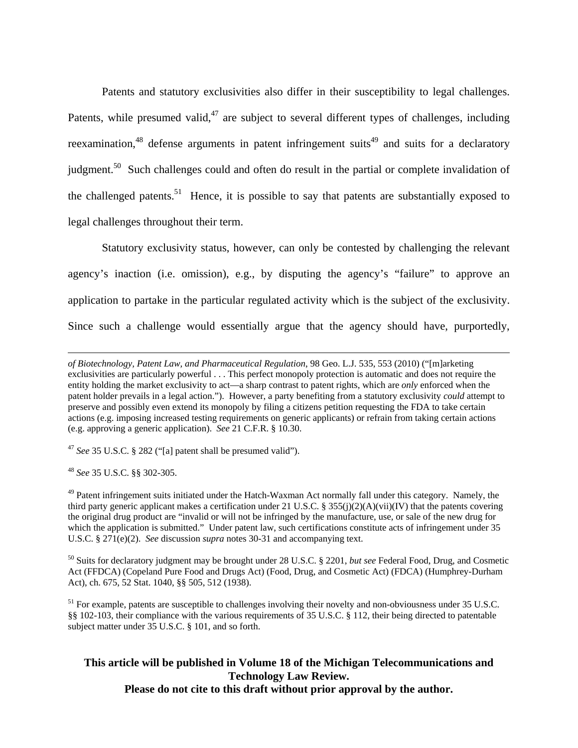Patents and statutory exclusivities also differ in their susceptibility to legal challenges. Patents, while presumed valid, $47$  are subject to several different types of challenges, including reexamination,<sup>48</sup> defense arguments in patent infringement suits<sup>49</sup> and suits for a declaratory judgment.<sup>50</sup> Such challenges could and often do result in the partial or complete invalidation of the challenged patents.<sup>51</sup> Hence, it is possible to say that patents are substantially exposed to legal challenges throughout their term.

Statutory exclusivity status, however, can only be contested by challenging the relevant agency's inaction (i.e. omission), e.g., by disputing the agency's "failure" to approve an application to partake in the particular regulated activity which is the subject of the exclusivity. Since such a challenge would essentially argue that the agency should have, purportedly,

<sup>47</sup> *See* 35 U.S.C. § 282 ("[a] patent shall be presumed valid").

<sup>48</sup> *See* 35 U.S.C. §§ 302-305.

 $\overline{a}$ 

<sup>49</sup> Patent infringement suits initiated under the Hatch-Waxman Act normally fall under this category. Namely, the third party generic applicant makes a certification under 21 U.S.C. § 355(i)(2)(A)(vii)(IV) that the patents covering the original drug product are "invalid or will not be infringed by the manufacture, use, or sale of the new drug for which the application is submitted." Under patent law, such certifications constitute acts of infringement under 35 U.S.C. § 271(e)(2). *See* discussion *supra* notes 30-31 and accompanying text.

50 Suits for declaratory judgment may be brought under 28 U.S.C. § 2201, *but see* Federal Food, Drug, and Cosmetic Act (FFDCA) (Copeland Pure Food and Drugs Act) (Food, Drug, and Cosmetic Act) (FDCA) (Humphrey-Durham Act), ch. 675, 52 Stat. 1040, §§ 505, 512 (1938).

<sup>51</sup> For example, patents are susceptible to challenges involving their novelty and non-obviousness under 35 U.S.C. §§ 102-103, their compliance with the various requirements of 35 U.S.C. § 112, their being directed to patentable subject matter under 35 U.S.C. § 101, and so forth.

*of Biotechnology, Patent Law, and Pharmaceutical Regulation*, 98 Geo. L.J. 535, 553 (2010) ("[m]arketing exclusivities are particularly powerful . . . This perfect monopoly protection is automatic and does not require the entity holding the market exclusivity to act—a sharp contrast to patent rights, which are *only* enforced when the patent holder prevails in a legal action."). However, a party benefiting from a statutory exclusivity *could* attempt to preserve and possibly even extend its monopoly by filing a citizens petition requesting the FDA to take certain actions (e.g. imposing increased testing requirements on generic applicants) or refrain from taking certain actions (e.g. approving a generic application). *See* 21 C.F.R. § 10.30.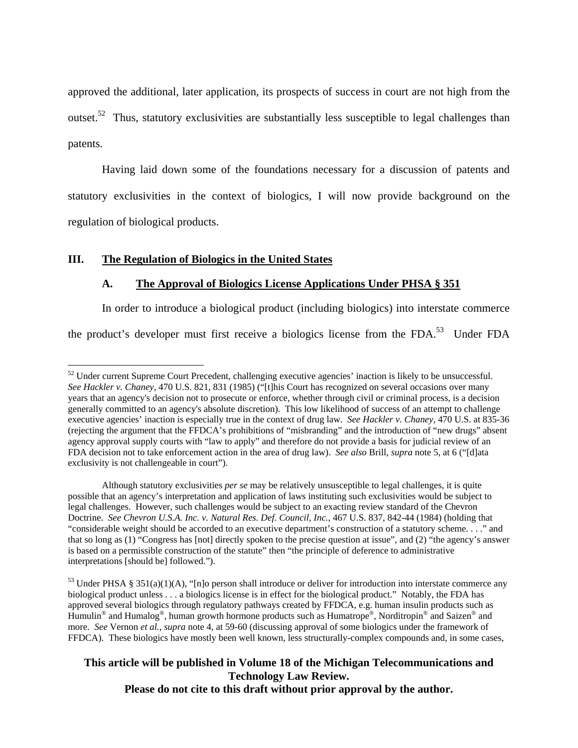approved the additional, later application, its prospects of success in court are not high from the outset.<sup>52</sup> Thus, statutory exclusivities are substantially less susceptible to legal challenges than patents.

Having laid down some of the foundations necessary for a discussion of patents and statutory exclusivities in the context of biologics, I will now provide background on the regulation of biological products.

#### **III. The Regulation of Biologics in the United States**

 $\overline{a}$ 

#### **A. The Approval of Biologics License Applications Under PHSA § 351**

In order to introduce a biological product (including biologics) into interstate commerce

the product's developer must first receive a biologics license from the FDA.<sup>53</sup> Under FDA

Although statutory exclusivities *per se* may be relatively unsusceptible to legal challenges, it is quite possible that an agency's interpretation and application of laws instituting such exclusivities would be subject to legal challenges. However, such challenges would be subject to an exacting review standard of the Chevron Doctrine. *See Chevron U.S.A. Inc. v. Natural Res. Def. Council, Inc.*, 467 U.S. 837, 842-44 (1984) (holding that "considerable weight should be accorded to an executive department's construction of a statutory scheme. . . ." and that so long as (1) "Congress has [not] directly spoken to the precise question at issue", and (2) "the agency's answer is based on a permissible construction of the statute" then "the principle of deference to administrative interpretations [should be] followed.").

<sup>&</sup>lt;sup>52</sup> Under current Supreme Court Precedent, challenging executive agencies' inaction is likely to be unsuccessful. *See Hackler v. Chaney*, 470 U.S. 821, 831 (1985) ("[t]his Court has recognized on several occasions over many years that an agency's decision not to prosecute or enforce, whether through civil or criminal process, is a decision generally committed to an agency's absolute discretion). This low likelihood of success of an attempt to challenge executive agencies' inaction is especially true in the context of drug law. *See Hackler v. Chaney*, 470 U.S. at 835-36 (rejecting the argument that the FFDCA's prohibitions of "misbranding" and the introduction of "new drugs" absent agency approval supply courts with "law to apply" and therefore do not provide a basis for judicial review of an FDA decision not to take enforcement action in the area of drug law). *See also* Brill, *supra* note 5, at 6 ("[d]ata exclusivity is not challengeable in court").

 $53$  Under PHSA § 351(a)(1)(A), "[n]o person shall introduce or deliver for introduction into interstate commerce any biological product unless . . . a biologics license is in effect for the biological product." Notably, the FDA has approved several biologics through regulatory pathways created by FFDCA, e.g. human insulin products such as Humulin® and Humalog®, human growth hormone products such as Humatrope®, Norditropin® and Saizen® and more. *See* Vernon *et al.*, *supra* note 4, at 59-60 (discussing approval of some biologics under the framework of FFDCA). These biologics have mostly been well known, less structurally-complex compounds and, in some cases,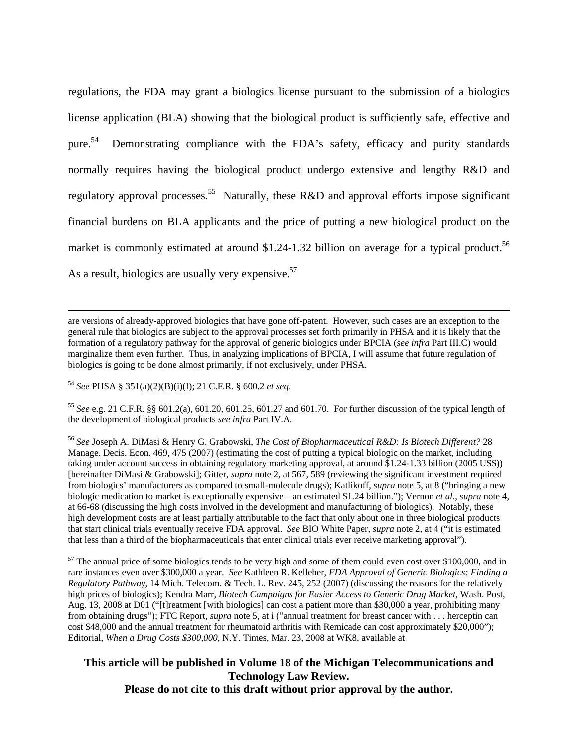regulations, the FDA may grant a biologics license pursuant to the submission of a biologics license application (BLA) showing that the biological product is sufficiently safe, effective and pure.<sup>54</sup> Demonstrating compliance with the FDA's safety, efficacy and purity standards normally requires having the biological product undergo extensive and lengthy R&D and regulatory approval processes.<sup>55</sup> Naturally, these R&D and approval efforts impose significant financial burdens on BLA applicants and the price of putting a new biological product on the market is commonly estimated at around  $$1.24-1.32$  billion on average for a typical product.<sup>56</sup> As a result, biologics are usually very expensive.  $57$ 

 are versions of already-approved biologics that have gone off-patent. However, such cases are an exception to the general rule that biologics are subject to the approval processes set forth primarily in PHSA and it is likely that the formation of a regulatory pathway for the approval of generic biologics under BPCIA (*see infra* Part III.C) would marginalize them even further. Thus, in analyzing implications of BPCIA, I will assume that future regulation of biologics is going to be done almost primarily, if not exclusively, under PHSA.

<sup>54</sup> *See* PHSA § 351(a)(2)(B)(i)(I); 21 C.F.R. § 600.2 *et seq.* 

<sup>55</sup> *See* e.g. 21 C.F.R. §§ 601.2(a), 601.20, 601.25, 601.27 and 601.70. For further discussion of the typical length of the development of biological products *see infra* Part IV.A.

<sup>56</sup> *See* Joseph A. DiMasi & Henry G. Grabowski, *The Cost of Biopharmaceutical R&D: Is Biotech Different?* 28 Manage. Decis. Econ. 469, 475 (2007) (estimating the cost of putting a typical biologic on the market, including taking under account success in obtaining regulatory marketing approval, at around \$1.24-1.33 billion (2005 US\$)) [hereinafter DiMasi & Grabowski]; Gitter, *supra* note 2, at 567, 589 (reviewing the significant investment required from biologics' manufacturers as compared to small-molecule drugs); Katlikoff, *supra* note 5, at 8 ("bringing a new biologic medication to market is exceptionally expensive—an estimated \$1.24 billion."); Vernon *et al.*, *supra* note 4, at 66-68 (discussing the high costs involved in the development and manufacturing of biologics). Notably, these high development costs are at least partially attributable to the fact that only about one in three biological products that start clinical trials eventually receive FDA approval. *See* BIO White Paper, *supra* note 2, at 4 ("it is estimated that less than a third of the biopharmaceuticals that enter clinical trials ever receive marketing approval").

 $57$  The annual price of some biologics tends to be very high and some of them could even cost over \$100,000, and in rare instances even over \$300,000 a year. *See* Kathleen R. Kelleher, *FDA Approval of Generic Biologics: Finding a Regulatory Pathway*, 14 Mich. Telecom. & Tech. L. Rev. 245, 252 (2007) (discussing the reasons for the relatively high prices of biologics); Kendra Marr, *Biotech Campaigns for Easier Access to Generic Drug Market*, Wash. Post, Aug. 13, 2008 at D01 ("[t]reatment [with biologics] can cost a patient more than \$30,000 a year, prohibiting many from obtaining drugs"); FTC Report, *supra* note 5, at i ("annual treatment for breast cancer with . . . herceptin can cost \$48,000 and the annual treatment for rheumatoid arthritis with Remicade can cost approximately \$20,000"); Editorial, *When a Drug Costs \$300,000*, N.Y. Times, Mar. 23, 2008 at WK8, available at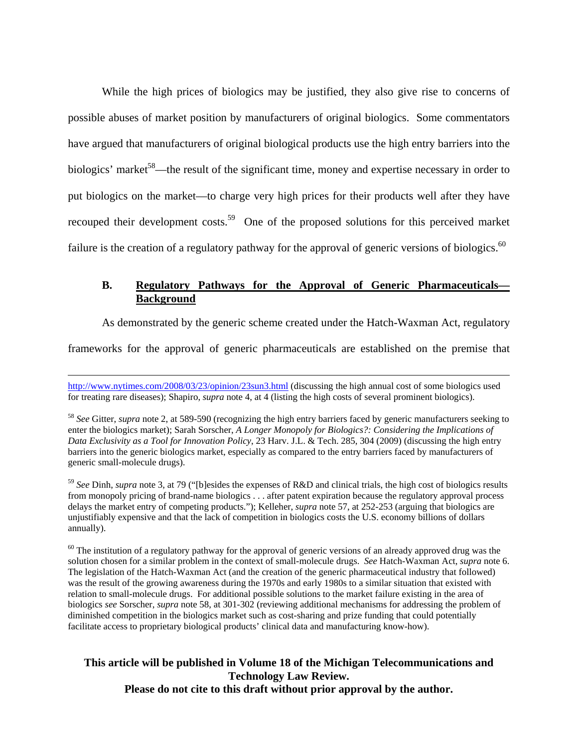While the high prices of biologics may be justified, they also give rise to concerns of possible abuses of market position by manufacturers of original biologics. Some commentators have argued that manufacturers of original biological products use the high entry barriers into the biologics' market<sup>58</sup>—the result of the significant time, money and expertise necessary in order to put biologics on the market—to charge very high prices for their products well after they have recouped their development costs.<sup>59</sup> One of the proposed solutions for this perceived market failure is the creation of a regulatory pathway for the approval of generic versions of biologics.<sup>60</sup>

### **B. Regulatory Pathways for the Approval of Generic Pharmaceuticals— Background**

As demonstrated by the generic scheme created under the Hatch-Waxman Act, regulatory

frameworks for the approval of generic pharmaceuticals are established on the premise that

<sup>58</sup> *See* Gitter, *supra* note 2, at 589-590 (recognizing the high entry barriers faced by generic manufacturers seeking to enter the biologics market); Sarah Sorscher, *A Longer Monopoly for Biologics?: Considering the Implications of Data Exclusivity as a Tool for Innovation Policy*, 23 Harv. J.L. & Tech. 285, 304 (2009) (discussing the high entry barriers into the generic biologics market, especially as compared to the entry barriers faced by manufacturers of generic small-molecule drugs).

<sup>59</sup> *See* Dinh, *supra* note 3, at 79 ("[b]esides the expenses of R&D and clinical trials, the high cost of biologics results from monopoly pricing of brand-name biologics . . . after patent expiration because the regulatory approval process delays the market entry of competing products."); Kelleher, *supra* note 57, at 252-253 (arguing that biologics are unjustifiably expensive and that the lack of competition in biologics costs the U.S. economy billions of dollars annually).

 $60$  The institution of a regulatory pathway for the approval of generic versions of an already approved drug was the solution chosen for a similar problem in the context of small-molecule drugs. *See* Hatch-Waxman Act, *supra* note 6. The legislation of the Hatch-Waxman Act (and the creation of the generic pharmaceutical industry that followed) was the result of the growing awareness during the 1970s and early 1980s to a similar situation that existed with relation to small-molecule drugs. For additional possible solutions to the market failure existing in the area of biologics *see* Sorscher, *supra* note 58, at 301-302 (reviewing additional mechanisms for addressing the problem of diminished competition in the biologics market such as cost-sharing and prize funding that could potentially facilitate access to proprietary biological products' clinical data and manufacturing know-how).

http://www.nytimes.com/2008/03/23/opinion/23sun3.html (discussing the high annual cost of some biologics used for treating rare diseases); Shapiro, *supra* note 4, at 4 (listing the high costs of several prominent biologics).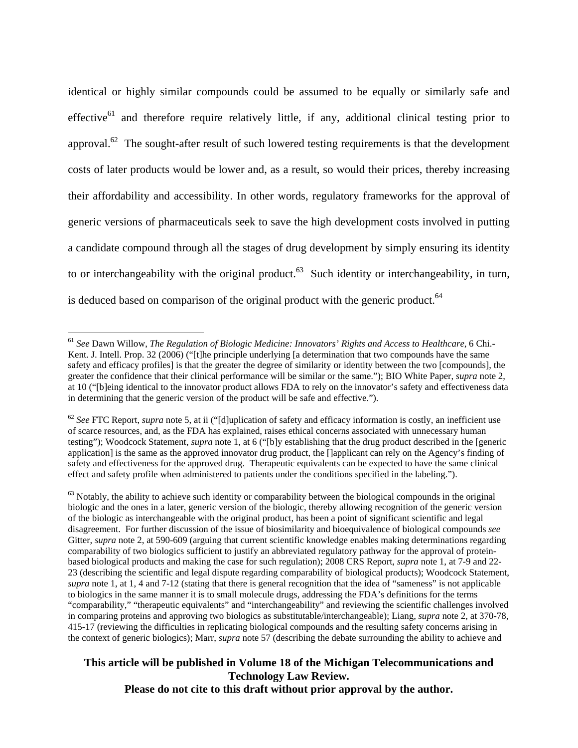identical or highly similar compounds could be assumed to be equally or similarly safe and effective<sup>61</sup> and therefore require relatively little, if any, additional clinical testing prior to approval.<sup>62</sup> The sought-after result of such lowered testing requirements is that the development costs of later products would be lower and, as a result, so would their prices, thereby increasing their affordability and accessibility. In other words, regulatory frameworks for the approval of generic versions of pharmaceuticals seek to save the high development costs involved in putting a candidate compound through all the stages of drug development by simply ensuring its identity to or interchangeability with the original product.<sup>63</sup> Such identity or interchangeability, in turn, is deduced based on comparison of the original product with the generic product.<sup>64</sup>

1

<sup>61</sup> *See* Dawn Willow, *The Regulation of Biologic Medicine: Innovators' Rights and Access to Healthcare*, 6 Chi.- Kent. J. Intell. Prop. 32 (2006) ("[t]he principle underlying [a determination that two compounds have the same safety and efficacy profiles] is that the greater the degree of similarity or identity between the two [compounds], the greater the confidence that their clinical performance will be similar or the same."); BIO White Paper, *supra* note 2, at 10 ("[b]eing identical to the innovator product allows FDA to rely on the innovator's safety and effectiveness data in determining that the generic version of the product will be safe and effective.").

<sup>&</sup>lt;sup>62</sup> See FTC Report, *supra* note 5, at ii ("[d]uplication of safety and efficacy information is costly, an inefficient use of scarce resources, and, as the FDA has explained, raises ethical concerns associated with unnecessary human testing"); Woodcock Statement, *supra* note 1, at 6 ("[b]y establishing that the drug product described in the [generic application] is the same as the approved innovator drug product, the []applicant can rely on the Agency's finding of safety and effectiveness for the approved drug. Therapeutic equivalents can be expected to have the same clinical effect and safety profile when administered to patients under the conditions specified in the labeling.").

 $63$  Notably, the ability to achieve such identity or comparability between the biological compounds in the original biologic and the ones in a later, generic version of the biologic, thereby allowing recognition of the generic version of the biologic as interchangeable with the original product, has been a point of significant scientific and legal disagreement. For further discussion of the issue of biosimilarity and bioequivalence of biological compounds *see* Gitter, *supra* note 2, at 590-609 (arguing that current scientific knowledge enables making determinations regarding comparability of two biologics sufficient to justify an abbreviated regulatory pathway for the approval of proteinbased biological products and making the case for such regulation); 2008 CRS Report, *supra* note 1, at 7-9 and 22- 23 (describing the scientific and legal dispute regarding comparability of biological products); Woodcock Statement, *supra* note 1, at 1, 4 and 7-12 (stating that there is general recognition that the idea of "sameness" is not applicable to biologics in the same manner it is to small molecule drugs, addressing the FDA's definitions for the terms "comparability," "therapeutic equivalents" and "interchangeability" and reviewing the scientific challenges involved in comparing proteins and approving two biologics as substitutable/interchangeable); Liang, *supra* note 2, at 370-78, 415-17 (reviewing the difficulties in replicating biological compounds and the resulting safety concerns arising in the context of generic biologics); Marr, *supra* note 57 (describing the debate surrounding the ability to achieve and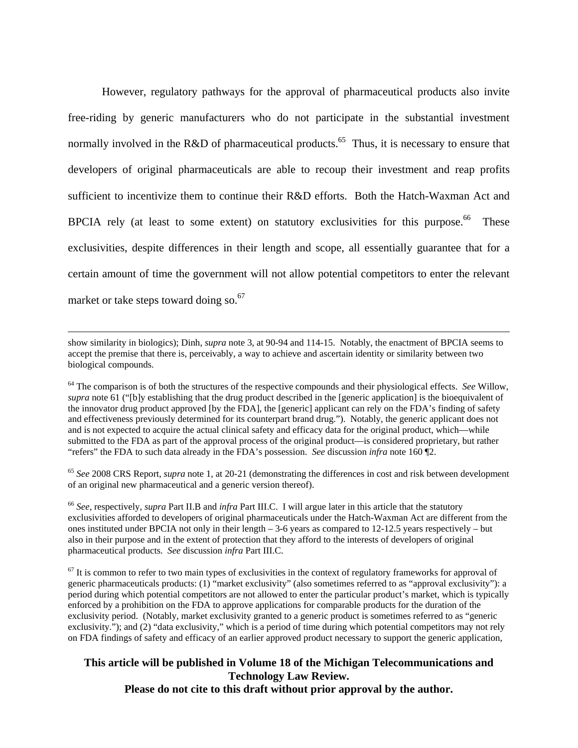However, regulatory pathways for the approval of pharmaceutical products also invite free-riding by generic manufacturers who do not participate in the substantial investment normally involved in the R&D of pharmaceutical products.<sup>65</sup> Thus, it is necessary to ensure that developers of original pharmaceuticals are able to recoup their investment and reap profits sufficient to incentivize them to continue their R&D efforts. Both the Hatch-Waxman Act and BPCIA rely (at least to some extent) on statutory exclusivities for this purpose. <sup>66</sup> These exclusivities, despite differences in their length and scope, all essentially guarantee that for a certain amount of time the government will not allow potential competitors to enter the relevant market or take steps toward doing so. $67$ 

 show similarity in biologics); Dinh, *supra* note 3, at 90-94 and 114-15. Notably, the enactment of BPCIA seems to accept the premise that there is, perceivably, a way to achieve and ascertain identity or similarity between two biological compounds.

64 The comparison is of both the structures of the respective compounds and their physiological effects. *See* Willow, *supra* note 61 ("[b]y establishing that the drug product described in the [generic application] is the bioequivalent of the innovator drug product approved [by the FDA], the [generic] applicant can rely on the FDA's finding of safety and effectiveness previously determined for its counterpart brand drug."). Notably, the generic applicant does not and is not expected to acquire the actual clinical safety and efficacy data for the original product, which—while submitted to the FDA as part of the approval process of the original product—is considered proprietary, but rather "refers" the FDA to such data already in the FDA's possession. *See* discussion *infra* note 160 ¶2.

<sup>65</sup> *See* 2008 CRS Report, *supra* note 1, at 20-21 (demonstrating the differences in cost and risk between development of an original new pharmaceutical and a generic version thereof).

<sup>66</sup> *See*, respectively, *supra* Part II.B and *infra* Part III.C. I will argue later in this article that the statutory exclusivities afforded to developers of original pharmaceuticals under the Hatch-Waxman Act are different from the ones instituted under BPCIA not only in their length – 3-6 years as compared to 12-12.5 years respectively – but also in their purpose and in the extent of protection that they afford to the interests of developers of original pharmaceutical products. *See* discussion *infra* Part III.C.

 $67$  It is common to refer to two main types of exclusivities in the context of regulatory frameworks for approval of generic pharmaceuticals products: (1) "market exclusivity" (also sometimes referred to as "approval exclusivity"): a period during which potential competitors are not allowed to enter the particular product's market, which is typically enforced by a prohibition on the FDA to approve applications for comparable products for the duration of the exclusivity period. (Notably, market exclusivity granted to a generic product is sometimes referred to as "generic exclusivity."); and (2) "data exclusivity," which is a period of time during which potential competitors may not rely on FDA findings of safety and efficacy of an earlier approved product necessary to support the generic application,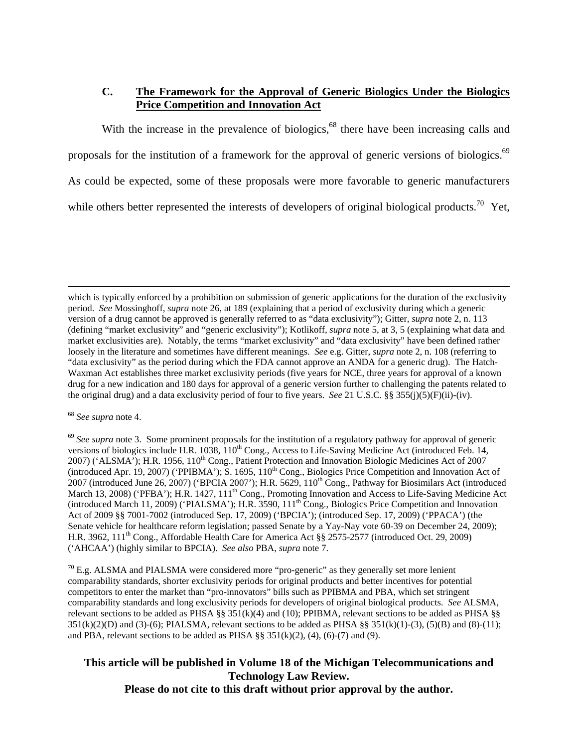### **C. The Framework for the Approval of Generic Biologics Under the Biologics Price Competition and Innovation Act**

With the increase in the prevalence of biologics,<sup>68</sup> there have been increasing calls and

proposals for the institution of a framework for the approval of generic versions of biologics.<sup>69</sup>

As could be expected, some of these proposals were more favorable to generic manufacturers

while others better represented the interests of developers of original biological products.<sup>70</sup> Yet,

 $70$  E.g. ALSMA and PIALSMA were considered more "pro-generic" as they generally set more lenient comparability standards, shorter exclusivity periods for original products and better incentives for potential competitors to enter the market than "pro-innovators" bills such as PPIBMA and PBA, which set stringent comparability standards and long exclusivity periods for developers of original biological products. *See* ALSMA, relevant sections to be added as PHSA §§ 351(k)(4) and (10); PPIBMA, relevant sections to be added as PHSA §§  $351(k)(2)(D)$  and  $(3)-(6)$ ; PIALSMA, relevant sections to be added as PHSA §§  $351(k)(1)-(3)$ ,  $(5)(B)$  and  $(8)-(11)$ ; and PBA, relevant sections to be added as PHSA  $\S$ § 351(k)(2), (4), (6)-(7) and (9).

which is typically enforced by a prohibition on submission of generic applications for the duration of the exclusivity period. *See* Mossinghoff, *supra* note 26, at 189 (explaining that a period of exclusivity during which a generic version of a drug cannot be approved is generally referred to as "data exclusivity"); Gitter, *supra* note 2, n. 113 (defining "market exclusivity" and "generic exclusivity"); Kotlikoff, *supra* note 5, at 3, 5 (explaining what data and market exclusivities are). Notably, the terms "market exclusivity" and "data exclusivity" have been defined rather loosely in the literature and sometimes have different meanings. *See* e.g. Gitter, *supra* note 2, n. 108 (referring to "data exclusivity" as the period during which the FDA cannot approve an ANDA for a generic drug). The Hatch-Waxman Act establishes three market exclusivity periods (five years for NCE, three years for approval of a known drug for a new indication and 180 days for approval of a generic version further to challenging the patents related to the original drug) and a data exclusivity period of four to five years. *See* 21 U.S.C. §§ 355(j)(5)(F)(ii)-(iv).

<sup>68</sup> *See supra* note 4.

<sup>&</sup>lt;sup>69</sup> See supra note 3. Some prominent proposals for the institution of a regulatory pathway for approval of generic versions of biologics include H.R. 1038, 110<sup>th</sup> Cong., Access to Life-Saving Medicine Act (introduced Feb. 14, 2007) ('ALSMA'); H.R. 1956, 110<sup>th</sup> Cong., Patient Protection and Innovation Biologic Medicines Act of 2007 (introduced Apr. 19, 2007) ('PPIBMA'); S. 1695, 110<sup>th</sup> Cong., Biologics Price Competition and Innovation Act of 2007 (introduced June 26, 2007) ('BPCIA 2007'); H.R. 5629, 110<sup>th</sup> Cong., Pathway for Biosimilars Act (introduced March 13, 2008) ('PFBA'); H.R. 1427, 111<sup>th</sup> Cong., Promoting Innovation and Access to Life-Saving Medicine Act (introduced March 11, 2009) ('PIALSMA'); H.R. 3590, 111<sup>th</sup> Cong., Biologics Price Competition and Innovation Act of 2009 §§ 7001-7002 (introduced Sep. 17, 2009) ('BPCIA'); (introduced Sep. 17, 2009) ('PPACA') (the Senate vehicle for healthcare reform legislation; passed Senate by a Yay-Nay vote 60-39 on December 24, 2009); H.R. 3962, 111<sup>th</sup> Cong., Affordable Health Care for America Act §§ 2575-2577 (introduced Oct. 29, 2009) ('AHCAA') (highly similar to BPCIA). *See also* PBA, *supra* note 7.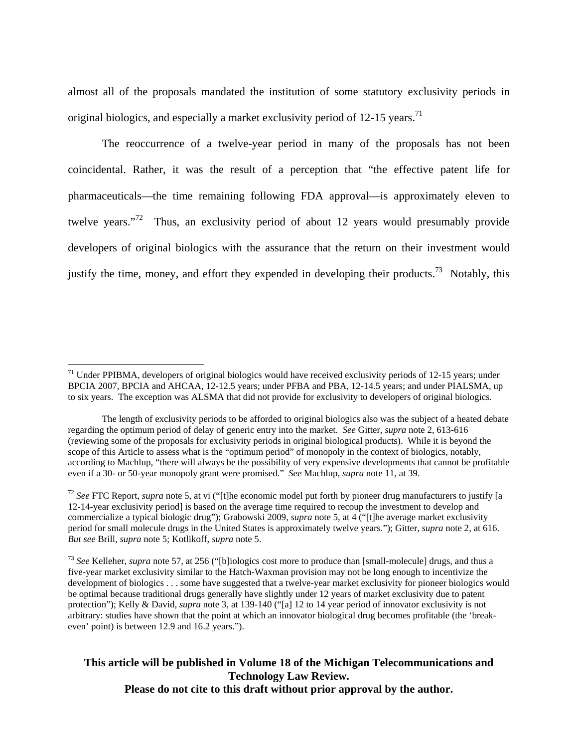almost all of the proposals mandated the institution of some statutory exclusivity periods in original biologics, and especially a market exclusivity period of  $12-15$  years.<sup>71</sup>

The reoccurrence of a twelve-year period in many of the proposals has not been coincidental. Rather, it was the result of a perception that "the effective patent life for pharmaceuticals—the time remaining following FDA approval—is approximately eleven to twelve years."<sup>72</sup> Thus, an exclusivity period of about 12 years would presumably provide developers of original biologics with the assurance that the return on their investment would justify the time, money, and effort they expended in developing their products.<sup>73</sup> Notably, this

1

 $71$  Under PPIBMA, developers of original biologics would have received exclusivity periods of 12-15 years; under BPCIA 2007, BPCIA and AHCAA, 12-12.5 years; under PFBA and PBA, 12-14.5 years; and under PIALSMA, up to six years. The exception was ALSMA that did not provide for exclusivity to developers of original biologics.

The length of exclusivity periods to be afforded to original biologics also was the subject of a heated debate regarding the optimum period of delay of generic entry into the market. *See* Gitter, *supra* note 2, 613-616 (reviewing some of the proposals for exclusivity periods in original biological products). While it is beyond the scope of this Article to assess what is the "optimum period" of monopoly in the context of biologics, notably, according to Machlup, "there will always be the possibility of very expensive developments that cannot be profitable even if a 30- or 50-year monopoly grant were promised." *See* Machlup, *supra* note 11, at 39.

<sup>72</sup> *See* FTC Report, *supra* note 5, at vi ("[t]he economic model put forth by pioneer drug manufacturers to justify [a 12-14-year exclusivity period] is based on the average time required to recoup the investment to develop and commercialize a typical biologic drug"); Grabowski 2009, *supra* note 5, at 4 ("[t]he average market exclusivity period for small molecule drugs in the United States is approximately twelve years."); Gitter, *supra* note 2, at 616. *But see* Brill, *supra* note 5; Kotlikoff, *supra* note 5.

<sup>73</sup> *See* Kelleher, *supra* note 57, at 256 ("[b]iologics cost more to produce than [small-molecule] drugs, and thus a five-year market exclusivity similar to the Hatch-Waxman provision may not be long enough to incentivize the development of biologics . . . some have suggested that a twelve-year market exclusivity for pioneer biologics would be optimal because traditional drugs generally have slightly under 12 years of market exclusivity due to patent protection"); Kelly & David, *supra* note 3, at 139-140 ("[a] 12 to 14 year period of innovator exclusivity is not arbitrary: studies have shown that the point at which an innovator biological drug becomes profitable (the 'breakeven' point) is between 12.9 and 16.2 years.").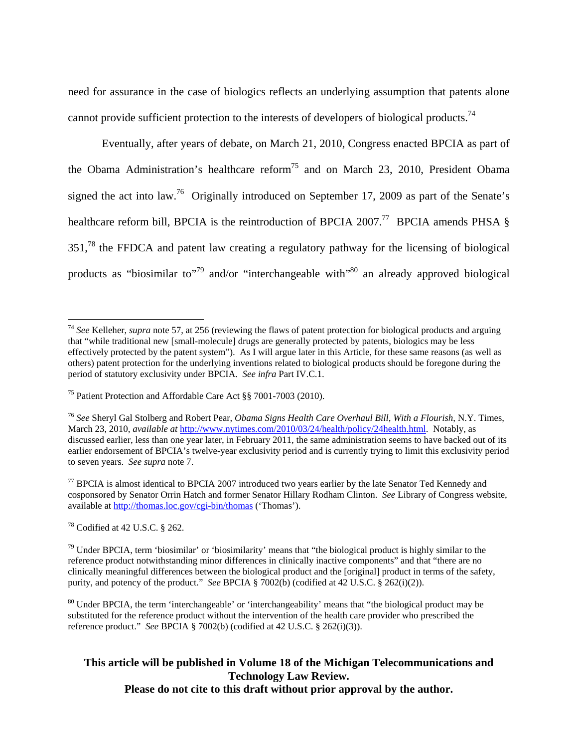need for assurance in the case of biologics reflects an underlying assumption that patents alone cannot provide sufficient protection to the interests of developers of biological products.<sup>74</sup>

Eventually, after years of debate, on March 21, 2010, Congress enacted BPCIA as part of the Obama Administration's healthcare reform75 and on March 23, 2010, President Obama signed the act into law.<sup>76</sup> Originally introduced on September 17, 2009 as part of the Senate's healthcare reform bill, BPCIA is the reintroduction of BPCIA 2007.<sup>77</sup> BPCIA amends PHSA  $\S$ 351.<sup>78</sup> the FFDCA and patent law creating a regulatory pathway for the licensing of biological products as "biosimilar to"<sup>79</sup> and/or "interchangeable with"<sup>80</sup> an already approved biological

 $77$  BPCIA is almost identical to BPCIA 2007 introduced two years earlier by the late Senator Ted Kennedy and cosponsored by Senator Orrin Hatch and former Senator Hillary Rodham Clinton. *See* Library of Congress website, available at http://thomas.loc.gov/cgi-bin/thomas ('Thomas').

78 Codified at 42 U.S.C. § 262.

 $\overline{a}$ <sup>74</sup> *See* Kelleher, *supra* note 57, at 256 (reviewing the flaws of patent protection for biological products and arguing that "while traditional new [small-molecule] drugs are generally protected by patents, biologics may be less effectively protected by the patent system").As I will argue later in this Article, for these same reasons (as well as others) patent protection for the underlying inventions related to biological products should be foregone during the period of statutory exclusivity under BPCIA. *See infra* Part IV.C.1.

<sup>75</sup> Patient Protection and Affordable Care Act §§ 7001-7003 (2010).

<sup>76</sup> *See* Sheryl Gal Stolberg and Robert Pear, *Obama Signs Health Care Overhaul Bill, With a Flourish*, N.Y. Times, March 23, 2010, *available at* http://www.nytimes.com/2010/03/24/health/policy/24health.html. Notably, as discussed earlier, less than one year later, in February 2011, the same administration seems to have backed out of its earlier endorsement of BPCIA's twelve-year exclusivity period and is currently trying to limit this exclusivity period to seven years. *See supra* note 7.

 $79$  Under BPCIA, term 'biosimilar' or 'biosimilarity' means that "the biological product is highly similar to the reference product notwithstanding minor differences in clinically inactive components" and that "there are no clinically meaningful differences between the biological product and the [original] product in terms of the safety, purity, and potency of the product." *See* BPCIA § 7002(b) (codified at 42 U.S.C. § 262(i)(2)).

<sup>&</sup>lt;sup>80</sup> Under BPCIA, the term 'interchangeable' or 'interchangeability' means that "the biological product may be substituted for the reference product without the intervention of the health care provider who prescribed the reference product." *See* BPCIA § 7002(b) (codified at 42 U.S.C. § 262(i)(3)).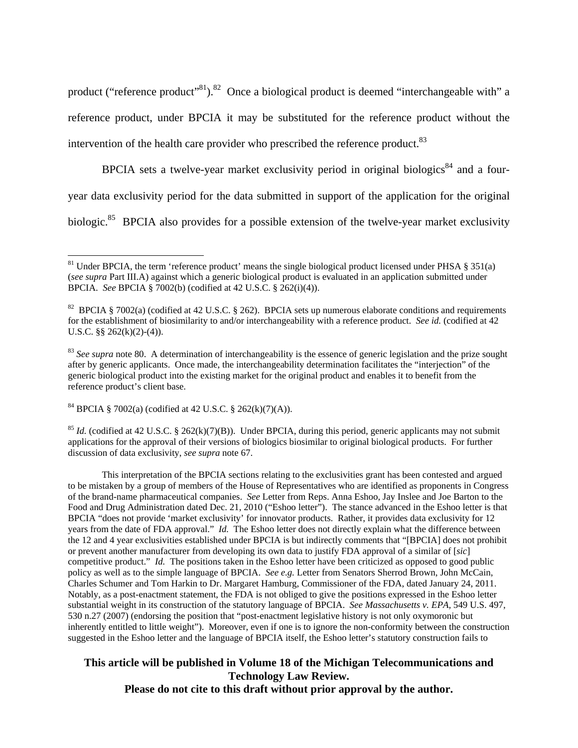product ("reference product"<sup>81</sup>).<sup>82</sup> Once a biological product is deemed "interchangeable with" a reference product, under BPCIA it may be substituted for the reference product without the intervention of the health care provider who prescribed the reference product.<sup>83</sup>

BPCIA sets a twelve-year market exclusivity period in original biologics<sup>84</sup> and a fouryear data exclusivity period for the data submitted in support of the application for the original biologic.<sup>85</sup> BPCIA also provides for a possible extension of the twelve-year market exclusivity

84 BPCIA § 7002(a) (codified at 42 U.S.C. § 262(k)(7)(A)).

 $\overline{a}$ 

<sup>85</sup> *Id.* (codified at 42 U.S.C. § 262(k)(7)(B)). Under BPCIA, during this period, generic applicants may not submit applications for the approval of their versions of biologics biosimilar to original biological products. For further discussion of data exclusivity, *see supra* note 67.

This interpretation of the BPCIA sections relating to the exclusivities grant has been contested and argued to be mistaken by a group of members of the House of Representatives who are identified as proponents in Congress of the brand-name pharmaceutical companies. *See* Letter from Reps. Anna Eshoo, Jay Inslee and Joe Barton to the Food and Drug Administration dated Dec. 21, 2010 ("Eshoo letter"). The stance advanced in the Eshoo letter is that BPCIA "does not provide 'market exclusivity' for innovator products. Rather, it provides data exclusivity for 12 years from the date of FDA approval." *Id.* The Eshoo letter does not directly explain what the difference between the 12 and 4 year exclusivities established under BPCIA is but indirectly comments that "[BPCIA] does not prohibit or prevent another manufacturer from developing its own data to justify FDA approval of a similar of [*sic*] competitive product." *Id.* The positions taken in the Eshoo letter have been criticized as opposed to good public policy as well as to the simple language of BPCIA. *See e.g.* Letter from Senators Sherrod Brown, John McCain, Charles Schumer and Tom Harkin to Dr. Margaret Hamburg, Commissioner of the FDA, dated January 24, 2011. Notably, as a post-enactment statement, the FDA is not obliged to give the positions expressed in the Eshoo letter substantial weight in its construction of the statutory language of BPCIA. *See Massachusetts v. EPA,* 549 U.S. 497, 530 n.27 (2007) (endorsing the position that "post-enactment legislative history is not only oxymoronic but inherently entitled to little weight"). Moreover, even if one is to ignore the non-conformity between the construction suggested in the Eshoo letter and the language of BPCIA itself, the Eshoo letter's statutory construction fails to

<sup>&</sup>lt;sup>81</sup> Under BPCIA, the term 'reference product' means the single biological product licensed under PHSA  $\S 351(a)$ (*see supra* Part III.A) against which a generic biological product is evaluated in an application submitted under BPCIA. *See* BPCIA § 7002(b) (codified at 42 U.S.C. § 262(i)(4)).

<sup>&</sup>lt;sup>82</sup> BPCIA § 7002(a) (codified at 42 U.S.C. § 262). BPCIA sets up numerous elaborate conditions and requirements for the establishment of biosimilarity to and/or interchangeability with a reference product. *See id.* (codified at 42 U.S.C. §§ 262(k)(2)-(4)).

<sup>&</sup>lt;sup>83</sup> See supra note 80. A determination of interchangeability is the essence of generic legislation and the prize sought after by generic applicants. Once made, the interchangeability determination facilitates the "interjection" of the generic biological product into the existing market for the original product and enables it to benefit from the reference product's client base.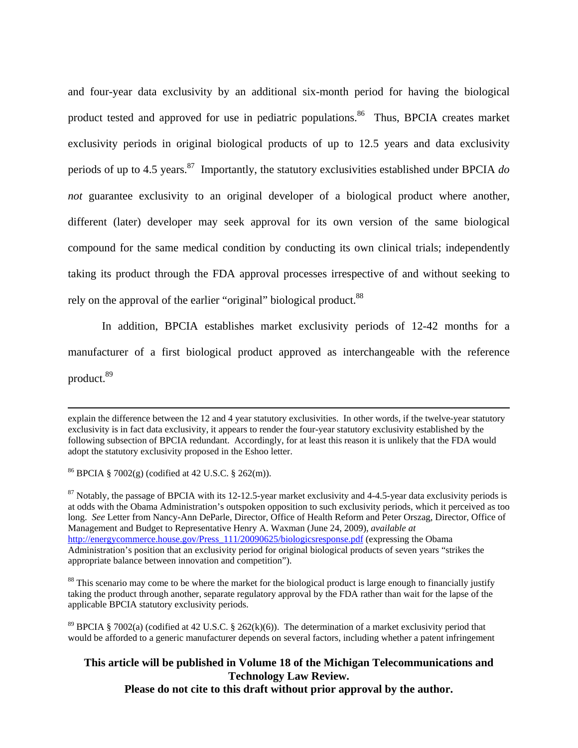and four-year data exclusivity by an additional six-month period for having the biological product tested and approved for use in pediatric populations.<sup>86</sup> Thus, BPCIA creates market exclusivity periods in original biological products of up to 12.5 years and data exclusivity periods of up to 4.5 years.87 Importantly, the statutory exclusivities established under BPCIA *do not* guarantee exclusivity to an original developer of a biological product where another, different (later) developer may seek approval for its own version of the same biological compound for the same medical condition by conducting its own clinical trials; independently taking its product through the FDA approval processes irrespective of and without seeking to rely on the approval of the earlier "original" biological product.<sup>88</sup>

In addition, BPCIA establishes market exclusivity periods of 12-42 months for a manufacturer of a first biological product approved as interchangeable with the reference product.89

<sup>88</sup> This scenario may come to be where the market for the biological product is large enough to financially justify taking the product through another, separate regulatory approval by the FDA rather than wait for the lapse of the applicable BPCIA statutory exclusivity periods.

<sup>89</sup> BPCIA § 7002(a) (codified at 42 U.S.C. § 262(k)(6)). The determination of a market exclusivity period that would be afforded to a generic manufacturer depends on several factors, including whether a patent infringement

explain the difference between the 12 and 4 year statutory exclusivities. In other words, if the twelve-year statutory exclusivity is in fact data exclusivity, it appears to render the four-year statutory exclusivity established by the following subsection of BPCIA redundant. Accordingly, for at least this reason it is unlikely that the FDA would adopt the statutory exclusivity proposed in the Eshoo letter.

<sup>&</sup>lt;sup>86</sup> BPCIA § 7002(g) (codified at 42 U.S.C. § 262(m)).

 $87$  Notably, the passage of BPCIA with its 12-12.5-year market exclusivity and 4-4.5-year data exclusivity periods is at odds with the Obama Administration's outspoken opposition to such exclusivity periods, which it perceived as too long. *See* Letter from Nancy-Ann DeParle, Director, Office of Health Reform and Peter Orszag, Director, Office of Management and Budget to Representative Henry A. Waxman (June 24, 2009), *available at*  http://energycommerce.house.gov/Press\_111/20090625/biologicsresponse.pdf (expressing the Obama Administration's position that an exclusivity period for original biological products of seven years "strikes the appropriate balance between innovation and competition").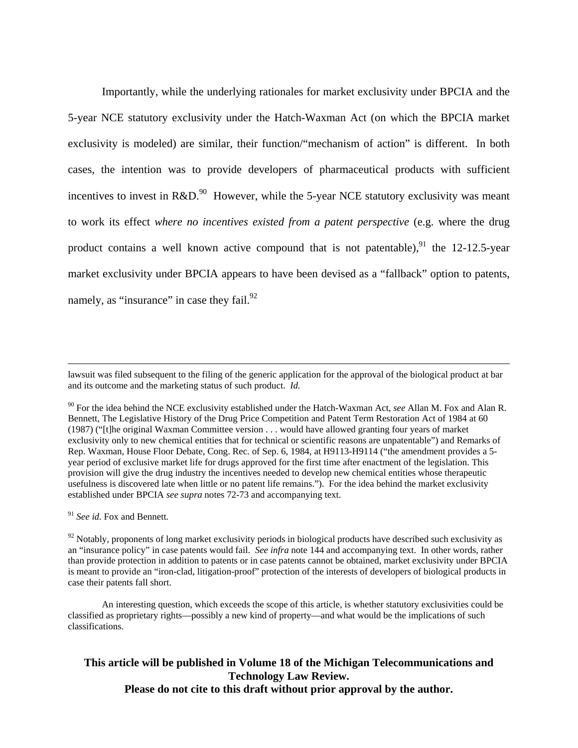Importantly, while the underlying rationales for market exclusivity under BPCIA and the 5-year NCE statutory exclusivity under the Hatch-Waxman Act (on which the BPCIA market exclusivity is modeled) are similar, their function/"mechanism of action" is different. In both cases, the intention was to provide developers of pharmaceutical products with sufficient incentives to invest in  $R&D$ <sup>90</sup> However, while the 5-year NCE statutory exclusivity was meant to work its effect *where no incentives existed from a patent perspective* (e.g. where the drug product contains a well known active compound that is not patentable), <sup>91</sup> the 12-12.5-year market exclusivity under BPCIA appears to have been devised as a "fallback" option to patents, namely, as "insurance" in case they fail. $^{92}$ 

<sup>91</sup> *See id.* Fox and Bennett*.*

 $92$  Notably, proponents of long market exclusivity periods in biological products have described such exclusivity as an "insurance policy" in case patents would fail. *See infra* note 144 and accompanying text. In other words, rather than provide protection in addition to patents or in case patents cannot be obtained, market exclusivity under BPCIA is meant to provide an "iron-clad, litigation-proof" protection of the interests of developers of biological products in case their patents fall short.

An interesting question, which exceeds the scope of this article, is whether statutory exclusivities could be classified as proprietary rights—possibly a new kind of property—and what would be the implications of such classifications.

lawsuit was filed subsequent to the filing of the generic application for the approval of the biological product at bar and its outcome and the marketing status of such product. *Id.* 

<sup>90</sup> For the idea behind the NCE exclusivity established under the Hatch-Waxman Act, *see* Allan M. Fox and Alan R. Bennett, The Legislative History of the Drug Price Competition and Patent Term Restoration Act of 1984 at 60 (1987) ("[t]he original Waxman Committee version . . . would have allowed granting four years of market exclusivity only to new chemical entities that for technical or scientific reasons are unpatentable") and Remarks of Rep. Waxman, House Floor Debate, Cong. Rec. of Sep. 6, 1984, at H9113-H9114 ("the amendment provides a 5 year period of exclusive market life for drugs approved for the first time after enactment of the legislation. This provision will give the drug industry the incentives needed to develop new chemical entities whose therapeutic usefulness is discovered late when little or no patent life remains."). For the idea behind the market exclusivity established under BPCIA *see supra* notes 72-73 and accompanying text.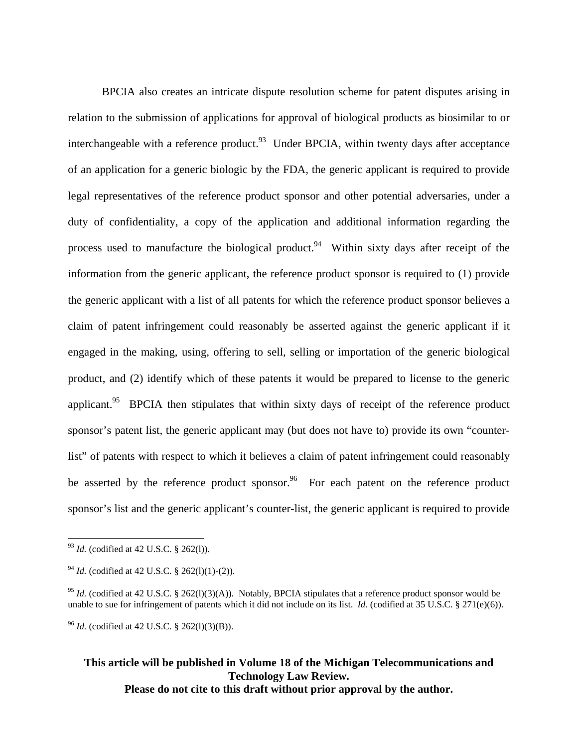BPCIA also creates an intricate dispute resolution scheme for patent disputes arising in relation to the submission of applications for approval of biological products as biosimilar to or interchangeable with a reference product. <sup>93</sup> Under BPCIA, within twenty days after acceptance of an application for a generic biologic by the FDA, the generic applicant is required to provide legal representatives of the reference product sponsor and other potential adversaries, under a duty of confidentiality, a copy of the application and additional information regarding the process used to manufacture the biological product.<sup>94</sup> Within sixty days after receipt of the information from the generic applicant, the reference product sponsor is required to (1) provide the generic applicant with a list of all patents for which the reference product sponsor believes a claim of patent infringement could reasonably be asserted against the generic applicant if it engaged in the making, using, offering to sell, selling or importation of the generic biological product, and (2) identify which of these patents it would be prepared to license to the generic applicant.<sup>95</sup> BPCIA then stipulates that within sixty days of receipt of the reference product sponsor's patent list, the generic applicant may (but does not have to) provide its own "counterlist" of patents with respect to which it believes a claim of patent infringement could reasonably be asserted by the reference product sponsor.<sup>96</sup> For each patent on the reference product sponsor's list and the generic applicant's counter-list, the generic applicant is required to provide

 $\overline{a}$ 

<sup>96</sup> *Id.* (codified at 42 U.S.C. § 262(l)(3)(B)).

<sup>93</sup> *Id.* (codified at 42 U.S.C. § 262(l)).

<sup>&</sup>lt;sup>94</sup> *Id.* (codified at 42 U.S.C. § 262(1)(1)-(2)).

<sup>&</sup>lt;sup>95</sup> *Id.* (codified at 42 U.S.C. § 262(1)(3)(A)). Notably, BPCIA stipulates that a reference product sponsor would be unable to sue for infringement of patents which it did not include on its list. *Id.* (codified at 35 U.S.C. § 271(e)(6)).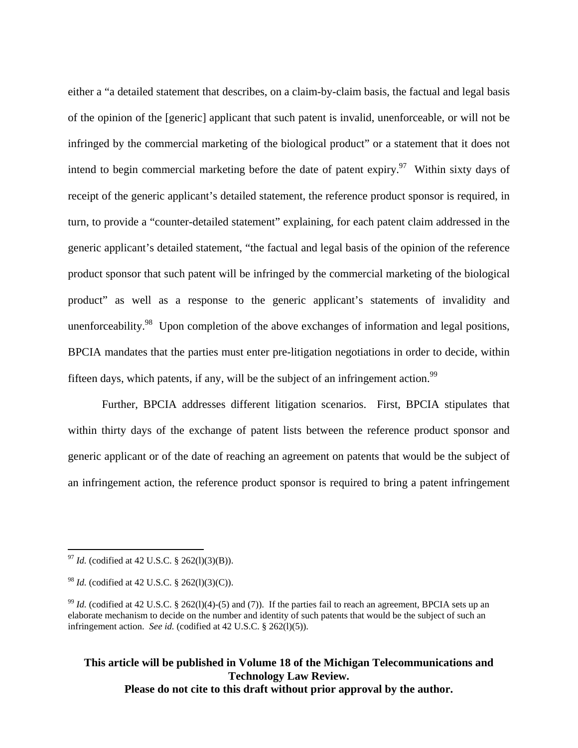either a "a detailed statement that describes, on a claim-by-claim basis, the factual and legal basis of the opinion of the [generic] applicant that such patent is invalid, unenforceable, or will not be infringed by the commercial marketing of the biological product" or a statement that it does not intend to begin commercial marketing before the date of patent expiry.<sup>97</sup> Within sixty days of receipt of the generic applicant's detailed statement, the reference product sponsor is required, in turn, to provide a "counter-detailed statement" explaining, for each patent claim addressed in the generic applicant's detailed statement, "the factual and legal basis of the opinion of the reference product sponsor that such patent will be infringed by the commercial marketing of the biological product" as well as a response to the generic applicant's statements of invalidity and unenforceability.<sup>98</sup> Upon completion of the above exchanges of information and legal positions, BPCIA mandates that the parties must enter pre-litigation negotiations in order to decide, within fifteen days, which patents, if any, will be the subject of an infringement action.<sup>99</sup>

 Further, BPCIA addresses different litigation scenarios. First, BPCIA stipulates that within thirty days of the exchange of patent lists between the reference product sponsor and generic applicant or of the date of reaching an agreement on patents that would be the subject of an infringement action, the reference product sponsor is required to bring a patent infringement

 $\overline{a}$ 

<sup>97</sup> *Id.* (codified at 42 U.S.C. § 262(l)(3)(B)).

<sup>98</sup> *Id.* (codified at 42 U.S.C. § 262(l)(3)(C)).

<sup>&</sup>lt;sup>99</sup> *Id.* (codified at 42 U.S.C. § 262(1)(4)-(5) and (7)). If the parties fail to reach an agreement, BPCIA sets up an elaborate mechanism to decide on the number and identity of such patents that would be the subject of such an infringement action. *See id.* (codified at 42 U.S.C. § 262(l)(5)).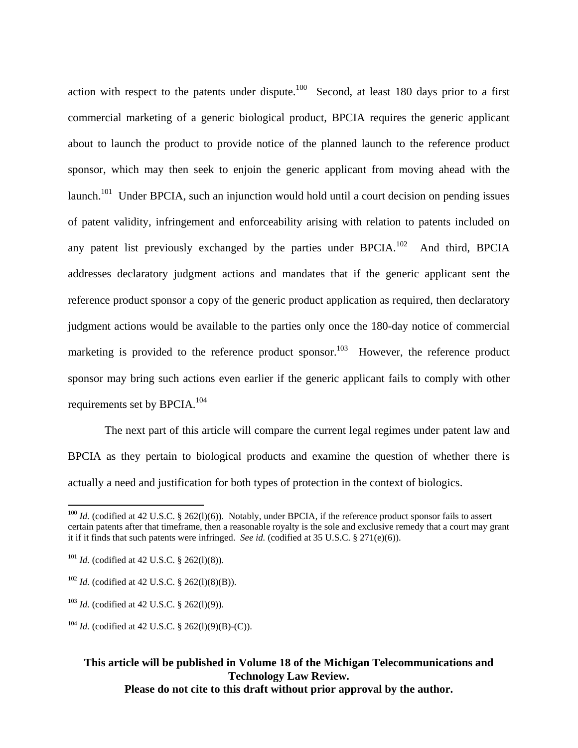action with respect to the patents under dispute.<sup>100</sup> Second, at least 180 days prior to a first commercial marketing of a generic biological product, BPCIA requires the generic applicant about to launch the product to provide notice of the planned launch to the reference product sponsor, which may then seek to enjoin the generic applicant from moving ahead with the launch.<sup>101</sup> Under BPCIA, such an injunction would hold until a court decision on pending issues of patent validity, infringement and enforceability arising with relation to patents included on any patent list previously exchanged by the parties under  $BPCIA$ <sup>102</sup> And third, BPCIA addresses declaratory judgment actions and mandates that if the generic applicant sent the reference product sponsor a copy of the generic product application as required, then declaratory judgment actions would be available to the parties only once the 180-day notice of commercial marketing is provided to the reference product sponsor.<sup>103</sup> However, the reference product sponsor may bring such actions even earlier if the generic applicant fails to comply with other requirements set by BPCIA.104

 The next part of this article will compare the current legal regimes under patent law and BPCIA as they pertain to biological products and examine the question of whether there is actually a need and justification for both types of protection in the context of biologics.

 $\overline{a}$ 

<sup>&</sup>lt;sup>100</sup> *Id.* (codified at 42 U.S.C. § 262(1)(6)). Notably, under BPCIA, if the reference product sponsor fails to assert certain patents after that timeframe, then a reasonable royalty is the sole and exclusive remedy that a court may grant it if it finds that such patents were infringed. *See id.* (codified at 35 U.S.C. § 271(e)(6)).

<sup>&</sup>lt;sup>101</sup> *Id.* (codified at 42 U.S.C. § 262(1)(8)).

 $102$  *Id.* (codified at 42 U.S.C. § 262(1)(8)(B)).

<sup>103</sup> *Id.* (codified at 42 U.S.C. § 262(l)(9)).

<sup>&</sup>lt;sup>104</sup> *Id.* (codified at 42 U.S.C. § 262(1)(9)(B)-(C)).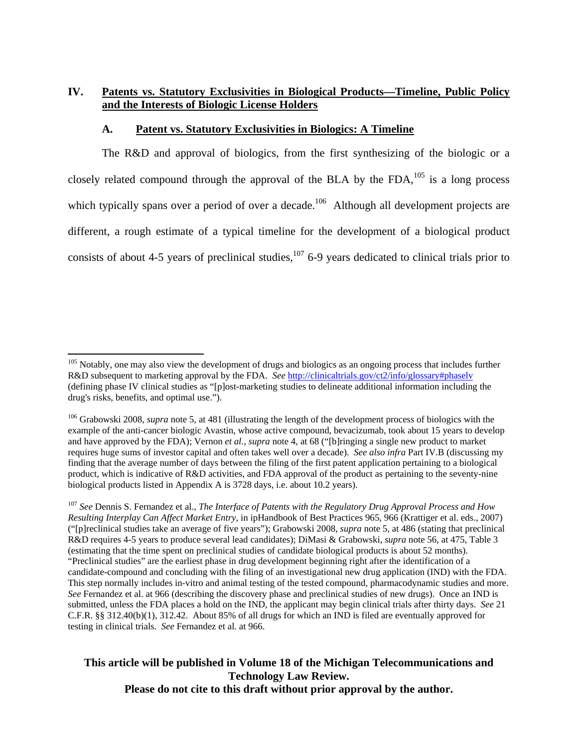# **IV. Patents vs. Statutory Exclusivities in Biological Products—Timeline, Public Policy and the Interests of Biologic License Holders**

### **A. Patent vs. Statutory Exclusivities in Biologics: A Timeline**

The R&D and approval of biologics, from the first synthesizing of the biologic or a closely related compound through the approval of the BLA by the FDA, $^{105}$  is a long process which typically spans over a period of over a decade.<sup>106</sup> Although all development projects are different, a rough estimate of a typical timeline for the development of a biological product consists of about 4-5 years of preclinical studies, $107$  6-9 years dedicated to clinical trials prior to

 $\overline{a}$ 

<sup>&</sup>lt;sup>105</sup> Notably, one may also view the development of drugs and biologics as an ongoing process that includes further R&D subsequent to marketing approval by the FDA. *See* http://clinicaltrials.gov/ct2/info/glossary#phaselv (defining phase IV clinical studies as "[p]ost-marketing studies to delineate additional information including the drug's risks, benefits, and optimal use.").

<sup>106</sup> Grabowski 2008, *supra* note 5, at 481 (illustrating the length of the development process of biologics with the example of the anti-cancer biologic Avastin, whose active compound, bevacizumab, took about 15 years to develop and have approved by the FDA); Vernon *et al.*, *supra* note 4, at 68 ("[b]ringing a single new product to market requires huge sums of investor capital and often takes well over a decade). *See also infra* Part IV.B (discussing my finding that the average number of days between the filing of the first patent application pertaining to a biological product, which is indicative of R&D activities, and FDA approval of the product as pertaining to the seventy-nine biological products listed in Appendix A is 3728 days, i.e. about 10.2 years).

<sup>107</sup> *See* Dennis S. Fernandez et al., *The Interface of Patents with the Regulatory Drug Approval Process and How Resulting Interplay Can Affect Market Entry*, in ipHandbook of Best Practices 965, 966 (Krattiger et al. eds., 2007) ("[p]reclinical studies take an average of five years"); Grabowski 2008, *supra* note 5, at 486 (stating that preclinical R&D requires 4-5 years to produce several lead candidates); DiMasi & Grabowski, *supra* note 56, at 475, Table 3 (estimating that the time spent on preclinical studies of candidate biological products is about 52 months). "Preclinical studies" are the earliest phase in drug development beginning right after the identification of a candidate-compound and concluding with the filing of an investigational new drug application (IND) with the FDA. This step normally includes in-vitro and animal testing of the tested compound, pharmacodynamic studies and more. *See* Fernandez et al. at 966 (describing the discovery phase and preclinical studies of new drugs). Once an IND is submitted, unless the FDA places a hold on the IND, the applicant may begin clinical trials after thirty days. *See* 21 C.F.R. §§ 312.40(b)(1), 312.42. About 85% of all drugs for which an IND is filed are eventually approved for testing in clinical trials. *See* Fernandez et al. at 966.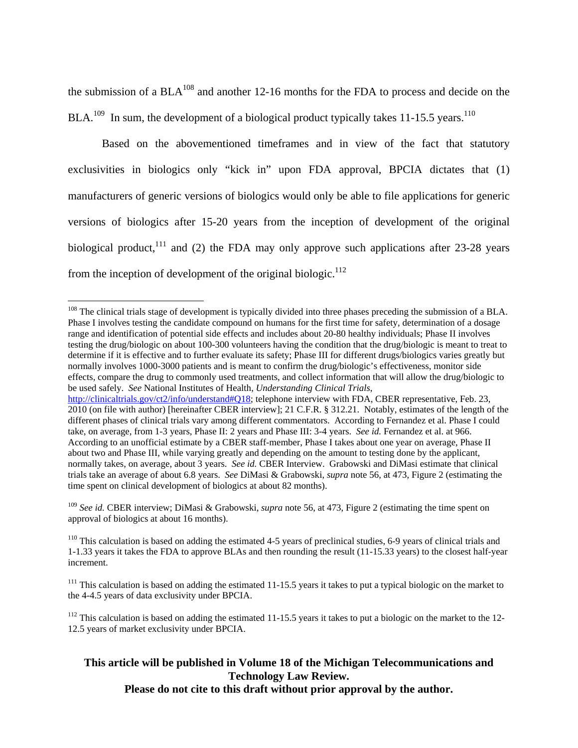the submission of a  $BLA<sup>108</sup>$  and another 12-16 months for the FDA to process and decide on the  $BLA<sup>109</sup>$  In sum, the development of a biological product typically takes 11-15.5 years.<sup>110</sup>

Based on the abovementioned timeframes and in view of the fact that statutory exclusivities in biologics only "kick in" upon FDA approval, BPCIA dictates that (1) manufacturers of generic versions of biologics would only be able to file applications for generic versions of biologics after 15-20 years from the inception of development of the original biological product,<sup>111</sup> and (2) the FDA may only approve such applications after 23-28 years from the inception of development of the original biologic. $112$ 

 $\overline{a}$ 

<sup>109</sup> *See id.* CBER interview; DiMasi & Grabowski, *supra* note 56, at 473, Figure 2 (estimating the time spent on approval of biologics at about 16 months).

# **This article will be published in Volume 18 of the Michigan Telecommunications and Technology Law Review.**

**Please do not cite to this draft without prior approval by the author.** 

 $108$  The clinical trials stage of development is typically divided into three phases preceding the submission of a BLA. Phase I involves testing the candidate compound on humans for the first time for safety, determination of a dosage range and identification of potential side effects and includes about 20-80 healthy individuals; Phase II involves testing the drug/biologic on about 100-300 volunteers having the condition that the drug/biologic is meant to treat to determine if it is effective and to further evaluate its safety; Phase III for different drugs/biologics varies greatly but normally involves 1000-3000 patients and is meant to confirm the drug/biologic's effectiveness, monitor side effects, compare the drug to commonly used treatments, and collect information that will allow the drug/biologic to be used safely. *See* National Institutes of Health, *Understanding Clinical Trials*,

http://clinicaltrials.gov/ct2/info/understand#018; telephone interview with FDA, CBER representative, Feb. 23, 2010 (on file with author) [hereinafter CBER interview]; 21 C.F.R. § 312.21. Notably, estimates of the length of the different phases of clinical trials vary among different commentators. According to Fernandez et al. Phase I could take, on average, from 1-3 years, Phase II: 2 years and Phase III: 3-4 years. *See id.* Fernandez et al. at 966. According to an unofficial estimate by a CBER staff-member, Phase I takes about one year on average, Phase II about two and Phase III, while varying greatly and depending on the amount to testing done by the applicant, normally takes, on average, about 3 years. *See id.* CBER Interview. Grabowski and DiMasi estimate that clinical trials take an average of about 6.8 years. *See* DiMasi & Grabowski, *supra* note 56, at 473, Figure 2 (estimating the time spent on clinical development of biologics at about 82 months).

 $110$  This calculation is based on adding the estimated 4-5 years of preclinical studies, 6-9 years of clinical trials and 1-1.33 years it takes the FDA to approve BLAs and then rounding the result (11-15.33 years) to the closest half-year increment.

 $^{111}$  This calculation is based on adding the estimated 11-15.5 years it takes to put a typical biologic on the market to the 4-4.5 years of data exclusivity under BPCIA.

 $112$  This calculation is based on adding the estimated 11-15.5 years it takes to put a biologic on the market to the 12-12.5 years of market exclusivity under BPCIA.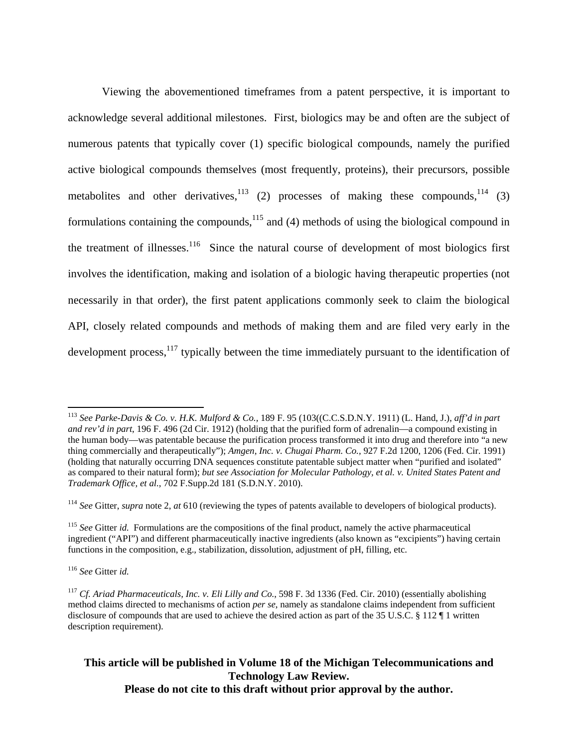Viewing the abovementioned timeframes from a patent perspective, it is important to acknowledge several additional milestones. First, biologics may be and often are the subject of numerous patents that typically cover (1) specific biological compounds, namely the purified active biological compounds themselves (most frequently, proteins), their precursors, possible metabolites and other derivatives, $113$  (2) processes of making these compounds, $114$  (3) formulations containing the compounds,<sup>115</sup> and (4) methods of using the biological compound in the treatment of illnesses.<sup>116</sup> Since the natural course of development of most biologics first involves the identification, making and isolation of a biologic having therapeutic properties (not necessarily in that order), the first patent applications commonly seek to claim the biological API, closely related compounds and methods of making them and are filed very early in the development process, $117$  typically between the time immediately pursuant to the identification of

<sup>116</sup> *See* Gitter *id.*

 $\overline{a}$ 

<sup>113</sup> *See Parke-Davis & Co. v. H.K. Mulford & Co.,* 189 F. 95 (103((C.C.S.D.N.Y. 1911) (L. Hand, J.), *aff'd in part and rev'd in part*, 196 F. 496 (2d Cir. 1912) (holding that the purified form of adrenalin—a compound existing in the human body—was patentable because the purification process transformed it into drug and therefore into "a new thing commercially and therapeutically"); *Amgen, Inc. v. Chugai Pharm. Co.,* 927 F.2d 1200, 1206 (Fed. Cir. 1991) (holding that naturally occurring DNA sequences constitute patentable subject matter when "purified and isolated" as compared to their natural form); *but see Association for Molecular Pathology, et al. v. United States Patent and Trademark Office, et al.*, 702 F.Supp.2d 181 (S.D.N.Y. 2010).

<sup>114</sup> *See* Gitter, *supra* note 2, *at* 610 (reviewing the types of patents available to developers of biological products).

<sup>115</sup> *See* Gitter *id.* Formulations are the compositions of the final product, namely the active pharmaceutical ingredient ("API") and different pharmaceutically inactive ingredients (also known as "excipients") having certain functions in the composition, e.g.*,* stabilization, dissolution, adjustment of pH, filling, etc.

<sup>117</sup> *Cf. Ariad Pharmaceuticals, Inc. v. Eli Lilly and Co.*, 598 F. 3d 1336 (Fed. Cir. 2010) (essentially abolishing method claims directed to mechanisms of action *per se*, namely as standalone claims independent from sufficient disclosure of compounds that are used to achieve the desired action as part of the 35 U.S.C. § 112 ¶ 1 written description requirement).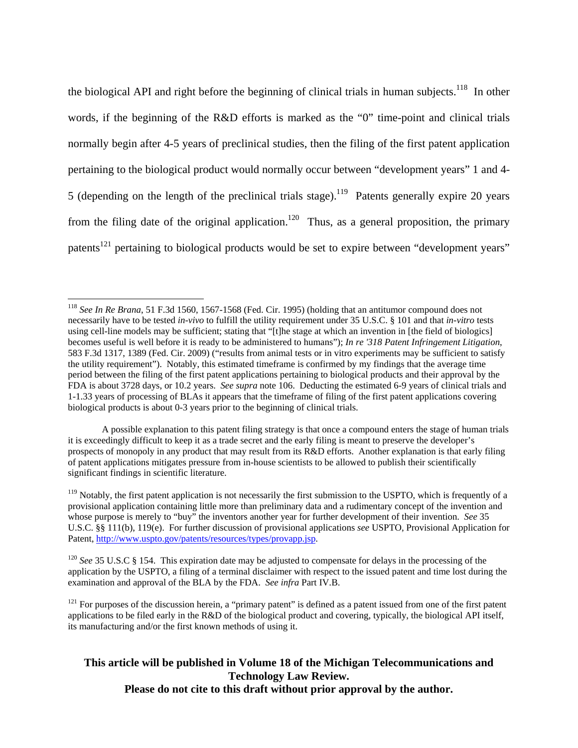the biological API and right before the beginning of clinical trials in human subjects.<sup>118</sup> In other words, if the beginning of the R&D efforts is marked as the "0" time-point and clinical trials normally begin after 4-5 years of preclinical studies, then the filing of the first patent application pertaining to the biological product would normally occur between "development years" 1 and 4- 5 (depending on the length of the preclinical trials stage).<sup>119</sup> Patents generally expire 20 years from the filing date of the original application.<sup>120</sup> Thus, as a general proposition, the primary patents<sup>121</sup> pertaining to biological products would be set to expire between "development years"

 $\overline{a}$ 

<sup>118</sup> *See In Re Brana*, 51 F.3d 1560, 1567-1568 (Fed. Cir. 1995) (holding that an antitumor compound does not necessarily have to be tested *in-vivo* to fulfill the utility requirement under 35 U.S.C. § 101 and that *in-vitro* tests using cell-line models may be sufficient; stating that "[t]he stage at which an invention in [the field of biologics] becomes useful is well before it is ready to be administered to humans"); *In re '318 Patent Infringement Litigation*, 583 F.3d 1317, 1389 (Fed. Cir. 2009) ("results from animal tests or in vitro experiments may be sufficient to satisfy the utility requirement"). Notably, this estimated timeframe is confirmed by my findings that the average time period between the filing of the first patent applications pertaining to biological products and their approval by the FDA is about 3728 days, or 10.2 years. *See supra* note 106. Deducting the estimated 6-9 years of clinical trials and 1-1.33 years of processing of BLAs it appears that the timeframe of filing of the first patent applications covering biological products is about 0-3 years prior to the beginning of clinical trials.

A possible explanation to this patent filing strategy is that once a compound enters the stage of human trials it is exceedingly difficult to keep it as a trade secret and the early filing is meant to preserve the developer's prospects of monopoly in any product that may result from its R&D efforts. Another explanation is that early filing of patent applications mitigates pressure from in-house scientists to be allowed to publish their scientifically significant findings in scientific literature.

 $119$  Notably, the first patent application is not necessarily the first submission to the USPTO, which is frequently of a provisional application containing little more than preliminary data and a rudimentary concept of the invention and whose purpose is merely to "buy" the inventors another year for further development of their invention. *See* 35 U.S.C. §§ 111(b), 119(e). For further discussion of provisional applications *see* USPTO, Provisional Application for Patent, http://www.uspto.gov/patents/resources/types/provapp.jsp.

<sup>&</sup>lt;sup>120</sup> *See* 35 U.S.C § 154. This expiration date may be adjusted to compensate for delays in the processing of the application by the USPTO, a filing of a terminal disclaimer with respect to the issued patent and time lost during the examination and approval of the BLA by the FDA. *See infra* Part IV.B.

 $121$  For purposes of the discussion herein, a "primary patent" is defined as a patent issued from one of the first patent applications to be filed early in the R&D of the biological product and covering, typically, the biological API itself, its manufacturing and/or the first known methods of using it.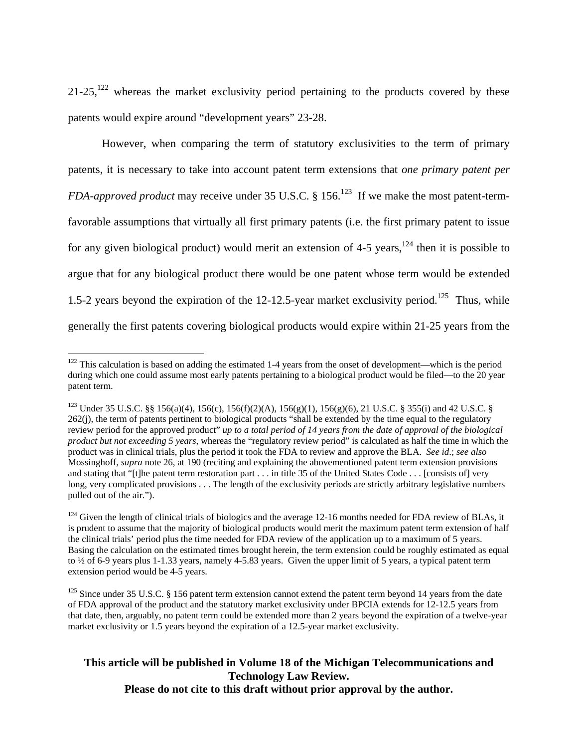$21-25$ ,<sup>122</sup> whereas the market exclusivity period pertaining to the products covered by these patents would expire around "development years" 23-28.

However, when comparing the term of statutory exclusivities to the term of primary patents, it is necessary to take into account patent term extensions that *one primary patent per FDA-approved product* may receive under 35 U.S.C. § 156.<sup>123</sup> If we make the most patent-termfavorable assumptions that virtually all first primary patents (i.e. the first primary patent to issue for any given biological product) would merit an extension of 4-5 years,  $124$  then it is possible to argue that for any biological product there would be one patent whose term would be extended 1.5-2 years beyond the expiration of the 12-12.5-year market exclusivity period.<sup>125</sup> Thus, while generally the first patents covering biological products would expire within 21-25 years from the

 $\overline{a}$ 

 $122$  This calculation is based on adding the estimated 1-4 years from the onset of development—which is the period during which one could assume most early patents pertaining to a biological product would be filed—to the 20 year patent term.

<sup>&</sup>lt;sup>123</sup> Under 35 U.S.C. §§ 156(a)(4), 156(c), 156(f)(2)(A), 156(g)(1), 156(g)(6), 21 U.S.C. § 355(i) and 42 U.S.C. § 262(j), the term of patents pertinent to biological products "shall be extended by the time equal to the regulatory review period for the approved product" *up to a total period of 14 years from the date of approval of the biological product but not exceeding 5 years,* whereas the "regulatory review period" is calculated as half the time in which the product was in clinical trials, plus the period it took the FDA to review and approve the BLA. *See id*.; *see also*  Mossinghoff, *supra* note 26, at 190 (reciting and explaining the abovementioned patent term extension provisions and stating that "[t]he patent term restoration part . . . in title 35 of the United States Code . . . [consists of] very long, very complicated provisions . . . The length of the exclusivity periods are strictly arbitrary legislative numbers pulled out of the air.").

 $124$  Given the length of clinical trials of biologics and the average 12-16 months needed for FDA review of BLAs, it is prudent to assume that the majority of biological products would merit the maximum patent term extension of half the clinical trials' period plus the time needed for FDA review of the application up to a maximum of 5 years. Basing the calculation on the estimated times brought herein, the term extension could be roughly estimated as equal to ½ of 6-9 years plus 1-1.33 years, namely 4-5.83 years. Given the upper limit of 5 years, a typical patent term extension period would be 4-5 years.

 $125$  Since under 35 U.S.C. § 156 patent term extension cannot extend the patent term beyond 14 years from the date of FDA approval of the product and the statutory market exclusivity under BPCIA extends for 12-12.5 years from that date, then, arguably, no patent term could be extended more than 2 years beyond the expiration of a twelve-year market exclusivity or 1.5 years beyond the expiration of a 12.5-year market exclusivity.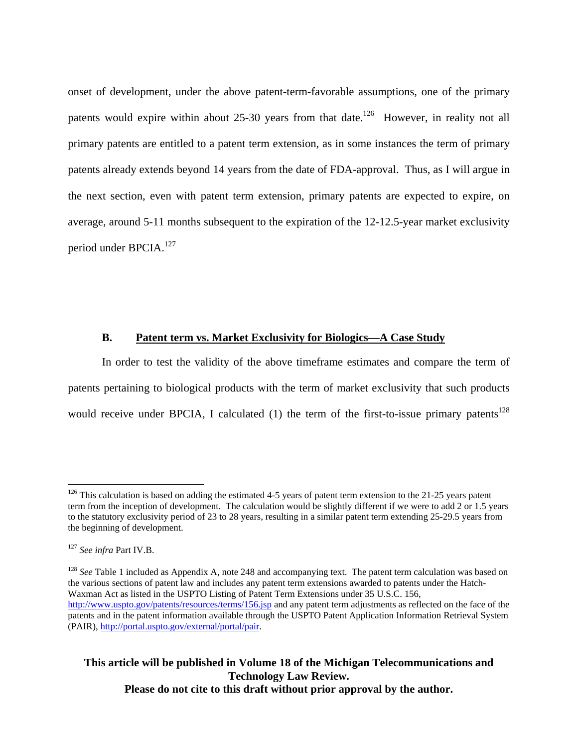onset of development, under the above patent-term-favorable assumptions, one of the primary patents would expire within about 25-30 years from that date.<sup>126</sup> However, in reality not all primary patents are entitled to a patent term extension, as in some instances the term of primary patents already extends beyond 14 years from the date of FDA-approval. Thus, as I will argue in the next section, even with patent term extension, primary patents are expected to expire, on average, around 5-11 months subsequent to the expiration of the 12-12.5-year market exclusivity period under BPCIA.<sup>127</sup>

#### **B. Patent term vs. Market Exclusivity for Biologics—A Case Study**

In order to test the validity of the above timeframe estimates and compare the term of patents pertaining to biological products with the term of market exclusivity that such products would receive under BPCIA, I calculated  $(1)$  the term of the first-to-issue primary patents<sup>128</sup>

1

 $126$  This calculation is based on adding the estimated 4-5 years of patent term extension to the 21-25 years patent term from the inception of development. The calculation would be slightly different if we were to add 2 or 1.5 years to the statutory exclusivity period of 23 to 28 years, resulting in a similar patent term extending 25-29.5 years from the beginning of development.

<sup>127</sup> *See infra* Part IV.B.

<sup>&</sup>lt;sup>128</sup> See Table 1 included as Appendix A, note 248 and accompanying text. The patent term calculation was based on the various sections of patent law and includes any patent term extensions awarded to patents under the Hatch-Waxman Act as listed in the USPTO Listing of Patent Term Extensions under 35 U.S.C. 156, http://www.uspto.gov/patents/resources/terms/156.jsp and any patent term adjustments as reflected on the face of the patents and in the patent information available through the USPTO Patent Application Information Retrieval System (PAIR), http://portal.uspto.gov/external/portal/pair.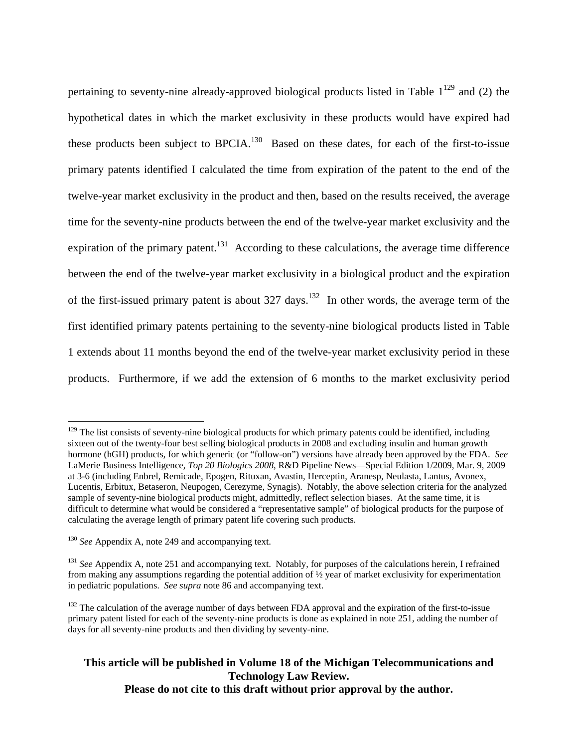pertaining to seventy-nine already-approved biological products listed in Table  $1^{129}$  and (2) the hypothetical dates in which the market exclusivity in these products would have expired had these products been subject to BPCIA.<sup>130</sup> Based on these dates, for each of the first-to-issue primary patents identified I calculated the time from expiration of the patent to the end of the twelve-year market exclusivity in the product and then, based on the results received, the average time for the seventy-nine products between the end of the twelve-year market exclusivity and the expiration of the primary patent.<sup>131</sup> According to these calculations, the average time difference between the end of the twelve-year market exclusivity in a biological product and the expiration of the first-issued primary patent is about  $327 \text{ days}$ .<sup>132</sup> In other words, the average term of the first identified primary patents pertaining to the seventy-nine biological products listed in Table 1 extends about 11 months beyond the end of the twelve-year market exclusivity period in these products. Furthermore, if we add the extension of 6 months to the market exclusivity period

1

 $129$  The list consists of seventy-nine biological products for which primary patents could be identified, including sixteen out of the twenty-four best selling biological products in 2008 and excluding insulin and human growth hormone (hGH) products, for which generic (or "follow-on") versions have already been approved by the FDA. *See*  LaMerie Business Intelligence, *Top 20 Biologics 2008*, R&D Pipeline News—Special Edition 1/2009, Mar. 9, 2009 at 3-6 (including Enbrel, Remicade, Epogen, Rituxan, Avastin, Herceptin, Aranesp, Neulasta, Lantus, Avonex, Lucentis, Erbitux, Betaseron, Neupogen, Cerezyme, Synagis). Notably, the above selection criteria for the analyzed sample of seventy-nine biological products might, admittedly, reflect selection biases. At the same time, it is difficult to determine what would be considered a "representative sample" of biological products for the purpose of calculating the average length of primary patent life covering such products.

<sup>&</sup>lt;sup>130</sup> *See* Appendix A, note 249 and accompanying text.

<sup>&</sup>lt;sup>131</sup> *See* Appendix A, note 251 and accompanying text. Notably, for purposes of the calculations herein, I refrained from making any assumptions regarding the potential addition of ½ year of market exclusivity for experimentation in pediatric populations. *See supra* note 86 and accompanying text.

<sup>&</sup>lt;sup>132</sup> The calculation of the average number of days between FDA approval and the expiration of the first-to-issue primary patent listed for each of the seventy-nine products is done as explained in note 251, adding the number of days for all seventy-nine products and then dividing by seventy-nine.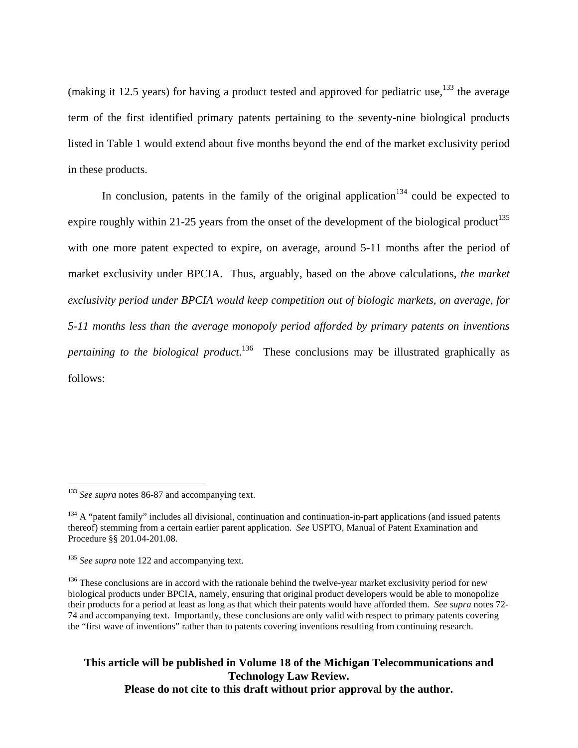(making it 12.5 years) for having a product tested and approved for pediatric use,  $^{133}$  the average term of the first identified primary patents pertaining to the seventy-nine biological products listed in Table 1 would extend about five months beyond the end of the market exclusivity period in these products.

In conclusion, patents in the family of the original application<sup>134</sup> could be expected to expire roughly within 21-25 years from the onset of the development of the biological product<sup>135</sup> with one more patent expected to expire, on average, around 5-11 months after the period of market exclusivity under BPCIA. Thus, arguably, based on the above calculations, *the market exclusivity period under BPCIA would keep competition out of biologic markets, on average, for 5-11 months less than the average monopoly period afforded by primary patents on inventions pertaining to the biological product*. 136 These conclusions may be illustrated graphically as follows:

<u>.</u>

<sup>&</sup>lt;sup>133</sup> *See supra* notes 86-87 and accompanying text.

 $134$  A "patent family" includes all divisional, continuation and continuation-in-part applications (and issued patents thereof) stemming from a certain earlier parent application. *See* USPTO, Manual of Patent Examination and Procedure §§ 201.04-201.08.

<sup>&</sup>lt;sup>135</sup> *See supra* note 122 and accompanying text.

<sup>&</sup>lt;sup>136</sup> These conclusions are in accord with the rationale behind the twelve-year market exclusivity period for new biological products under BPCIA, namely, ensuring that original product developers would be able to monopolize their products for a period at least as long as that which their patents would have afforded them. *See supra* notes 72- 74 and accompanying text. Importantly, these conclusions are only valid with respect to primary patents covering the "first wave of inventions" rather than to patents covering inventions resulting from continuing research.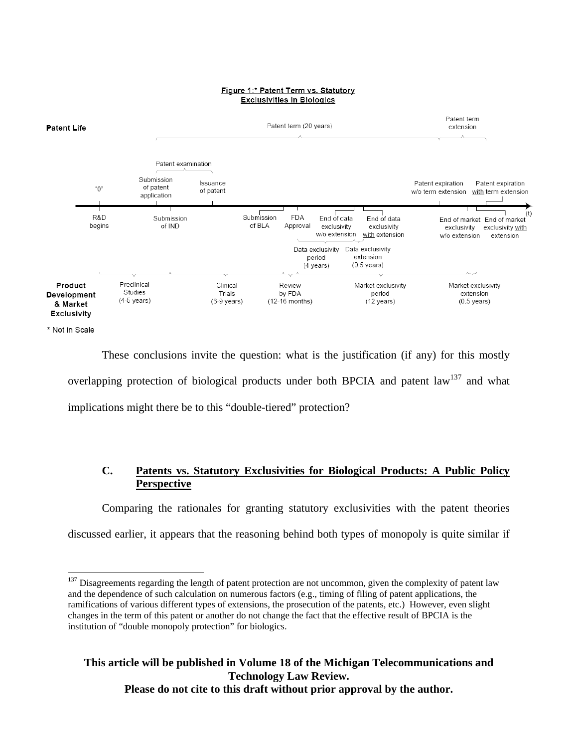

Figure 1:\* Patent Term vs. Statutory

\* Not in Scale

 $\overline{a}$ 

These conclusions invite the question: what is the justification (if any) for this mostly overlapping protection of biological products under both BPCIA and patent  $law<sup>137</sup>$  and what implications might there be to this "double-tiered" protection?

# **C. Patents vs. Statutory Exclusivities for Biological Products: A Public Policy Perspective**

Comparing the rationales for granting statutory exclusivities with the patent theories discussed earlier, it appears that the reasoning behind both types of monopoly is quite similar if

 $137$  Disagreements regarding the length of patent protection are not uncommon, given the complexity of patent law and the dependence of such calculation on numerous factors (e.g.*,* timing of filing of patent applications, the ramifications of various different types of extensions, the prosecution of the patents, etc.) However, even slight changes in the term of this patent or another do not change the fact that the effective result of BPCIA is the institution of "double monopoly protection" for biologics.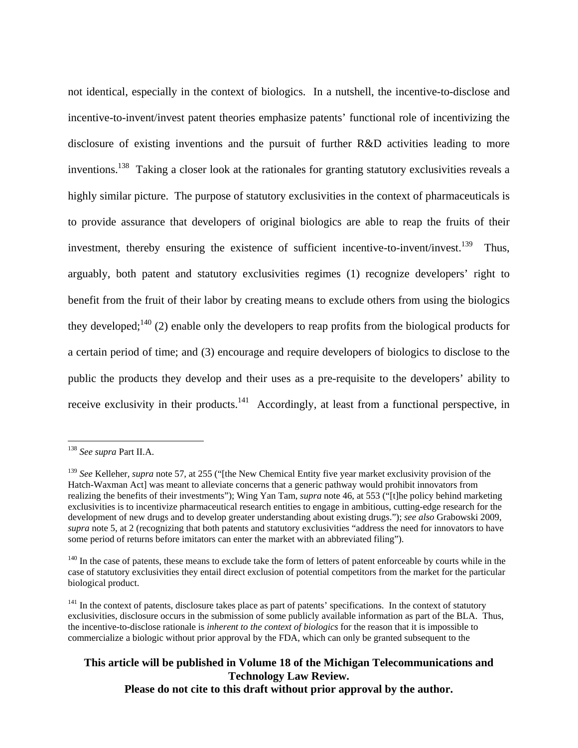not identical, especially in the context of biologics. In a nutshell, the incentive-to-disclose and incentive-to-invent/invest patent theories emphasize patents' functional role of incentivizing the disclosure of existing inventions and the pursuit of further R&D activities leading to more inventions.<sup>138</sup> Taking a closer look at the rationales for granting statutory exclusivities reveals a highly similar picture. The purpose of statutory exclusivities in the context of pharmaceuticals is to provide assurance that developers of original biologics are able to reap the fruits of their investment, thereby ensuring the existence of sufficient incentive-to-invent/invest.<sup>139</sup> Thus, arguably, both patent and statutory exclusivities regimes (1) recognize developers' right to benefit from the fruit of their labor by creating means to exclude others from using the biologics they developed;<sup>140</sup> (2) enable only the developers to reap profits from the biological products for a certain period of time; and (3) encourage and require developers of biologics to disclose to the public the products they develop and their uses as a pre-requisite to the developers' ability to receive exclusivity in their products.<sup>141</sup> Accordingly, at least from a functional perspective, in

 $\overline{a}$ 

<sup>138</sup> *See supra* Part II.A.

<sup>&</sup>lt;sup>139</sup> *See* Kelleher, *supra* note 57, at 255 ("[the New Chemical Entity five year market exclusivity provision of the Hatch-Waxman Act] was meant to alleviate concerns that a generic pathway would prohibit innovators from realizing the benefits of their investments"); Wing Yan Tam, *supra* note 46, at 553 ("[t]he policy behind marketing exclusivities is to incentivize pharmaceutical research entities to engage in ambitious, cutting-edge research for the development of new drugs and to develop greater understanding about existing drugs."); *see also* Grabowski 2009, *supra* note 5, at 2 (recognizing that both patents and statutory exclusivities "address the need for innovators to have some period of returns before imitators can enter the market with an abbreviated filing").

<sup>&</sup>lt;sup>140</sup> In the case of patents, these means to exclude take the form of letters of patent enforceable by courts while in the case of statutory exclusivities they entail direct exclusion of potential competitors from the market for the particular biological product.

<sup>&</sup>lt;sup>141</sup> In the context of patents, disclosure takes place as part of patents' specifications. In the context of statutory exclusivities, disclosure occurs in the submission of some publicly available information as part of the BLA. Thus, the incentive-to-disclose rationale is *inherent to the context of biologics* for the reason that it is impossible to commercialize a biologic without prior approval by the FDA, which can only be granted subsequent to the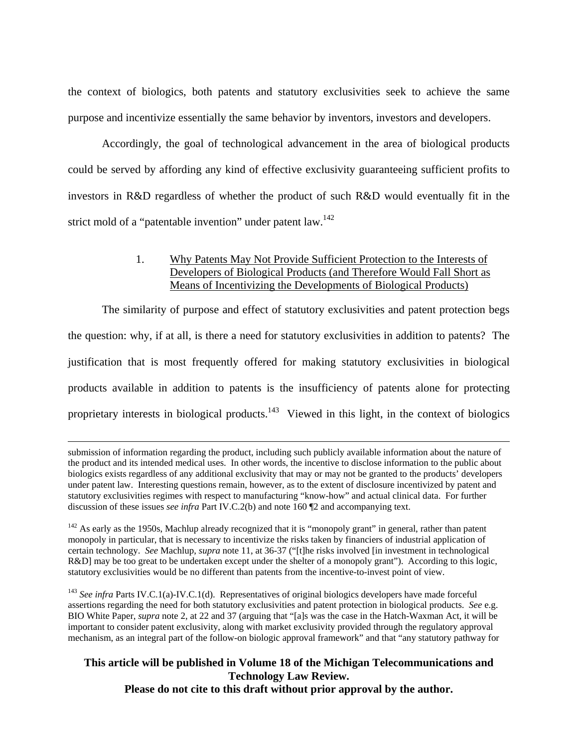the context of biologics, both patents and statutory exclusivities seek to achieve the same purpose and incentivize essentially the same behavior by inventors, investors and developers.

Accordingly, the goal of technological advancement in the area of biological products could be served by affording any kind of effective exclusivity guaranteeing sufficient profits to investors in R&D regardless of whether the product of such R&D would eventually fit in the strict mold of a "patentable invention" under patent  $law<sup>142</sup>$ .

## 1. Why Patents May Not Provide Sufficient Protection to the Interests of Developers of Biological Products (and Therefore Would Fall Short as Means of Incentivizing the Developments of Biological Products)

The similarity of purpose and effect of statutory exclusivities and patent protection begs the question: why, if at all, is there a need for statutory exclusivities in addition to patents? The justification that is most frequently offered for making statutory exclusivities in biological products available in addition to patents is the insufficiency of patents alone for protecting proprietary interests in biological products.<sup>143</sup> Viewed in this light, in the context of biologics

 submission of information regarding the product, including such publicly available information about the nature of the product and its intended medical uses. In other words, the incentive to disclose information to the public about biologics exists regardless of any additional exclusivity that may or may not be granted to the products' developers under patent law. Interesting questions remain, however, as to the extent of disclosure incentivized by patent and statutory exclusivities regimes with respect to manufacturing "know-how" and actual clinical data. For further discussion of these issues *see infra* Part IV.C.2(b) and note 160 ¶2 and accompanying text.

 $142$  As early as the 1950s, Machlup already recognized that it is "monopoly grant" in general, rather than patent monopoly in particular, that is necessary to incentivize the risks taken by financiers of industrial application of certain technology. *See* Machlup, *supra* note 11, at 36-37 ("[t]he risks involved [in investment in technological R&D] may be too great to be undertaken except under the shelter of a monopoly grant"). According to this logic, statutory exclusivities would be no different than patents from the incentive-to-invest point of view.

<sup>143</sup> See infra Parts IV.C.1(a)-IV.C.1(d). Representatives of original biologics developers have made forceful assertions regarding the need for both statutory exclusivities and patent protection in biological products. *See* e.g. BIO White Paper, *supra* note 2, at 22 and 37 (arguing that "[a]s was the case in the Hatch-Waxman Act, it will be important to consider patent exclusivity, along with market exclusivity provided through the regulatory approval mechanism, as an integral part of the follow-on biologic approval framework" and that "any statutory pathway for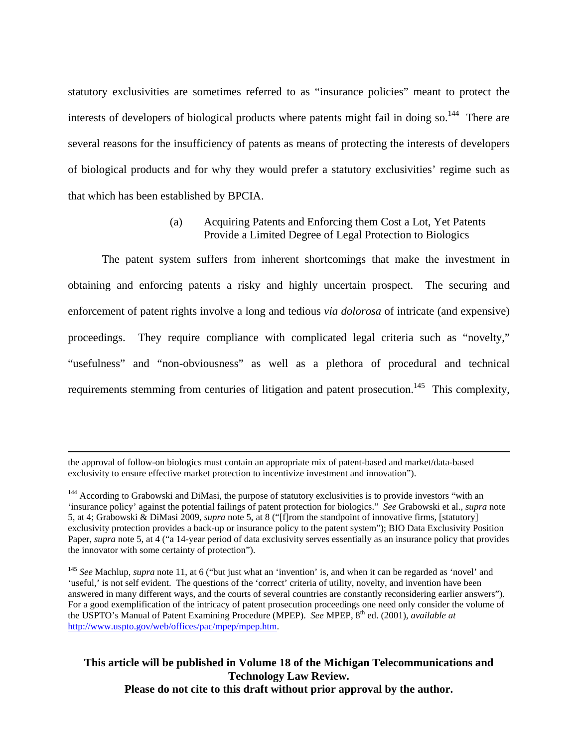statutory exclusivities are sometimes referred to as "insurance policies" meant to protect the interests of developers of biological products where patents might fail in doing so.<sup>144</sup> There are several reasons for the insufficiency of patents as means of protecting the interests of developers of biological products and for why they would prefer a statutory exclusivities' regime such as that which has been established by BPCIA.

## (a) Acquiring Patents and Enforcing them Cost a Lot, Yet Patents Provide a Limited Degree of Legal Protection to Biologics

The patent system suffers from inherent shortcomings that make the investment in obtaining and enforcing patents a risky and highly uncertain prospect. The securing and enforcement of patent rights involve a long and tedious *via dolorosa* of intricate (and expensive) proceedings. They require compliance with complicated legal criteria such as "novelty," "usefulness" and "non-obviousness" as well as a plethora of procedural and technical requirements stemming from centuries of litigation and patent prosecution.<sup>145</sup> This complexity,

the approval of follow-on biologics must contain an appropriate mix of patent-based and market/data-based exclusivity to ensure effective market protection to incentivize investment and innovation").

<sup>&</sup>lt;sup>144</sup> According to Grabowski and DiMasi, the purpose of statutory exclusivities is to provide investors "with an 'insurance policy' against the potential failings of patent protection for biologics." *See* Grabowski et al., *supra* note 5, at 4; Grabowski & DiMasi 2009, *supra* note 5, at 8 ("[f]rom the standpoint of innovative firms, [statutory] exclusivity protection provides a back-up or insurance policy to the patent system"); BIO Data Exclusivity Position Paper, *supra* note 5, at 4 ("a 14-year period of data exclusivity serves essentially as an insurance policy that provides the innovator with some certainty of protection").

<sup>145</sup> *See* Machlup, *supra* note 11, at 6 ("but just what an 'invention' is, and when it can be regarded as 'novel' and 'useful,' is not self evident. The questions of the 'correct' criteria of utility, novelty, and invention have been answered in many different ways, and the courts of several countries are constantly reconsidering earlier answers"). For a good exemplification of the intricacy of patent prosecution proceedings one need only consider the volume of the USPTO's Manual of Patent Examining Procedure (MPEP). *See* MPEP, 8th ed. (2001), *available at* http://www.uspto.gov/web/offices/pac/mpep/mpep.htm.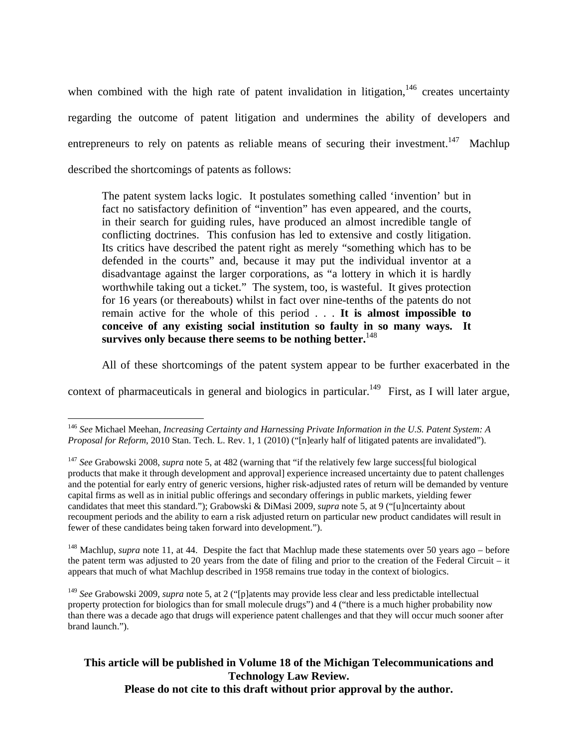when combined with the high rate of patent invalidation in litigation, $146$  creates uncertainty regarding the outcome of patent litigation and undermines the ability of developers and entrepreneurs to rely on patents as reliable means of securing their investment.<sup>147</sup> Machlup described the shortcomings of patents as follows:

The patent system lacks logic. It postulates something called 'invention' but in fact no satisfactory definition of "invention" has even appeared, and the courts, in their search for guiding rules, have produced an almost incredible tangle of conflicting doctrines. This confusion has led to extensive and costly litigation. Its critics have described the patent right as merely "something which has to be defended in the courts" and, because it may put the individual inventor at a disadvantage against the larger corporations, as "a lottery in which it is hardly worthwhile taking out a ticket." The system, too, is wasteful. It gives protection for 16 years (or thereabouts) whilst in fact over nine-tenths of the patents do not remain active for the whole of this period . . . **It is almost impossible to conceive of any existing social institution so faulty in so many ways. It**  survives only because there seems to be nothing better.<sup>148</sup>

All of these shortcomings of the patent system appear to be further exacerbated in the

context of pharmaceuticals in general and biologics in particular.<sup>149</sup> First, as I will later argue,

 $\overline{a}$ 

<sup>148</sup> Machlup, *supra* note 11, at 44. Despite the fact that Machlup made these statements over 50 years ago – before the patent term was adjusted to 20 years from the date of filing and prior to the creation of the Federal Circuit – it appears that much of what Machlup described in 1958 remains true today in the context of biologics.

<sup>149</sup> *See* Grabowski 2009, *supra* note 5, at 2 ("[p]atents may provide less clear and less predictable intellectual property protection for biologics than for small molecule drugs") and 4 ("there is a much higher probability now than there was a decade ago that drugs will experience patent challenges and that they will occur much sooner after brand launch.").

<sup>146</sup> *See* Michael Meehan, *Increasing Certainty and Harnessing Private Information in the U.S. Patent System: A Proposal for Reform*, 2010 Stan. Tech. L. Rev. 1, 1 (2010) ("[n]early half of litigated patents are invalidated").

<sup>147</sup> *See* Grabowski 2008, *supra* note 5, at 482 (warning that "if the relatively few large success[ful biological products that make it through development and approval] experience increased uncertainty due to patent challenges and the potential for early entry of generic versions, higher risk-adjusted rates of return will be demanded by venture capital firms as well as in initial public offerings and secondary offerings in public markets, yielding fewer candidates that meet this standard."); Grabowski & DiMasi 2009, *supra* note 5, at 9 ("[u]ncertainty about recoupment periods and the ability to earn a risk adjusted return on particular new product candidates will result in fewer of these candidates being taken forward into development.").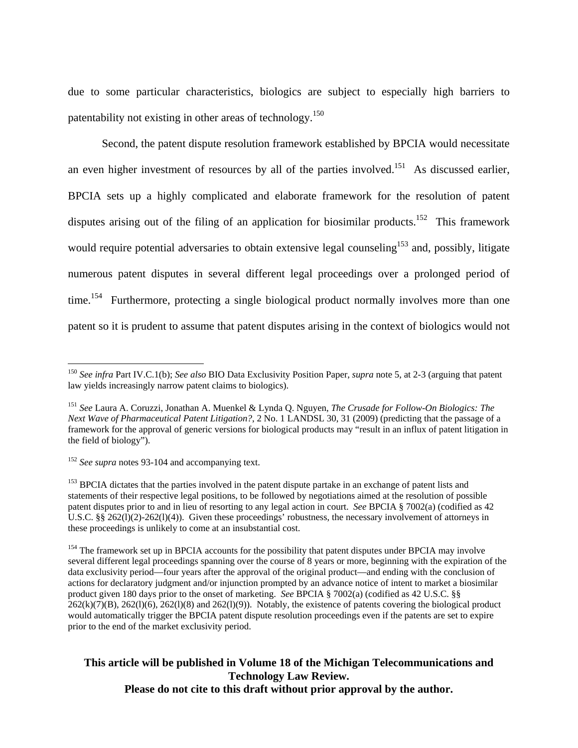due to some particular characteristics, biologics are subject to especially high barriers to patentability not existing in other areas of technology.150

Second, the patent dispute resolution framework established by BPCIA would necessitate an even higher investment of resources by all of the parties involved.<sup>151</sup> As discussed earlier, BPCIA sets up a highly complicated and elaborate framework for the resolution of patent disputes arising out of the filing of an application for biosimilar products.<sup>152</sup> This framework would require potential adversaries to obtain extensive legal counseling<sup>153</sup> and, possibly, litigate numerous patent disputes in several different legal proceedings over a prolonged period of time.<sup>154</sup> Furthermore, protecting a single biological product normally involves more than one patent so it is prudent to assume that patent disputes arising in the context of biologics would not

1

<sup>150</sup> *See infra* Part IV.C.1(b); *See also* BIO Data Exclusivity Position Paper, *supra* note 5, at 2-3 (arguing that patent law yields increasingly narrow patent claims to biologics).

<sup>151</sup> *See* Laura A. Coruzzi, Jonathan A. Muenkel & Lynda Q. Nguyen, *The Crusade for Follow-On Biologics: The Next Wave of Pharmaceutical Patent Litigation?*, 2 No. 1 LANDSL 30, 31 (2009) (predicting that the passage of a framework for the approval of generic versions for biological products may "result in an influx of patent litigation in the field of biology").

<sup>152</sup> *See supra* notes 93-104 and accompanying text.

<sup>&</sup>lt;sup>153</sup> BPCIA dictates that the parties involved in the patent dispute partake in an exchange of patent lists and statements of their respective legal positions, to be followed by negotiations aimed at the resolution of possible patent disputes prior to and in lieu of resorting to any legal action in court. *See* BPCIA § 7002(a) (codified as 42 U.S.C. §§ 262(1)(2)-262(1)(4)). Given these proceedings' robustness, the necessary involvement of attorneys in these proceedings is unlikely to come at an insubstantial cost.

<sup>&</sup>lt;sup>154</sup> The framework set up in BPCIA accounts for the possibility that patent disputes under BPCIA may involve several different legal proceedings spanning over the course of 8 years or more, beginning with the expiration of the data exclusivity period—four years after the approval of the original product—and ending with the conclusion of actions for declaratory judgment and/or injunction prompted by an advance notice of intent to market a biosimilar product given 180 days prior to the onset of marketing. *See* BPCIA § 7002(a) (codified as 42 U.S.C. §§  $262(k)(7)(B)$ ,  $262(l)(6)$ ,  $262(l)(8)$  and  $262(l)(9)$ ). Notably, the existence of patents covering the biological product would automatically trigger the BPCIA patent dispute resolution proceedings even if the patents are set to expire prior to the end of the market exclusivity period.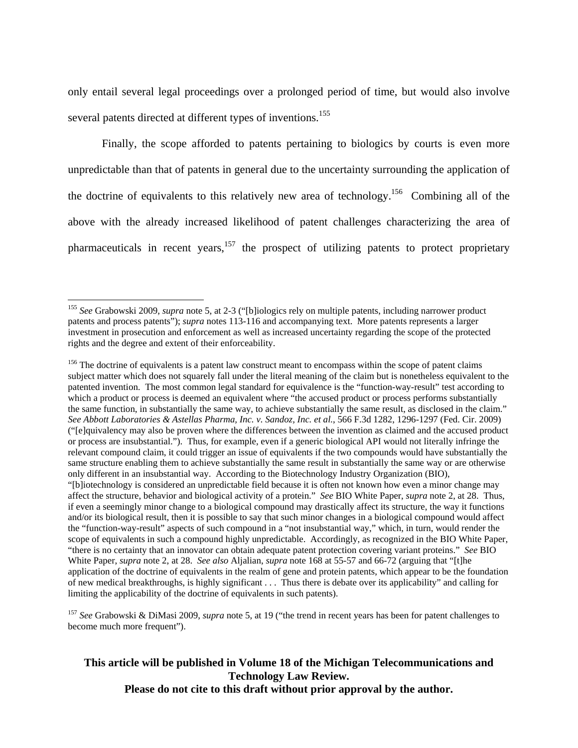only entail several legal proceedings over a prolonged period of time, but would also involve several patents directed at different types of inventions.<sup>155</sup>

Finally, the scope afforded to patents pertaining to biologics by courts is even more unpredictable than that of patents in general due to the uncertainty surrounding the application of the doctrine of equivalents to this relatively new area of technology.<sup>156</sup> Combining all of the above with the already increased likelihood of patent challenges characterizing the area of pharmaceuticals in recent years, $157$  the prospect of utilizing patents to protect proprietary

 $\overline{a}$ 

<sup>157</sup> *See* Grabowski & DiMasi 2009, *supra* note 5, at 19 ("the trend in recent years has been for patent challenges to become much more frequent").

<sup>155</sup> *See* Grabowski 2009, *supra* note 5, at 2-3 ("[b]iologics rely on multiple patents, including narrower product patents and process patents"); *supra* notes 113-116 and accompanying text. More patents represents a larger investment in prosecution and enforcement as well as increased uncertainty regarding the scope of the protected rights and the degree and extent of their enforceability.

<sup>&</sup>lt;sup>156</sup> The doctrine of equivalents is a patent law construct meant to encompass within the scope of patent claims subject matter which does not squarely fall under the literal meaning of the claim but is nonetheless equivalent to the patented invention. The most common legal standard for equivalence is the "function-way-result" test according to which a product or process is deemed an equivalent where "the accused product or process performs substantially the same function, in substantially the same way, to achieve substantially the same result, as disclosed in the claim." *See Abbott Laboratories & Astellas Pharma, Inc. v. Sandoz, Inc. et al.*, 566 F.3d 1282, 1296-1297 (Fed. Cir. 2009) ("[e]quivalency may also be proven where the differences between the invention as claimed and the accused product or process are insubstantial."). Thus, for example, even if a generic biological API would not literally infringe the relevant compound claim, it could trigger an issue of equivalents if the two compounds would have substantially the same structure enabling them to achieve substantially the same result in substantially the same way or are otherwise only different in an insubstantial way. According to the Biotechnology Industry Organization (BIO), "[b]iotechnology is considered an unpredictable field because it is often not known how even a minor change may affect the structure, behavior and biological activity of a protein." *See* BIO White Paper, *supra* note 2, at 28. Thus, if even a seemingly minor change to a biological compound may drastically affect its structure, the way it functions and/or its biological result, then it is possible to say that such minor changes in a biological compound would affect the "function-way-result" aspects of such compound in a "not insubstantial way," which, in turn, would render the scope of equivalents in such a compound highly unpredictable. Accordingly, as recognized in the BIO White Paper, "there is no certainty that an innovator can obtain adequate patent protection covering variant proteins." *See* BIO White Paper, *supra* note 2, at 28. *See also* Aljalian, *supra* note 168 at 55-57 and 66-72 (arguing that "[t]he application of the doctrine of equivalents in the realm of gene and protein patents, which appear to be the foundation of new medical breakthroughs, is highly significant . . . Thus there is debate over its applicability" and calling for limiting the applicability of the doctrine of equivalents in such patents).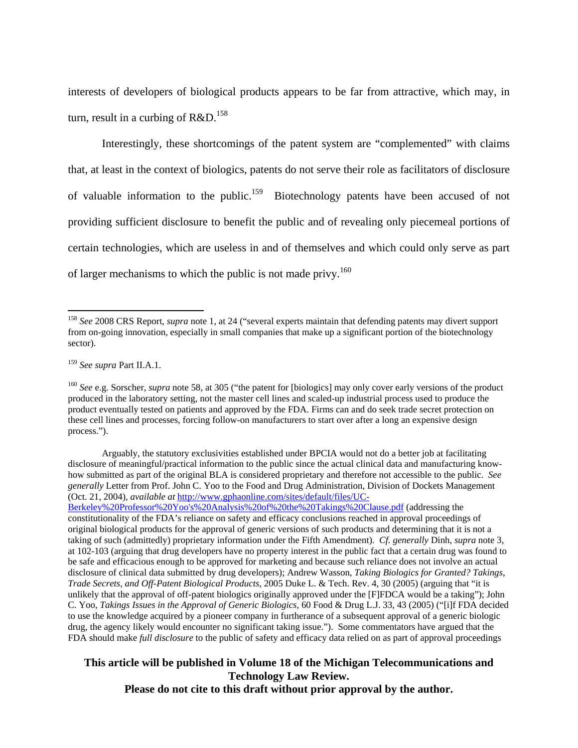interests of developers of biological products appears to be far from attractive, which may, in turn, result in a curbing of  $R&D$ <sup>158</sup>

Interestingly, these shortcomings of the patent system are "complemented" with claims that, at least in the context of biologics, patents do not serve their role as facilitators of disclosure of valuable information to the public.<sup>159</sup> Biotechnology patents have been accused of not providing sufficient disclosure to benefit the public and of revealing only piecemeal portions of certain technologies, which are useless in and of themselves and which could only serve as part of larger mechanisms to which the public is not made privy.<sup>160</sup>

 $\overline{a}$ 

<sup>158</sup> *See* 2008 CRS Report, *supra* note 1, at 24 ("several experts maintain that defending patents may divert support from on-going innovation, especially in small companies that make up a significant portion of the biotechnology sector).

<sup>159</sup> *See supra* Part II.A.1.

<sup>160</sup> *See* e.g. Sorscher, *supra* note 58, at 305 ("the patent for [biologics] may only cover early versions of the product produced in the laboratory setting, not the master cell lines and scaled-up industrial process used to produce the product eventually tested on patients and approved by the FDA. Firms can and do seek trade secret protection on these cell lines and processes, forcing follow-on manufacturers to start over after a long an expensive design process.").

Arguably, the statutory exclusivities established under BPCIA would not do a better job at facilitating disclosure of meaningful/practical information to the public since the actual clinical data and manufacturing knowhow submitted as part of the original BLA is considered proprietary and therefore not accessible to the public. *See generally* Letter from Prof. John C. Yoo to the Food and Drug Administration, Division of Dockets Management (Oct. 21, 2004), *available at* http://www.gphaonline.com/sites/default/files/UC-

Berkeley%20Professor%20Yoo's%20Analysis%20of%20the%20Takings%20Clause.pdf (addressing the constitutionality of the FDA's reliance on safety and efficacy conclusions reached in approval proceedings of original biological products for the approval of generic versions of such products and determining that it is not a taking of such (admittedly) proprietary information under the Fifth Amendment). *Cf. generally* Dinh, *supra* note 3, at 102-103 (arguing that drug developers have no property interest in the public fact that a certain drug was found to be safe and efficacious enough to be approved for marketing and because such reliance does not involve an actual disclosure of clinical data submitted by drug developers); Andrew Wasson, *Taking Biologics for Granted? Takings, Trade Secrets, and Off-Patent Biological Products*, 2005 Duke L. & Tech. Rev. 4, 30 (2005) (arguing that "it is unlikely that the approval of off-patent biologics originally approved under the [F]FDCA would be a taking"); John C. Yoo, *Takings Issues in the Approval of Generic Biologics*, 60 Food & Drug L.J. 33, 43 (2005) ("[i]f FDA decided to use the knowledge acquired by a pioneer company in furtherance of a subsequent approval of a generic biologic drug, the agency likely would encounter no significant taking issue."). Some commentators have argued that the FDA should make *full disclosure* to the public of safety and efficacy data relied on as part of approval proceedings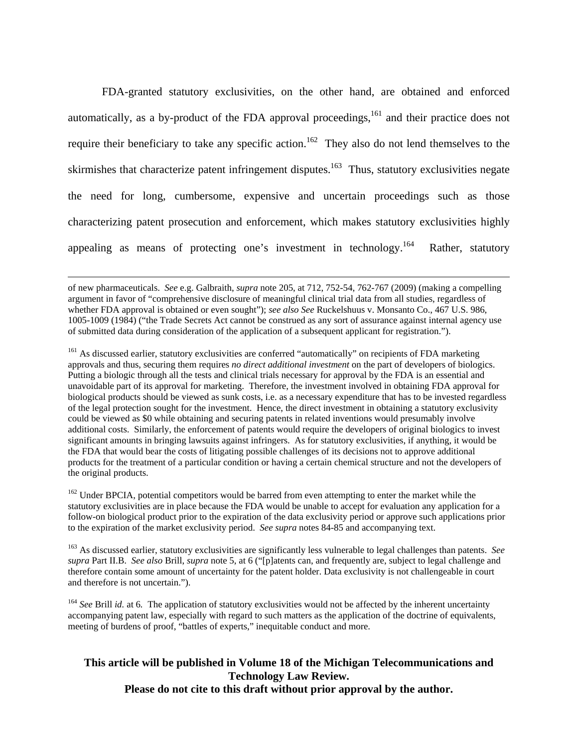FDA-granted statutory exclusivities, on the other hand, are obtained and enforced automatically, as a by-product of the FDA approval proceedings,  $^{161}$  and their practice does not require their beneficiary to take any specific action.<sup>162</sup> They also do not lend themselves to the skirmishes that characterize patent infringement disputes.<sup>163</sup> Thus, statutory exclusivities negate the need for long, cumbersome, expensive and uncertain proceedings such as those characterizing patent prosecution and enforcement, which makes statutory exclusivities highly appealing as means of protecting one's investment in technology.<sup>164</sup> Rather, statutory

 of new pharmaceuticals. *See* e.g. Galbraith, *supra* note 205, at 712, 752-54, 762-767 (2009) (making a compelling argument in favor of "comprehensive disclosure of meaningful clinical trial data from all studies, regardless of whether FDA approval is obtained or even sought"); *see also See* Ruckelshuus v. Monsanto Co., 467 U.S. 986, 1005-1009 (1984) ("the Trade Secrets Act cannot be construed as any sort of assurance against internal agency use of submitted data during consideration of the application of a subsequent applicant for registration.").

<sup>161</sup> As discussed earlier, statutory exclusivities are conferred "automatically" on recipients of FDA marketing approvals and thus, securing them requires *no direct additional investment* on the part of developers of biologics. Putting a biologic through all the tests and clinical trials necessary for approval by the FDA is an essential and unavoidable part of its approval for marketing. Therefore, the investment involved in obtaining FDA approval for biological products should be viewed as sunk costs, i.e. as a necessary expenditure that has to be invested regardless of the legal protection sought for the investment. Hence, the direct investment in obtaining a statutory exclusivity could be viewed as \$0 while obtaining and securing patents in related inventions would presumably involve additional costs. Similarly, the enforcement of patents would require the developers of original biologics to invest significant amounts in bringing lawsuits against infringers. As for statutory exclusivities, if anything, it would be the FDA that would bear the costs of litigating possible challenges of its decisions not to approve additional products for the treatment of a particular condition or having a certain chemical structure and not the developers of the original products.

<sup>162</sup> Under BPCIA, potential competitors would be barred from even attempting to enter the market while the statutory exclusivities are in place because the FDA would be unable to accept for evaluation any application for a follow-on biological product prior to the expiration of the data exclusivity period or approve such applications prior to the expiration of the market exclusivity period. *See supra* notes 84-85 and accompanying text.

163 As discussed earlier, statutory exclusivities are significantly less vulnerable to legal challenges than patents. *See supra* Part II.B. *See also* Brill, *supra* note 5, at 6 ("[p]atents can, and frequently are, subject to legal challenge and therefore contain some amount of uncertainty for the patent holder. Data exclusivity is not challengeable in court and therefore is not uncertain.").

<sup>164</sup> *See Brill id.* at 6. The application of statutory exclusivities would not be affected by the inherent uncertainty accompanying patent law, especially with regard to such matters as the application of the doctrine of equivalents, meeting of burdens of proof, "battles of experts," inequitable conduct and more.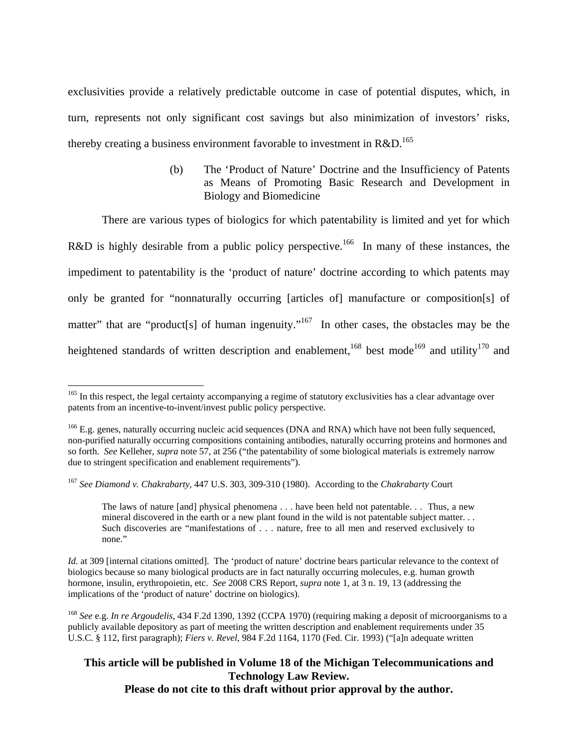exclusivities provide a relatively predictable outcome in case of potential disputes, which, in turn, represents not only significant cost savings but also minimization of investors' risks, thereby creating a business environment favorable to investment in  $R&D$ <sup>165</sup>

> (b) The 'Product of Nature' Doctrine and the Insufficiency of Patents as Means of Promoting Basic Research and Development in Biology and Biomedicine

There are various types of biologics for which patentability is limited and yet for which R&D is highly desirable from a public policy perspective.<sup>166</sup> In many of these instances, the impediment to patentability is the 'product of nature' doctrine according to which patents may only be granted for "nonnaturally occurring [articles of] manufacture or composition[s] of matter" that are "product[s] of human ingenuity."<sup>167</sup> In other cases, the obstacles may be the heightened standards of written description and enablement,<sup>168</sup> best mode<sup>169</sup> and utility<sup>170</sup> and

 $\overline{a}$ 

The laws of nature [and] physical phenomena . . . have been held not patentable. . . Thus, a new mineral discovered in the earth or a new plant found in the wild is not patentable subject matter. . . Such discoveries are "manifestations of . . . nature, free to all men and reserved exclusively to none."

<sup>&</sup>lt;sup>165</sup> In this respect, the legal certainty accompanying a regime of statutory exclusivities has a clear advantage over patents from an incentive-to-invent/invest public policy perspective.

<sup>&</sup>lt;sup>166</sup> E.g. genes, naturally occurring nucleic acid sequences (DNA and RNA) which have not been fully sequenced, non-purified naturally occurring compositions containing antibodies, naturally occurring proteins and hormones and so forth. *See* Kelleher, *supra* note 57, at 256 ("the patentability of some biological materials is extremely narrow due to stringent specification and enablement requirements").

<sup>167</sup> *See Diamond v. Chakrabarty*, 447 U.S. 303, 309-310 (1980). According to the *Chakrabarty* Court

*Id.* at 309 [internal citations omitted]. The 'product of nature' doctrine bears particular relevance to the context of biologics because so many biological products are in fact naturally occurring molecules, e.g. human growth hormone, insulin, erythropoietin, etc. *See* 2008 CRS Report, *supra* note 1, at 3 n. 19, 13 (addressing the implications of the 'product of nature' doctrine on biologics).

<sup>168</sup> *See* e.g. *In re Argoudelis*, 434 F.2d 1390, 1392 (CCPA 1970) (requiring making a deposit of microorganisms to a publicly available depository as part of meeting the written description and enablement requirements under 35 U.S.C. § 112, first paragraph); *Fiers v. Revel*, 984 F.2d 1164, 1170 (Fed. Cir. 1993) ("[a]n adequate written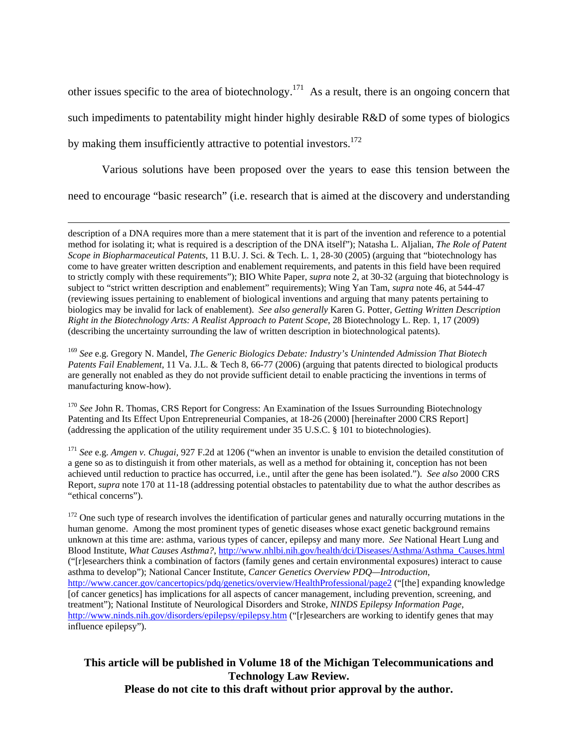other issues specific to the area of biotechnology.171 As a result, there is an ongoing concern that such impediments to patentability might hinder highly desirable R&D of some types of biologics by making them insufficiently attractive to potential investors.<sup>172</sup>

Various solutions have been proposed over the years to ease this tension between the need to encourage "basic research" (i.e. research that is aimed at the discovery and understanding

 description of a DNA requires more than a mere statement that it is part of the invention and reference to a potential method for isolating it; what is required is a description of the DNA itself"); Natasha L. Aljalian, *The Role of Patent Scope in Biopharmaceutical Patents*, 11 B.U. J. Sci. & Tech. L. 1, 28-30 (2005) (arguing that "biotechnology has come to have greater written description and enablement requirements, and patents in this field have been required to strictly comply with these requirements"); BIO White Paper, *supra* note 2, at 30-32 (arguing that biotechnology is subject to "strict written description and enablement" requirements); Wing Yan Tam, *supra* note 46, at 544-47 (reviewing issues pertaining to enablement of biological inventions and arguing that many patents pertaining to biologics may be invalid for lack of enablement). *See also generally* Karen G. Potter, *Getting Written Description Right in the Biotechnology Arts: A Realist Approach to Patent Scope*, 28 Biotechnology L. Rep. 1, 17 (2009) (describing the uncertainty surrounding the law of written description in biotechnological patents).

<sup>169</sup> *See* e.g. Gregory N. Mandel, *The Generic Biologics Debate: Industry's Unintended Admission That Biotech Patents Fail Enablement*, 11 Va. J.L. & Tech 8, 66-77 (2006) (arguing that patents directed to biological products are generally not enabled as they do not provide sufficient detail to enable practicing the inventions in terms of manufacturing know-how).

<sup>170</sup> See John R. Thomas, CRS Report for Congress: An Examination of the Issues Surrounding Biotechnology Patenting and Its Effect Upon Entrepreneurial Companies, at 18-26 (2000) [hereinafter 2000 CRS Report] (addressing the application of the utility requirement under 35 U.S.C. § 101 to biotechnologies).

<sup>171</sup> *See* e.g. *Amgen v. Chugai,* 927 F.2d at 1206 ("when an inventor is unable to envision the detailed constitution of a gene so as to distinguish it from other materials, as well as a method for obtaining it, conception has not been achieved until reduction to practice has occurred, i.e., until after the gene has been isolated."). *See also* 2000 CRS Report, *supra* note 170 at 11-18 (addressing potential obstacles to patentability due to what the author describes as "ethical concerns").

<sup>172</sup> One such type of research involves the identification of particular genes and naturally occurring mutations in the human genome. Among the most prominent types of genetic diseases whose exact genetic background remains unknown at this time are: asthma, various types of cancer, epilepsy and many more. *See* National Heart Lung and Blood Institute, *What Causes Asthma?*, http://www.nhlbi.nih.gov/health/dci/Diseases/Asthma/Asthma\_Causes.html ("[r]esearchers think a combination of factors (family genes and certain environmental exposures) interact to cause asthma to develop"); National Cancer Institute, *Cancer Genetics Overview PDQ—Introduction*, http://www.cancer.gov/cancertopics/pdq/genetics/overview/HealthProfessional/page2 ("[the] expanding knowledge [of cancer genetics] has implications for all aspects of cancer management, including prevention, screening, and treatment"); National Institute of Neurological Disorders and Stroke, *NINDS Epilepsy Information Page*, http://www.ninds.nih.gov/disorders/epilepsy/epilepsy.htm ("[r]esearchers are working to identify genes that may influence epilepsy").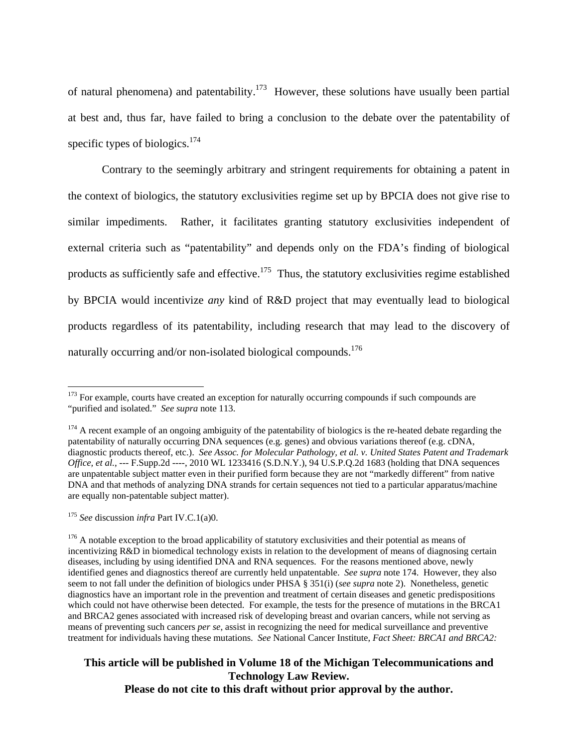of natural phenomena) and patentability.<sup>173</sup> However, these solutions have usually been partial at best and, thus far, have failed to bring a conclusion to the debate over the patentability of specific types of biologics. $174$ 

Contrary to the seemingly arbitrary and stringent requirements for obtaining a patent in the context of biologics, the statutory exclusivities regime set up by BPCIA does not give rise to similar impediments. Rather, it facilitates granting statutory exclusivities independent of external criteria such as "patentability" and depends only on the FDA's finding of biological products as sufficiently safe and effective.<sup>175</sup> Thus, the statutory exclusivities regime established by BPCIA would incentivize *any* kind of R&D project that may eventually lead to biological products regardless of its patentability, including research that may lead to the discovery of naturally occurring and/or non-isolated biological compounds.<sup>176</sup>

 $\overline{a}$ 

# **This article will be published in Volume 18 of the Michigan Telecommunications and Technology Law Review.**

**Please do not cite to this draft without prior approval by the author.** 

 $173$  For example, courts have created an exception for naturally occurring compounds if such compounds are "purified and isolated." *See supra* note 113.

<sup>&</sup>lt;sup>174</sup> A recent example of an ongoing ambiguity of the patentability of biologics is the re-heated debate regarding the patentability of naturally occurring DNA sequences (e.g. genes) and obvious variations thereof (e.g. cDNA, diagnostic products thereof, etc.). *See Assoc. for Molecular Pathology, et al. v. United States Patent and Trademark Office, et al.*, --- F.Supp.2d ----, 2010 WL 1233416 (S.D.N.Y.), 94 U.S.P.Q.2d 1683 (holding that DNA sequences are unpatentable subject matter even in their purified form because they are not "markedly different" from native DNA and that methods of analyzing DNA strands for certain sequences not tied to a particular apparatus/machine are equally non-patentable subject matter).

<sup>175</sup> *See* discussion *infra* Part IV.C.1(a)0.

<sup>&</sup>lt;sup>176</sup> A notable exception to the broad applicability of statutory exclusivities and their potential as means of incentivizing R&D in biomedical technology exists in relation to the development of means of diagnosing certain diseases, including by using identified DNA and RNA sequences. For the reasons mentioned above, newly identified genes and diagnostics thereof are currently held unpatentable. *See supra* note 174. However, they also seem to not fall under the definition of biologics under PHSA § 351(i) (*see supra* note 2). Nonetheless, genetic diagnostics have an important role in the prevention and treatment of certain diseases and genetic predispositions which could not have otherwise been detected. For example, the tests for the presence of mutations in the BRCA1 and BRCA2 genes associated with increased risk of developing breast and ovarian cancers, while not serving as means of preventing such cancers *per se*, assist in recognizing the need for medical surveillance and preventive treatment for individuals having these mutations. *See* National Cancer Institute, *Fact Sheet: BRCA1 and BRCA2:*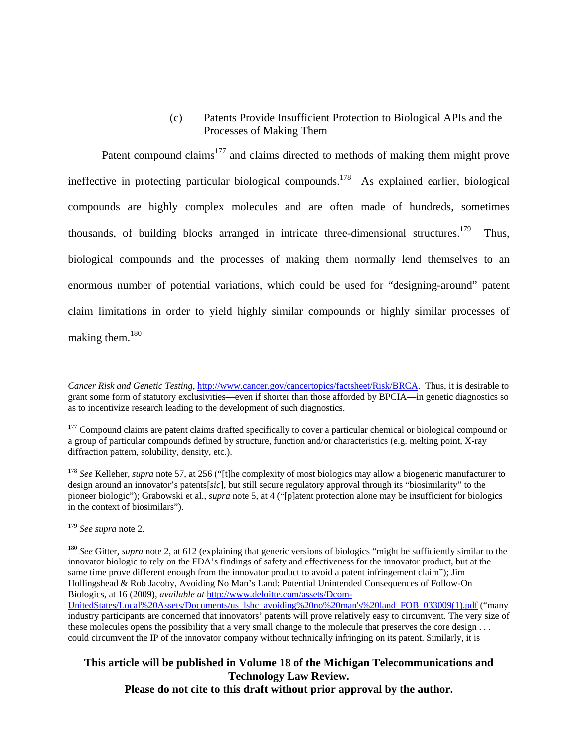#### (c) Patents Provide Insufficient Protection to Biological APIs and the Processes of Making Them

Patent compound claims<sup>177</sup> and claims directed to methods of making them might prove ineffective in protecting particular biological compounds.<sup>178</sup> As explained earlier, biological compounds are highly complex molecules and are often made of hundreds, sometimes thousands, of building blocks arranged in intricate three-dimensional structures.<sup>179</sup> Thus, biological compounds and the processes of making them normally lend themselves to an enormous number of potential variations, which could be used for "designing-around" patent claim limitations in order to yield highly similar compounds or highly similar processes of making them.<sup>180</sup>

<sup>178</sup> See Kelleher, *supra* note 57, at 256 ("[t]he complexity of most biologics may allow a biogeneric manufacturer to design around an innovator's patents[*sic*], but still secure regulatory approval through its "biosimilarity" to the pioneer biologic"); Grabowski et al., *supra* note 5, at 4 ("[p]atent protection alone may be insufficient for biologics in the context of biosimilars").

<sup>179</sup> *See supra* note 2.

 $\overline{a}$ 

<sup>180</sup> *See* Gitter, *supra* note 2, at 612 (explaining that generic versions of biologics "might be sufficiently similar to the innovator biologic to rely on the FDA's findings of safety and effectiveness for the innovator product, but at the same time prove different enough from the innovator product to avoid a patent infringement claim"); Jim Hollingshead & Rob Jacoby, Avoiding No Man's Land: Potential Unintended Consequences of Follow-On Biologics, at 16 (2009), *available at* http://www.deloitte.com/assets/Dcom-UnitedStates/Local%20Assets/Documents/us\_lshc\_avoiding%20no%20man's%20land\_FOB\_033009(1).pdf ("many industry participants are concerned that innovators' patents will prove relatively easy to circumvent. The very size of these molecules opens the possibility that a very small change to the molecule that preserves the core design . . . could circumvent the IP of the innovator company without technically infringing on its patent. Similarly, it is

*Cancer Risk and Genetic Testing*, http://www.cancer.gov/cancertopics/factsheet/Risk/BRCA. Thus, it is desirable to grant some form of statutory exclusivities—even if shorter than those afforded by BPCIA—in genetic diagnostics so as to incentivize research leading to the development of such diagnostics.

<sup>&</sup>lt;sup>177</sup> Compound claims are patent claims drafted specifically to cover a particular chemical or biological compound or a group of particular compounds defined by structure, function and/or characteristics (e.g. melting point, X-ray diffraction pattern, solubility, density, etc.).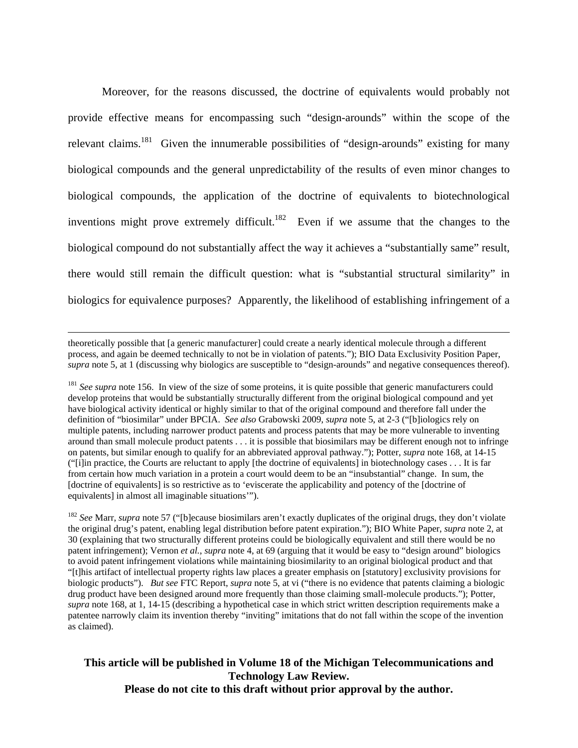Moreover, for the reasons discussed, the doctrine of equivalents would probably not provide effective means for encompassing such "design-arounds" within the scope of the relevant claims.<sup>181</sup> Given the innumerable possibilities of "design-arounds" existing for many biological compounds and the general unpredictability of the results of even minor changes to biological compounds, the application of the doctrine of equivalents to biotechnological inventions might prove extremely difficult.<sup>182</sup> Even if we assume that the changes to the biological compound do not substantially affect the way it achieves a "substantially same" result, there would still remain the difficult question: what is "substantial structural similarity" in biologics for equivalence purposes? Apparently, the likelihood of establishing infringement of a

 theoretically possible that [a generic manufacturer] could create a nearly identical molecule through a different process, and again be deemed technically to not be in violation of patents."); BIO Data Exclusivity Position Paper, *supra* note 5, at 1 (discussing why biologics are susceptible to "design-arounds" and negative consequences thereof).

<sup>181</sup> See supra note 156. In view of the size of some proteins, it is quite possible that generic manufacturers could develop proteins that would be substantially structurally different from the original biological compound and yet have biological activity identical or highly similar to that of the original compound and therefore fall under the definition of "biosimilar" under BPCIA. *See also* Grabowski 2009, *supra* note 5, at 2-3 ("[b]iologics rely on multiple patents, including narrower product patents and process patents that may be more vulnerable to inventing around than small molecule product patents . . . it is possible that biosimilars may be different enough not to infringe on patents, but similar enough to qualify for an abbreviated approval pathway."); Potter, *supra* note 168, at 14-15 ("[i]in practice, the Courts are reluctant to apply [the doctrine of equivalents] in biotechnology cases . . . It is far from certain how much variation in a protein a court would deem to be an "insubstantial" change. In sum, the [doctrine of equivalents] is so restrictive as to 'eviscerate the applicability and potency of the [doctrine of equivalents] in almost all imaginable situations'").

<sup>182</sup> *See* Marr, *supra* note 57 ("[b]ecause biosimilars aren't exactly duplicates of the original drugs, they don't violate the original drug's patent, enabling legal distribution before patent expiration."); BIO White Paper, *supra* note 2, at 30 (explaining that two structurally different proteins could be biologically equivalent and still there would be no patent infringement); Vernon *et al.*, *supra* note 4, at 69 (arguing that it would be easy to "design around" biologics to avoid patent infringement violations while maintaining biosimilarity to an original biological product and that "[t]his artifact of intellectual property rights law places a greater emphasis on [statutory] exclusivity provisions for biologic products"). *But see* FTC Report, *supra* note 5, at vi ("there is no evidence that patents claiming a biologic drug product have been designed around more frequently than those claiming small-molecule products."); Potter, *supra* note 168, at 1, 14-15 (describing a hypothetical case in which strict written description requirements make a patentee narrowly claim its invention thereby "inviting" imitations that do not fall within the scope of the invention as claimed).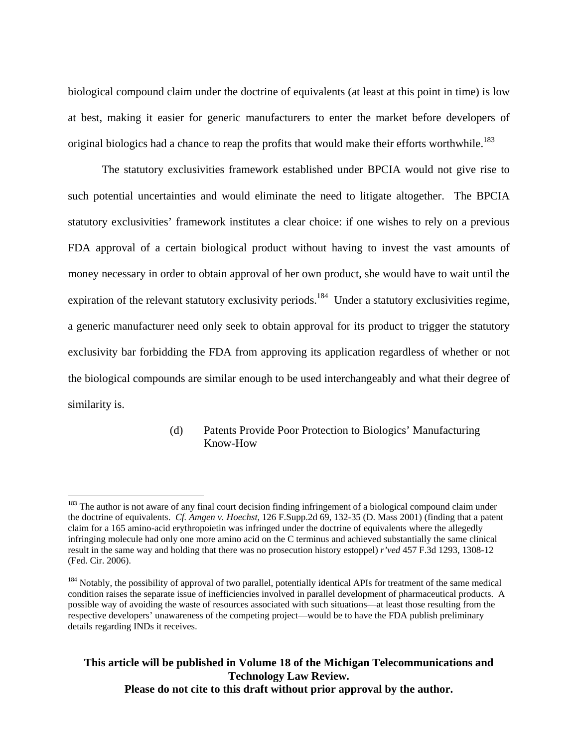biological compound claim under the doctrine of equivalents (at least at this point in time) is low at best, making it easier for generic manufacturers to enter the market before developers of original biologics had a chance to reap the profits that would make their efforts worthwhile.<sup>183</sup>

The statutory exclusivities framework established under BPCIA would not give rise to such potential uncertainties and would eliminate the need to litigate altogether. The BPCIA statutory exclusivities' framework institutes a clear choice: if one wishes to rely on a previous FDA approval of a certain biological product without having to invest the vast amounts of money necessary in order to obtain approval of her own product, she would have to wait until the expiration of the relevant statutory exclusivity periods.<sup>184</sup> Under a statutory exclusivities regime, a generic manufacturer need only seek to obtain approval for its product to trigger the statutory exclusivity bar forbidding the FDA from approving its application regardless of whether or not the biological compounds are similar enough to be used interchangeably and what their degree of similarity is.

#### (d) Patents Provide Poor Protection to Biologics' Manufacturing Know-How

 $\overline{a}$ 

<sup>&</sup>lt;sup>183</sup> The author is not aware of any final court decision finding infringement of a biological compound claim under the doctrine of equivalents. *Cf. Amgen v. Hoechst*, 126 F.Supp.2d 69, 132-35 (D. Mass 2001) (finding that a patent claim for a 165 amino-acid erythropoietin was infringed under the doctrine of equivalents where the allegedly infringing molecule had only one more amino acid on the C terminus and achieved substantially the same clinical result in the same way and holding that there was no prosecution history estoppel) *r'ved* 457 F.3d 1293, 1308-12 (Fed. Cir. 2006).

<sup>&</sup>lt;sup>184</sup> Notably, the possibility of approval of two parallel, potentially identical APIs for treatment of the same medical condition raises the separate issue of inefficiencies involved in parallel development of pharmaceutical products. A possible way of avoiding the waste of resources associated with such situations—at least those resulting from the respective developers' unawareness of the competing project—would be to have the FDA publish preliminary details regarding INDs it receives.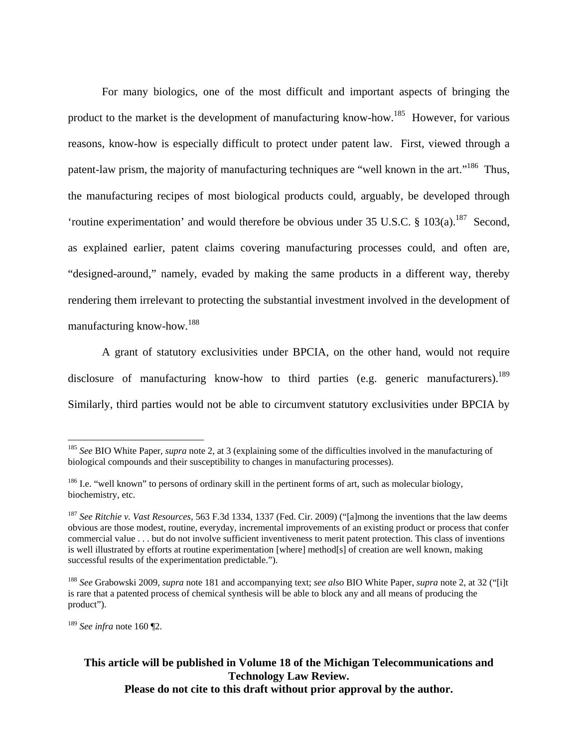For many biologics, one of the most difficult and important aspects of bringing the product to the market is the development of manufacturing know-how.185 However, for various reasons, know-how is especially difficult to protect under patent law. First, viewed through a patent-law prism, the majority of manufacturing techniques are "well known in the art."<sup>186</sup> Thus, the manufacturing recipes of most biological products could, arguably, be developed through 'routine experimentation' and would therefore be obvious under 35 U.S.C. § 103(a).<sup>187</sup> Second, as explained earlier, patent claims covering manufacturing processes could, and often are, "designed-around," namely, evaded by making the same products in a different way, thereby rendering them irrelevant to protecting the substantial investment involved in the development of manufacturing know-how.188

A grant of statutory exclusivities under BPCIA, on the other hand, would not require disclosure of manufacturing know-how to third parties (e.g. generic manufacturers).<sup>189</sup> Similarly, third parties would not be able to circumvent statutory exclusivities under BPCIA by

<sup>189</sup> *See infra* note 160 ¶2.

<u>.</u>

<sup>185</sup> *See* BIO White Paper, *supra* note 2, at 3 (explaining some of the difficulties involved in the manufacturing of biological compounds and their susceptibility to changes in manufacturing processes).

<sup>&</sup>lt;sup>186</sup> I.e. "well known" to persons of ordinary skill in the pertinent forms of art, such as molecular biology, biochemistry, etc.

<sup>187</sup> *See Ritchie v. Vast Resources,* 563 F.3d 1334, 1337 (Fed. Cir. 2009) ("[a]mong the inventions that the law deems obvious are those modest, routine, everyday, incremental improvements of an existing product or process that confer commercial value . . . but do not involve sufficient inventiveness to merit patent protection. This class of inventions is well illustrated by efforts at routine experimentation [where] method[s] of creation are well known, making successful results of the experimentation predictable.").

<sup>188</sup> *See* Grabowski 2009, *supra* note 181 and accompanying text; *see also* BIO White Paper, *supra* note 2, at 32 ("[i]t is rare that a patented process of chemical synthesis will be able to block any and all means of producing the product").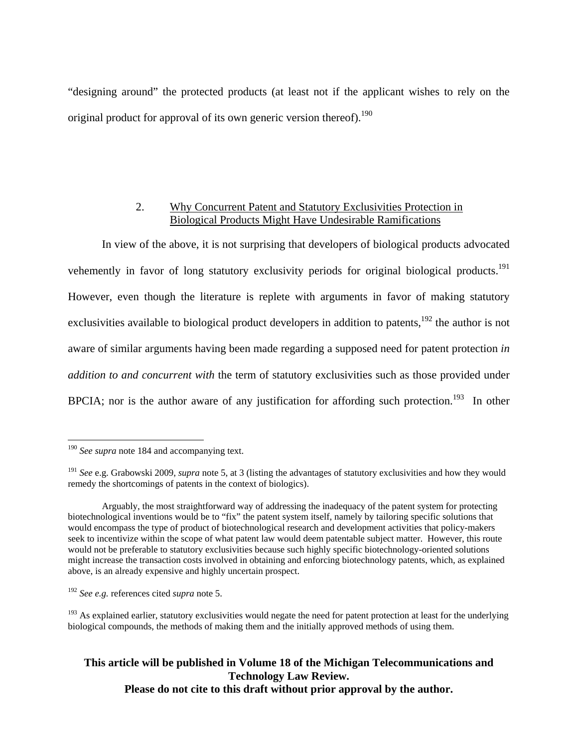"designing around" the protected products (at least not if the applicant wishes to rely on the original product for approval of its own generic version thereof).<sup>190</sup>

## 2. Why Concurrent Patent and Statutory Exclusivities Protection in Biological Products Might Have Undesirable Ramifications

In view of the above, it is not surprising that developers of biological products advocated vehemently in favor of long statutory exclusivity periods for original biological products.<sup>191</sup> However, even though the literature is replete with arguments in favor of making statutory exclusivities available to biological product developers in addition to patents,<sup>192</sup> the author is not aware of similar arguments having been made regarding a supposed need for patent protection *in addition to and concurrent with* the term of statutory exclusivities such as those provided under BPCIA; nor is the author aware of any justification for affording such protection.<sup>193</sup> In other

<u>.</u>

<sup>&</sup>lt;sup>190</sup> See supra note 184 and accompanying text.

<sup>191</sup> *See* e.g. Grabowski 2009, *supra* note 5, at 3 (listing the advantages of statutory exclusivities and how they would remedy the shortcomings of patents in the context of biologics).

Arguably, the most straightforward way of addressing the inadequacy of the patent system for protecting biotechnological inventions would be to "fix" the patent system itself, namely by tailoring specific solutions that would encompass the type of product of biotechnological research and development activities that policy-makers seek to incentivize within the scope of what patent law would deem patentable subject matter. However, this route would not be preferable to statutory exclusivities because such highly specific biotechnology-oriented solutions might increase the transaction costs involved in obtaining and enforcing biotechnology patents, which, as explained above, is an already expensive and highly uncertain prospect.

<sup>192</sup> *See e.g.* references cited *supra* note 5.

<sup>&</sup>lt;sup>193</sup> As explained earlier, statutory exclusivities would negate the need for patent protection at least for the underlying biological compounds, the methods of making them and the initially approved methods of using them.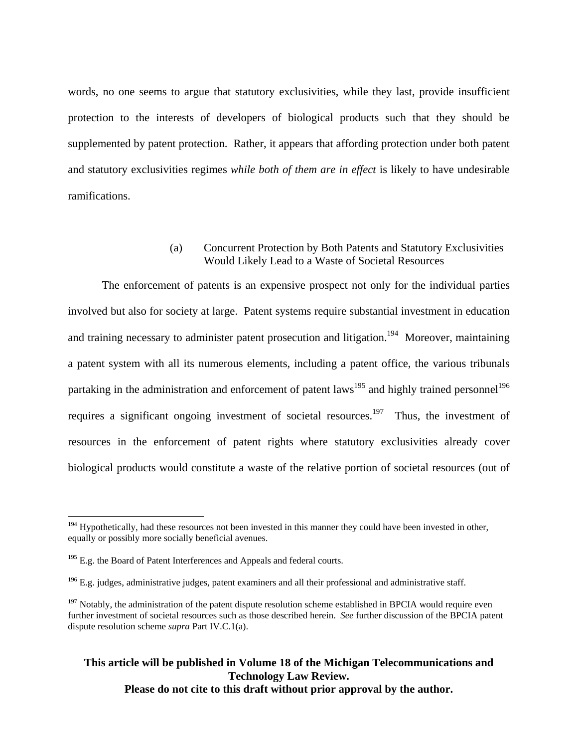words, no one seems to argue that statutory exclusivities, while they last, provide insufficient protection to the interests of developers of biological products such that they should be supplemented by patent protection. Rather, it appears that affording protection under both patent and statutory exclusivities regimes *while both of them are in effect* is likely to have undesirable ramifications.

#### (a) Concurrent Protection by Both Patents and Statutory Exclusivities Would Likely Lead to a Waste of Societal Resources

The enforcement of patents is an expensive prospect not only for the individual parties involved but also for society at large. Patent systems require substantial investment in education and training necessary to administer patent prosecution and litigation.<sup>194</sup> Moreover, maintaining a patent system with all its numerous elements, including a patent office, the various tribunals partaking in the administration and enforcement of patent laws<sup>195</sup> and highly trained personnel<sup>196</sup> requires a significant ongoing investment of societal resources.<sup>197</sup> Thus, the investment of resources in the enforcement of patent rights where statutory exclusivities already cover biological products would constitute a waste of the relative portion of societal resources (out of

 $\overline{a}$ 

 $194$  Hypothetically, had these resources not been invested in this manner they could have been invested in other, equally or possibly more socially beneficial avenues.

 $195$  E.g. the Board of Patent Interferences and Appeals and federal courts.

 $196$  E.g. judges, administrative judges, patent examiners and all their professional and administrative staff.

 $197$  Notably, the administration of the patent dispute resolution scheme established in BPCIA would require even further investment of societal resources such as those described herein. *See* further discussion of the BPCIA patent dispute resolution scheme *supra* Part IV.C.1(a).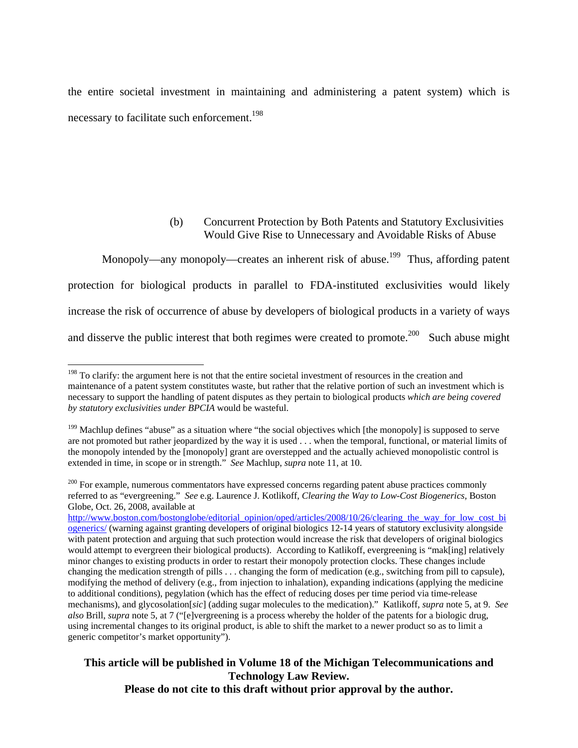the entire societal investment in maintaining and administering a patent system) which is necessary to facilitate such enforcement.<sup>198</sup>

# (b) Concurrent Protection by Both Patents and Statutory Exclusivities Would Give Rise to Unnecessary and Avoidable Risks of Abuse

Monopoly—any monopoly—creates an inherent risk of abuse.<sup>199</sup> Thus, affording patent protection for biological products in parallel to FDA-instituted exclusivities would likely increase the risk of occurrence of abuse by developers of biological products in a variety of ways and disserve the public interest that both regimes were created to promote.<sup>200</sup> Such abuse might

<u>.</u>

<sup>&</sup>lt;sup>198</sup> To clarify: the argument here is not that the entire societal investment of resources in the creation and maintenance of a patent system constitutes waste, but rather that the relative portion of such an investment which is necessary to support the handling of patent disputes as they pertain to biological products *which are being covered by statutory exclusivities under BPCIA* would be wasteful.

 $199$  Machlup defines "abuse" as a situation where "the social objectives which [the monopoly] is supposed to serve are not promoted but rather jeopardized by the way it is used . . . when the temporal, functional, or material limits of the monopoly intended by the [monopoly] grant are overstepped and the actually achieved monopolistic control is extended in time, in scope or in strength." *See* Machlup, *supra* note 11, at 10.

<sup>&</sup>lt;sup>200</sup> For example, numerous commentators have expressed concerns regarding patent abuse practices commonly referred to as "evergreening." *See* e.g. Laurence J. Kotlikoff, *Clearing the Way to Low-Cost Biogenerics,* Boston Globe, Oct. 26, 2008, available at

http://www.boston.com/bostonglobe/editorial\_opinion/oped/articles/2008/10/26/clearing\_the\_way\_for\_low\_cost\_bi ogenerics/ (warning against granting developers of original biologics 12-14 years of statutory exclusivity alongside with patent protection and arguing that such protection would increase the risk that developers of original biologics would attempt to evergreen their biological products). According to Katlikoff, evergreening is "mak[ing] relatively minor changes to existing products in order to restart their monopoly protection clocks. These changes include changing the medication strength of pills . . . changing the form of medication (e.g., switching from pill to capsule), modifying the method of delivery (e.g., from injection to inhalation), expanding indications (applying the medicine to additional conditions), pegylation (which has the effect of reducing doses per time period via time-release mechanisms), and glycosolation[*sic*] (adding sugar molecules to the medication)." Katlikoff, *supra* note 5, at 9. *See also* Brill, *supra* note 5, at 7 ("[e]vergreening is a process whereby the holder of the patents for a biologic drug, using incremental changes to its original product, is able to shift the market to a newer product so as to limit a generic competitor's market opportunity").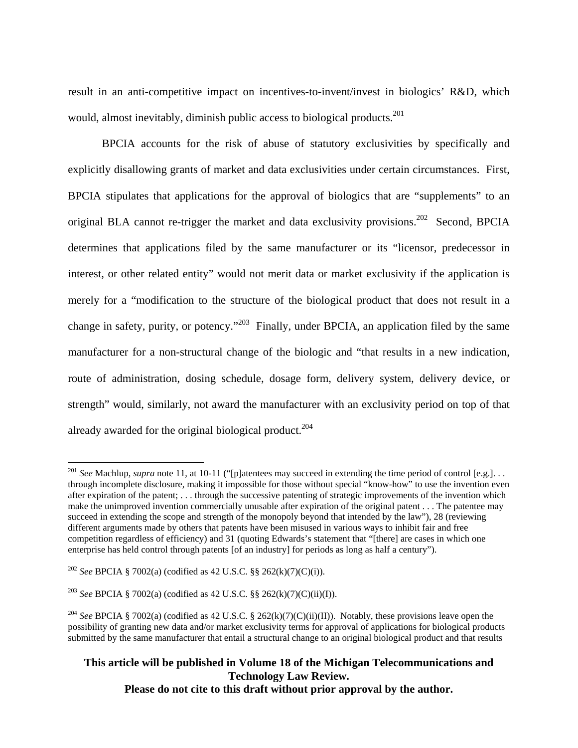result in an anti-competitive impact on incentives-to-invent/invest in biologics' R&D, which would, almost inevitably, diminish public access to biological products.<sup>201</sup>

BPCIA accounts for the risk of abuse of statutory exclusivities by specifically and explicitly disallowing grants of market and data exclusivities under certain circumstances. First, BPCIA stipulates that applications for the approval of biologics that are "supplements" to an original BLA cannot re-trigger the market and data exclusivity provisions.<sup>202</sup> Second, BPCIA determines that applications filed by the same manufacturer or its "licensor, predecessor in interest, or other related entity" would not merit data or market exclusivity if the application is merely for a "modification to the structure of the biological product that does not result in a change in safety, purity, or potency."203 Finally, under BPCIA, an application filed by the same manufacturer for a non-structural change of the biologic and "that results in a new indication, route of administration, dosing schedule, dosage form, delivery system, delivery device, or strength" would, similarly, not award the manufacturer with an exclusivity period on top of that already awarded for the original biological product.<sup>204</sup>

 $\overline{a}$ 

<sup>&</sup>lt;sup>201</sup> *See* Machlup, *supra* note 11, at 10-11 ("[p]atentees may succeed in extending the time period of control [e.g.]... through incomplete disclosure, making it impossible for those without special "know-how" to use the invention even after expiration of the patent; . . . through the successive patenting of strategic improvements of the invention which make the unimproved invention commercially unusable after expiration of the original patent . . . The patentee may succeed in extending the scope and strength of the monopoly beyond that intended by the law"), 28 (reviewing different arguments made by others that patents have been misused in various ways to inhibit fair and free competition regardless of efficiency) and 31 (quoting Edwards's statement that "[there] are cases in which one enterprise has held control through patents [of an industry] for periods as long as half a century").

<sup>202</sup> *See* BPCIA § 7002(a) (codified as 42 U.S.C. §§ 262(k)(7)(C)(i)).

<sup>203</sup> *See* BPCIA § 7002(a) (codified as 42 U.S.C. §§ 262(k)(7)(C)(ii)(I)).

<sup>204</sup> *See* BPCIA § 7002(a) (codified as 42 U.S.C. § 262(k)(7)(C)(ii)(II)). Notably, these provisions leave open the possibility of granting new data and/or market exclusivity terms for approval of applications for biological products submitted by the same manufacturer that entail a structural change to an original biological product and that results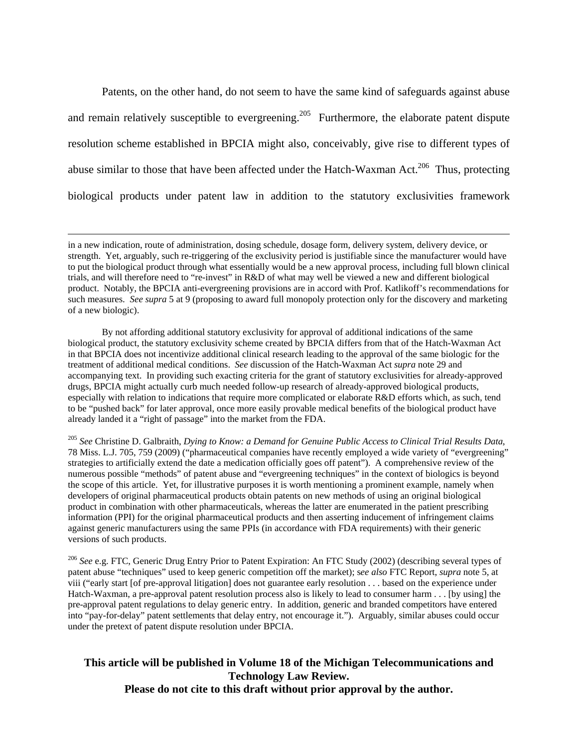Patents, on the other hand, do not seem to have the same kind of safeguards against abuse and remain relatively susceptible to evergreening.<sup>205</sup> Furthermore, the elaborate patent dispute resolution scheme established in BPCIA might also, conceivably, give rise to different types of abuse similar to those that have been affected under the Hatch-Waxman Act.<sup>206</sup> Thus, protecting biological products under patent law in addition to the statutory exclusivities framework

By not affording additional statutory exclusivity for approval of additional indications of the same biological product, the statutory exclusivity scheme created by BPCIA differs from that of the Hatch-Waxman Act in that BPCIA does not incentivize additional clinical research leading to the approval of the same biologic for the treatment of additional medical conditions. *See* discussion of the Hatch-Waxman Act *supra* note 29 and accompanying text. In providing such exacting criteria for the grant of statutory exclusivities for already-approved drugs, BPCIA might actually curb much needed follow-up research of already-approved biological products, especially with relation to indications that require more complicated or elaborate R&D efforts which, as such, tend to be "pushed back" for later approval, once more easily provable medical benefits of the biological product have already landed it a "right of passage" into the market from the FDA.

<sup>205</sup> *See* Christine D. Galbraith, *Dying to Know: a Demand for Genuine Public Access to Clinical Trial Results Data*, 78 Miss. L.J. 705, 759 (2009) ("pharmaceutical companies have recently employed a wide variety of "evergreening" strategies to artificially extend the date a medication officially goes off patent"). A comprehensive review of the numerous possible "methods" of patent abuse and "evergreening techniques" in the context of biologics is beyond the scope of this article. Yet, for illustrative purposes it is worth mentioning a prominent example, namely when developers of original pharmaceutical products obtain patents on new methods of using an original biological product in combination with other pharmaceuticals, whereas the latter are enumerated in the patient prescribing information (PPI) for the original pharmaceutical products and then asserting inducement of infringement claims against generic manufacturers using the same PPIs (in accordance with FDA requirements) with their generic versions of such products.

<sup>206</sup> *See* e.g. FTC, Generic Drug Entry Prior to Patent Expiration: An FTC Study (2002) (describing several types of patent abuse "techniques" used to keep generic competition off the market); s*ee also* FTC Report, *supra* note 5, at viii ("early start [of pre-approval litigation] does not guarantee early resolution . . . based on the experience under Hatch-Waxman, a pre-approval patent resolution process also is likely to lead to consumer harm . . . [by using] the pre-approval patent regulations to delay generic entry. In addition, generic and branded competitors have entered into "pay-for-delay" patent settlements that delay entry, not encourage it."). Arguably, similar abuses could occur under the pretext of patent dispute resolution under BPCIA.

in a new indication, route of administration, dosing schedule, dosage form, delivery system, delivery device, or strength. Yet, arguably, such re-triggering of the exclusivity period is justifiable since the manufacturer would have to put the biological product through what essentially would be a new approval process, including full blown clinical trials, and will therefore need to "re-invest" in R&D of what may well be viewed a new and different biological product. Notably, the BPCIA anti-evergreening provisions are in accord with Prof. Katlikoff's recommendations for such measures. *See supra* 5 at 9 (proposing to award full monopoly protection only for the discovery and marketing of a new biologic).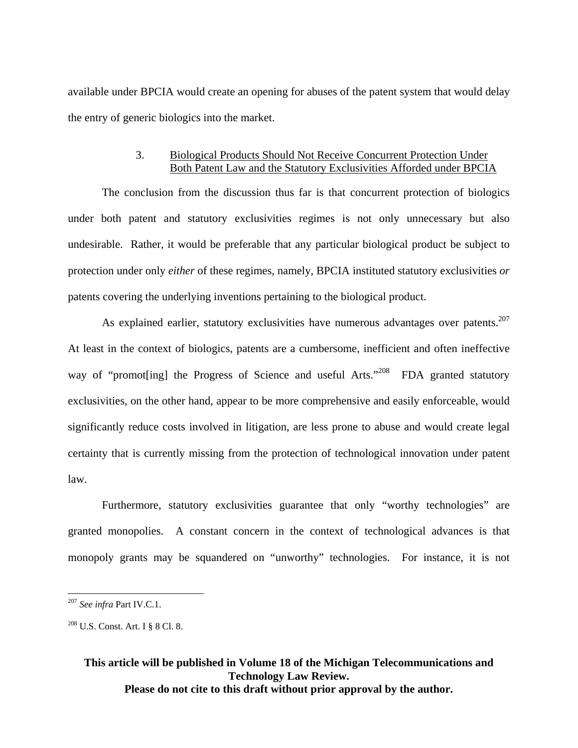available under BPCIA would create an opening for abuses of the patent system that would delay the entry of generic biologics into the market.

#### 3. Biological Products Should Not Receive Concurrent Protection Under Both Patent Law and the Statutory Exclusivities Afforded under BPCIA

The conclusion from the discussion thus far is that concurrent protection of biologics under both patent and statutory exclusivities regimes is not only unnecessary but also undesirable. Rather, it would be preferable that any particular biological product be subject to protection under only *either* of these regimes, namely, BPCIA instituted statutory exclusivities *or* patents covering the underlying inventions pertaining to the biological product.

As explained earlier, statutory exclusivities have numerous advantages over patents.<sup>207</sup> At least in the context of biologics, patents are a cumbersome, inefficient and often ineffective way of "promot inglument progress of Science and useful Arts."<sup>208</sup> FDA granted statutory exclusivities, on the other hand, appear to be more comprehensive and easily enforceable, would significantly reduce costs involved in litigation, are less prone to abuse and would create legal certainty that is currently missing from the protection of technological innovation under patent law.

Furthermore, statutory exclusivities guarantee that only "worthy technologies" are granted monopolies. A constant concern in the context of technological advances is that monopoly grants may be squandered on "unworthy" technologies. For instance, it is not

 $\overline{a}$ 

<sup>207</sup> *See infra* Part IV.C.1.

<sup>208</sup> U.S. Const. Art. I § 8 Cl. 8.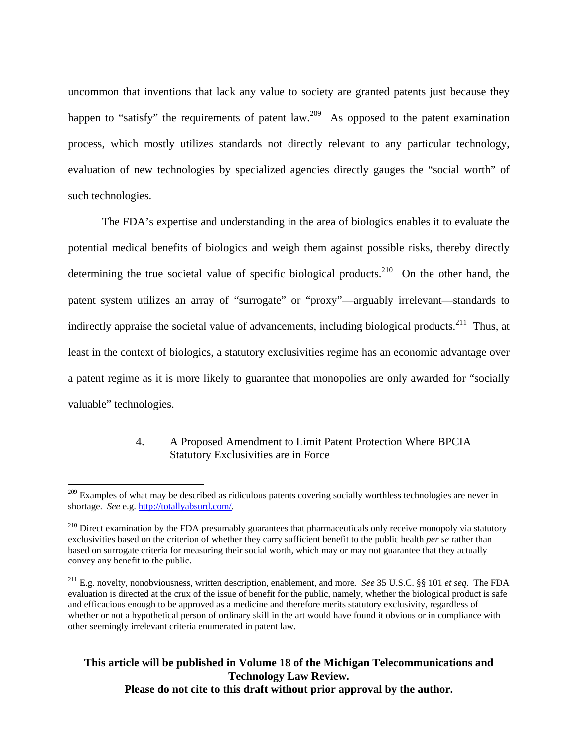uncommon that inventions that lack any value to society are granted patents just because they happen to "satisfy" the requirements of patent law.<sup>209</sup> As opposed to the patent examination process, which mostly utilizes standards not directly relevant to any particular technology, evaluation of new technologies by specialized agencies directly gauges the "social worth" of such technologies.

The FDA's expertise and understanding in the area of biologics enables it to evaluate the potential medical benefits of biologics and weigh them against possible risks, thereby directly determining the true societal value of specific biological products.<sup>210</sup> On the other hand, the patent system utilizes an array of "surrogate" or "proxy"—arguably irrelevant—standards to indirectly appraise the societal value of advancements, including biological products.<sup>211</sup> Thus, at least in the context of biologics, a statutory exclusivities regime has an economic advantage over a patent regime as it is more likely to guarantee that monopolies are only awarded for "socially valuable" technologies.

#### 4. A Proposed Amendment to Limit Patent Protection Where BPCIA Statutory Exclusivities are in Force

 $\overline{a}$ 

 $209$  Examples of what may be described as ridiculous patents covering socially worthless technologies are never in shortage. *See* e.g. http://totallyabsurd.com/.

 $^{210}$  Direct examination by the FDA presumably guarantees that pharmaceuticals only receive monopoly via statutory exclusivities based on the criterion of whether they carry sufficient benefit to the public health *per se* rather than based on surrogate criteria for measuring their social worth, which may or may not guarantee that they actually convey any benefit to the public.

<sup>211</sup> E.g. novelty, nonobviousness, written description, enablement, and more*. See* 35 U.S.C. §§ 101 *et seq.* The FDA evaluation is directed at the crux of the issue of benefit for the public, namely, whether the biological product is safe and efficacious enough to be approved as a medicine and therefore merits statutory exclusivity, regardless of whether or not a hypothetical person of ordinary skill in the art would have found it obvious or in compliance with other seemingly irrelevant criteria enumerated in patent law.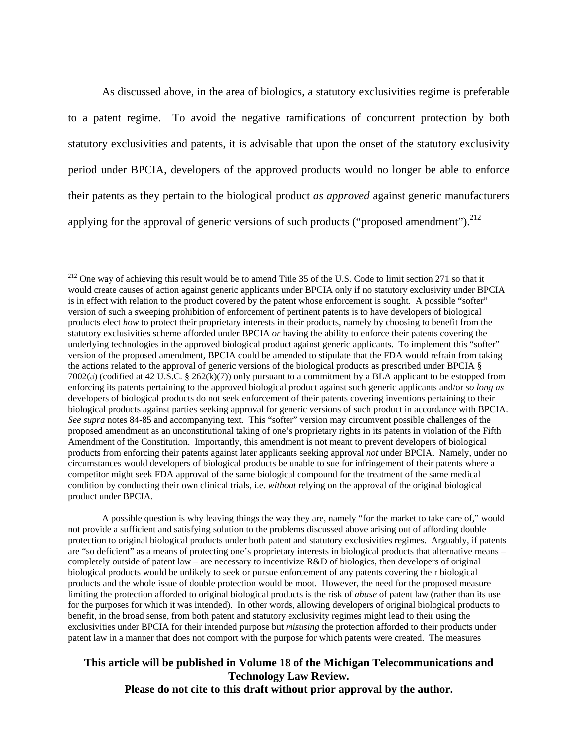As discussed above, in the area of biologics, a statutory exclusivities regime is preferable to a patent regime. To avoid the negative ramifications of concurrent protection by both statutory exclusivities and patents, it is advisable that upon the onset of the statutory exclusivity period under BPCIA, developers of the approved products would no longer be able to enforce their patents as they pertain to the biological product *as approved* against generic manufacturers applying for the approval of generic versions of such products ("proposed amendment").  $^{212}$ 

1

 A possible question is why leaving things the way they are, namely "for the market to take care of," would not provide a sufficient and satisfying solution to the problems discussed above arising out of affording double protection to original biological products under both patent and statutory exclusivities regimes. Arguably, if patents are "so deficient" as a means of protecting one's proprietary interests in biological products that alternative means – completely outside of patent law – are necessary to incentivize R&D of biologics, then developers of original biological products would be unlikely to seek or pursue enforcement of any patents covering their biological products and the whole issue of double protection would be moot. However, the need for the proposed measure limiting the protection afforded to original biological products is the risk of *abuse* of patent law (rather than its use for the purposes for which it was intended). In other words, allowing developers of original biological products to benefit, in the broad sense, from both patent and statutory exclusivity regimes might lead to their using the exclusivities under BPCIA for their intended purpose but *misusing* the protection afforded to their products under patent law in a manner that does not comport with the purpose for which patents were created. The measures

 $212$  One way of achieving this result would be to amend Title 35 of the U.S. Code to limit section 271 so that it would create causes of action against generic applicants under BPCIA only if no statutory exclusivity under BPCIA is in effect with relation to the product covered by the patent whose enforcement is sought. A possible "softer" version of such a sweeping prohibition of enforcement of pertinent patents is to have developers of biological products elect *how* to protect their proprietary interests in their products, namely by choosing to benefit from the statutory exclusivities scheme afforded under BPCIA *or* having the ability to enforce their patents covering the underlying technologies in the approved biological product against generic applicants. To implement this "softer" version of the proposed amendment, BPCIA could be amended to stipulate that the FDA would refrain from taking the actions related to the approval of generic versions of the biological products as prescribed under BPCIA § 7002(a) (codified at 42 U.S.C. § 262(k)(7)) only pursuant to a commitment by a BLA applicant to be estopped from enforcing its patents pertaining to the approved biological product against such generic applicants and/or *so long as* developers of biological products do not seek enforcement of their patents covering inventions pertaining to their biological products against parties seeking approval for generic versions of such product in accordance with BPCIA. *See supra* notes 84-85 and accompanying text. This "softer" version may circumvent possible challenges of the proposed amendment as an unconstitutional taking of one's proprietary rights in its patents in violation of the Fifth Amendment of the Constitution. Importantly, this amendment is not meant to prevent developers of biological products from enforcing their patents against later applicants seeking approval *not* under BPCIA. Namely, under no circumstances would developers of biological products be unable to sue for infringement of their patents where a competitor might seek FDA approval of the same biological compound for the treatment of the same medical condition by conducting their own clinical trials, i.e. *without* relying on the approval of the original biological product under BPCIA.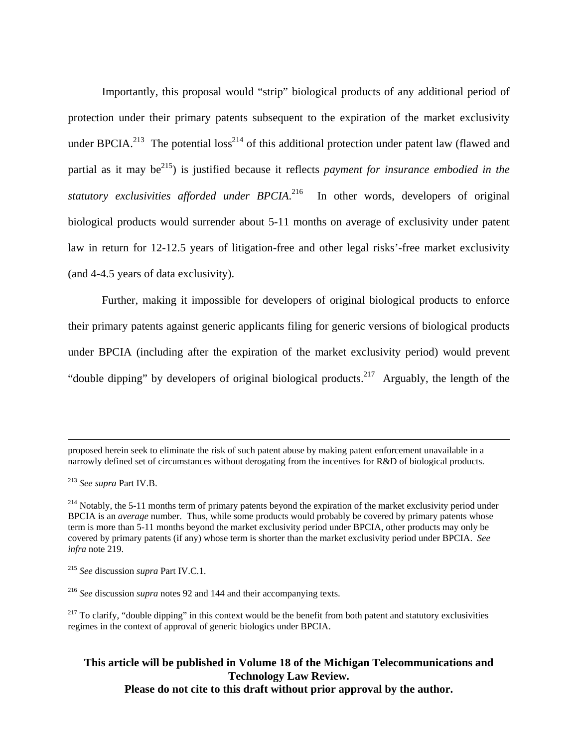Importantly, this proposal would "strip" biological products of any additional period of protection under their primary patents subsequent to the expiration of the market exclusivity under BPCIA.<sup>213</sup> The potential loss<sup>214</sup> of this additional protection under patent law (flawed and partial as it may be<sup>215</sup>) is justified because it reflects *payment for insurance embodied in the* statutory exclusivities afforded under BPCIA.<sup>216</sup> In other words, developers of original biological products would surrender about 5-11 months on average of exclusivity under patent law in return for 12-12.5 years of litigation-free and other legal risks'-free market exclusivity (and 4-4.5 years of data exclusivity).

Further, making it impossible for developers of original biological products to enforce their primary patents against generic applicants filing for generic versions of biological products under BPCIA (including after the expiration of the market exclusivity period) would prevent "double dipping" by developers of original biological products.<sup>217</sup> Arguably, the length of the

proposed herein seek to eliminate the risk of such patent abuse by making patent enforcement unavailable in a narrowly defined set of circumstances without derogating from the incentives for R&D of biological products.

<sup>213</sup> *See supra* Part IV.B.

<sup>&</sup>lt;sup>214</sup> Notably, the 5-11 months term of primary patents beyond the expiration of the market exclusivity period under BPCIA is an *average* number. Thus, while some products would probably be covered by primary patents whose term is more than 5-11 months beyond the market exclusivity period under BPCIA, other products may only be covered by primary patents (if any) whose term is shorter than the market exclusivity period under BPCIA. *See infra* note 219.

<sup>215</sup> *See* discussion *supra* Part IV.C.1.

<sup>216</sup> *See* discussion *supra* notes 92 and 144 and their accompanying texts.

 $217$  To clarify, "double dipping" in this context would be the benefit from both patent and statutory exclusivities regimes in the context of approval of generic biologics under BPCIA.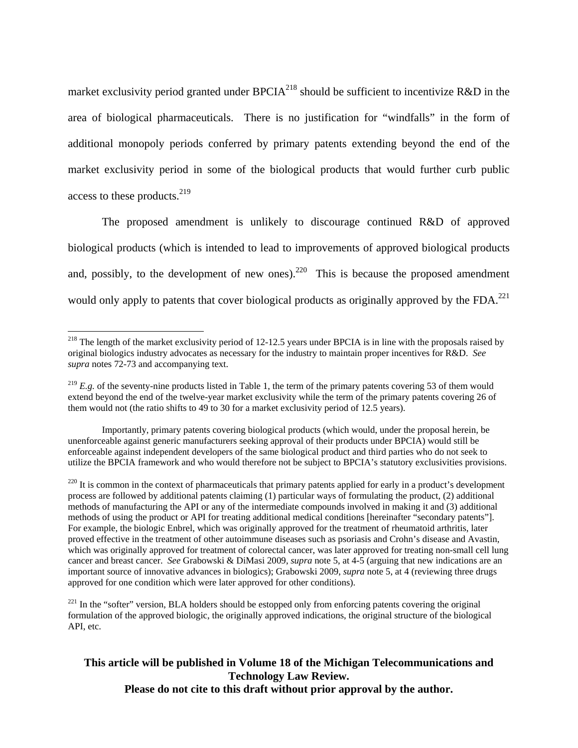market exclusivity period granted under BPCIA<sup>218</sup> should be sufficient to incentivize R&D in the area of biological pharmaceuticals. There is no justification for "windfalls" in the form of additional monopoly periods conferred by primary patents extending beyond the end of the market exclusivity period in some of the biological products that would further curb public access to these products.<sup>219</sup>

The proposed amendment is unlikely to discourage continued R&D of approved biological products (which is intended to lead to improvements of approved biological products and, possibly, to the development of new ones).<sup>220</sup> This is because the proposed amendment would only apply to patents that cover biological products as originally approved by the  $FDA$ <sup>221</sup>

1

Importantly, primary patents covering biological products (which would, under the proposal herein, be unenforceable against generic manufacturers seeking approval of their products under BPCIA) would still be enforceable against independent developers of the same biological product and third parties who do not seek to utilize the BPCIA framework and who would therefore not be subject to BPCIA's statutory exclusivities provisions.

 $^{218}$  The length of the market exclusivity period of 12-12.5 years under BPCIA is in line with the proposals raised by original biologics industry advocates as necessary for the industry to maintain proper incentives for R&D. *See supra* notes 72-73 and accompanying text.

<sup>&</sup>lt;sup>219</sup> *E.g.* of the seventy-nine products listed in Table 1, the term of the primary patents covering 53 of them would extend beyond the end of the twelve-year market exclusivity while the term of the primary patents covering 26 of them would not (the ratio shifts to 49 to 30 for a market exclusivity period of 12.5 years).

 $^{220}$  It is common in the context of pharmaceuticals that primary patents applied for early in a product's development process are followed by additional patents claiming (1) particular ways of formulating the product, (2) additional methods of manufacturing the API or any of the intermediate compounds involved in making it and (3) additional methods of using the product or API for treating additional medical conditions [hereinafter "secondary patents"]. For example, the biologic Enbrel, which was originally approved for the treatment of rheumatoid arthritis, later proved effective in the treatment of other autoimmune diseases such as psoriasis and Crohn's disease and Avastin, which was originally approved for treatment of colorectal cancer, was later approved for treating non-small cell lung cancer and breast cancer. *See* Grabowski & DiMasi 2009, *supra* note 5, at 4-5 (arguing that new indications are an important source of innovative advances in biologics); Grabowski 2009, *supra* note 5, at 4 (reviewing three drugs approved for one condition which were later approved for other conditions).

<sup>&</sup>lt;sup>221</sup> In the "softer" version, BLA holders should be estopped only from enforcing patents covering the original formulation of the approved biologic, the originally approved indications, the original structure of the biological API, etc.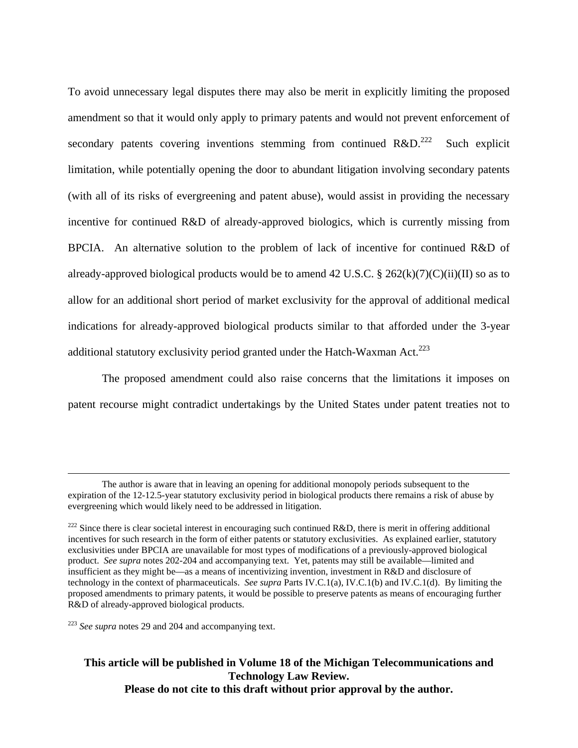To avoid unnecessary legal disputes there may also be merit in explicitly limiting the proposed amendment so that it would only apply to primary patents and would not prevent enforcement of secondary patents covering inventions stemming from continued  $R&D$ <sup>222</sup> Such explicit limitation, while potentially opening the door to abundant litigation involving secondary patents (with all of its risks of evergreening and patent abuse), would assist in providing the necessary incentive for continued R&D of already-approved biologics, which is currently missing from BPCIA. An alternative solution to the problem of lack of incentive for continued R&D of already-approved biological products would be to amend 42 U.S.C. § 262(k)(7)(C)(ii)(II) so as to allow for an additional short period of market exclusivity for the approval of additional medical indications for already-approved biological products similar to that afforded under the 3-year additional statutory exclusivity period granted under the Hatch-Waxman Act.<sup>223</sup>

The proposed amendment could also raise concerns that the limitations it imposes on patent recourse might contradict undertakings by the United States under patent treaties not to

The author is aware that in leaving an opening for additional monopoly periods subsequent to the expiration of the 12-12.5-year statutory exclusivity period in biological products there remains a risk of abuse by evergreening which would likely need to be addressed in litigation.

<sup>&</sup>lt;sup>222</sup> Since there is clear societal interest in encouraging such continued R&D, there is merit in offering additional incentives for such research in the form of either patents or statutory exclusivities. As explained earlier, statutory exclusivities under BPCIA are unavailable for most types of modifications of a previously-approved biological product. *See supra* notes 202-204 and accompanying text. Yet, patents may still be available—limited and insufficient as they might be—as a means of incentivizing invention, investment in R&D and disclosure of technology in the context of pharmaceuticals. *See supra* Parts IV.C.1(a), IV.C.1(b) and IV.C.1(d). By limiting the proposed amendments to primary patents, it would be possible to preserve patents as means of encouraging further R&D of already-approved biological products.

<sup>223</sup> *See supra* notes 29 and 204 and accompanying text.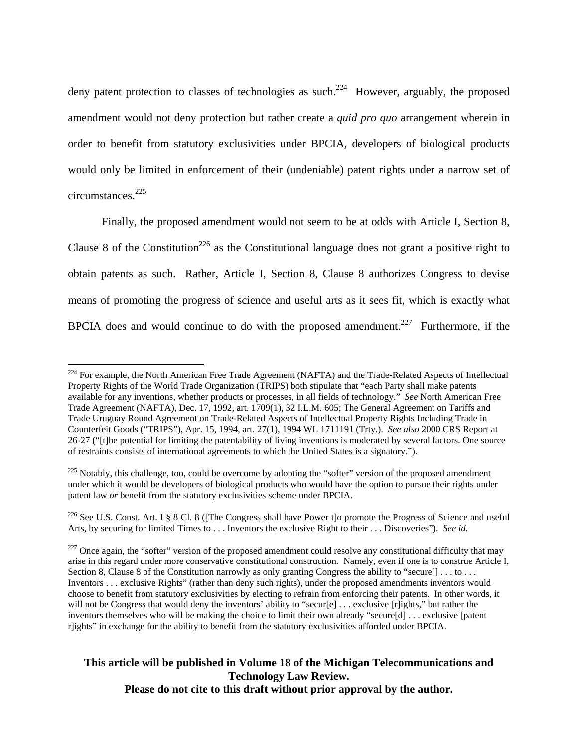deny patent protection to classes of technologies as such.<sup>224</sup> However, arguably, the proposed amendment would not deny protection but rather create a *quid pro quo* arrangement wherein in order to benefit from statutory exclusivities under BPCIA, developers of biological products would only be limited in enforcement of their (undeniable) patent rights under a narrow set of circumstances.225

Finally, the proposed amendment would not seem to be at odds with Article I, Section 8, Clause 8 of the Constitution<sup>226</sup> as the Constitutional language does not grant a positive right to obtain patents as such. Rather, Article I, Section 8, Clause 8 authorizes Congress to devise means of promoting the progress of science and useful arts as it sees fit, which is exactly what BPCIA does and would continue to do with the proposed amendment.<sup>227</sup> Furthermore, if the

 $\overline{a}$ 

# **This article will be published in Volume 18 of the Michigan Telecommunications and Technology Law Review.**

**Please do not cite to this draft without prior approval by the author.** 

<sup>&</sup>lt;sup>224</sup> For example, the North American Free Trade Agreement (NAFTA) and the Trade-Related Aspects of Intellectual Property Rights of the World Trade Organization (TRIPS) both stipulate that "each Party shall make patents available for any inventions, whether products or processes, in all fields of technology." *See* North American Free Trade Agreement (NAFTA), Dec. 17, 1992, art. 1709(1), 32 I.L.M. 605; The General Agreement on Tariffs and Trade Uruguay Round Agreement on Trade-Related Aspects of Intellectual Property Rights Including Trade in Counterfeit Goods ("TRIPS"), Apr. 15, 1994, art. 27(1), 1994 WL 1711191 (Trty.). *See also* 2000 CRS Report at 26-27 ("[t]he potential for limiting the patentability of living inventions is moderated by several factors. One source of restraints consists of international agreements to which the United States is a signatory.").

<sup>&</sup>lt;sup>225</sup> Notably, this challenge, too, could be overcome by adopting the "softer" version of the proposed amendment under which it would be developers of biological products who would have the option to pursue their rights under patent law *or* benefit from the statutory exclusivities scheme under BPCIA.

<sup>&</sup>lt;sup>226</sup> See U.S. Const. Art. I § 8 Cl. 8 ([The Congress shall have Power t]o promote the Progress of Science and useful Arts, by securing for limited Times to . . . Inventors the exclusive Right to their . . . Discoveries"). *See id.*

 $227$  Once again, the "softer" version of the proposed amendment could resolve any constitutional difficulty that may arise in this regard under more conservative constitutional construction. Namely, even if one is to construe Article I, Section 8, Clause 8 of the Constitution narrowly as only granting Congress the ability to "secure[] . . . to . . . Inventors . . . exclusive Rights" (rather than deny such rights), under the proposed amendments inventors would choose to benefit from statutory exclusivities by electing to refrain from enforcing their patents. In other words, it will not be Congress that would deny the inventors' ability to "secur[e] ... exclusive [r]ights," but rather the inventors themselves who will be making the choice to limit their own already "secure[d] . . . exclusive [patent r]ights" in exchange for the ability to benefit from the statutory exclusivities afforded under BPCIA.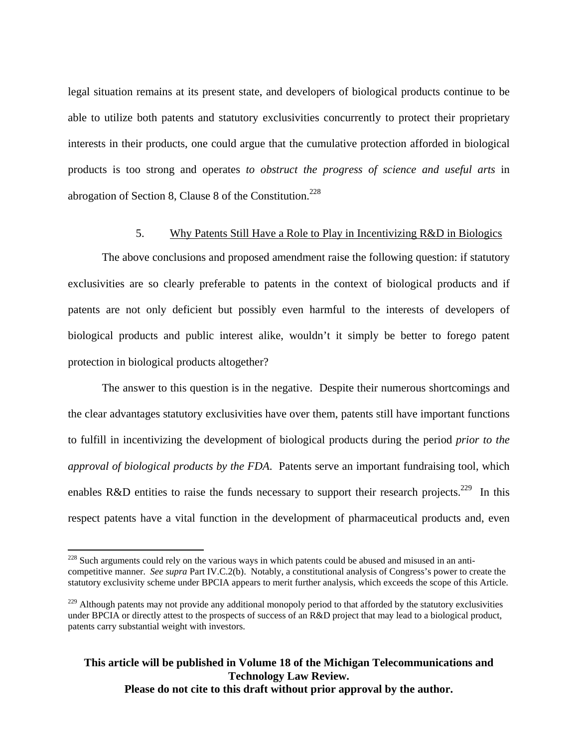legal situation remains at its present state, and developers of biological products continue to be able to utilize both patents and statutory exclusivities concurrently to protect their proprietary interests in their products, one could argue that the cumulative protection afforded in biological products is too strong and operates *to obstruct the progress of science and useful arts* in abrogation of Section 8, Clause 8 of the Constitution.<sup>228</sup>

#### 5. Why Patents Still Have a Role to Play in Incentivizing R&D in Biologics

The above conclusions and proposed amendment raise the following question: if statutory exclusivities are so clearly preferable to patents in the context of biological products and if patents are not only deficient but possibly even harmful to the interests of developers of biological products and public interest alike, wouldn't it simply be better to forego patent protection in biological products altogether?

The answer to this question is in the negative. Despite their numerous shortcomings and the clear advantages statutory exclusivities have over them, patents still have important functions to fulfill in incentivizing the development of biological products during the period *prior to the approval of biological products by the FDA*. Patents serve an important fundraising tool, which enables R&D entities to raise the funds necessary to support their research projects.<sup>229</sup> In this respect patents have a vital function in the development of pharmaceutical products and, even

1

 $228$  Such arguments could rely on the various ways in which patents could be abused and misused in an anticompetitive manner. *See supra* Part IV.C.2(b). Notably, a constitutional analysis of Congress's power to create the statutory exclusivity scheme under BPCIA appears to merit further analysis, which exceeds the scope of this Article.

<sup>&</sup>lt;sup>229</sup> Although patents may not provide any additional monopoly period to that afforded by the statutory exclusivities under BPCIA or directly attest to the prospects of success of an R&D project that may lead to a biological product, patents carry substantial weight with investors.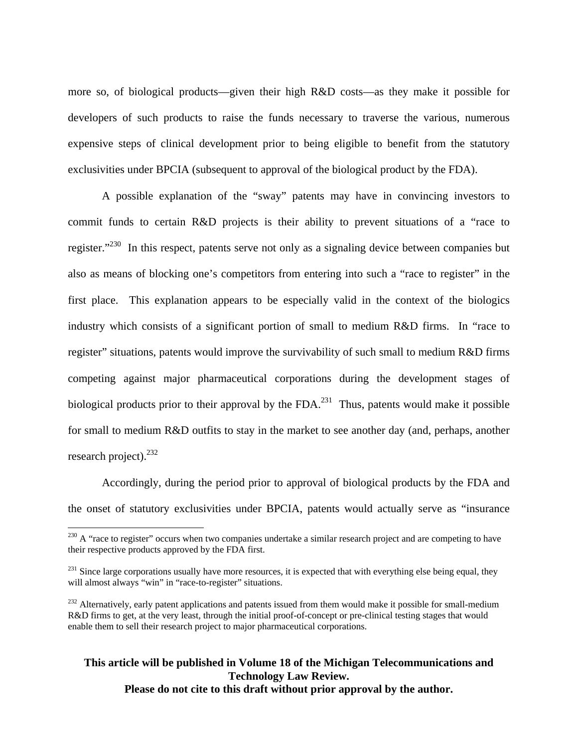more so, of biological products—given their high R&D costs—as they make it possible for developers of such products to raise the funds necessary to traverse the various, numerous expensive steps of clinical development prior to being eligible to benefit from the statutory exclusivities under BPCIA (subsequent to approval of the biological product by the FDA).

A possible explanation of the "sway" patents may have in convincing investors to commit funds to certain R&D projects is their ability to prevent situations of a "race to register."<sup>230</sup> In this respect, patents serve not only as a signaling device between companies but also as means of blocking one's competitors from entering into such a "race to register" in the first place. This explanation appears to be especially valid in the context of the biologics industry which consists of a significant portion of small to medium R&D firms. In "race to register" situations, patents would improve the survivability of such small to medium R&D firms competing against major pharmaceutical corporations during the development stages of biological products prior to their approval by the FDA.<sup>231</sup> Thus, patents would make it possible for small to medium R&D outfits to stay in the market to see another day (and, perhaps, another research project). $^{232}$ 

Accordingly, during the period prior to approval of biological products by the FDA and the onset of statutory exclusivities under BPCIA, patents would actually serve as "insurance

 $\overline{a}$ 

 $^{230}$  A "race to register" occurs when two companies undertake a similar research project and are competing to have their respective products approved by the FDA first.

<sup>&</sup>lt;sup>231</sup> Since large corporations usually have more resources, it is expected that with everything else being equal, they will almost always "win" in "race-to-register" situations.

 $^{232}$  Alternatively, early patent applications and patents issued from them would make it possible for small-medium R&D firms to get, at the very least, through the initial proof-of-concept or pre-clinical testing stages that would enable them to sell their research project to major pharmaceutical corporations.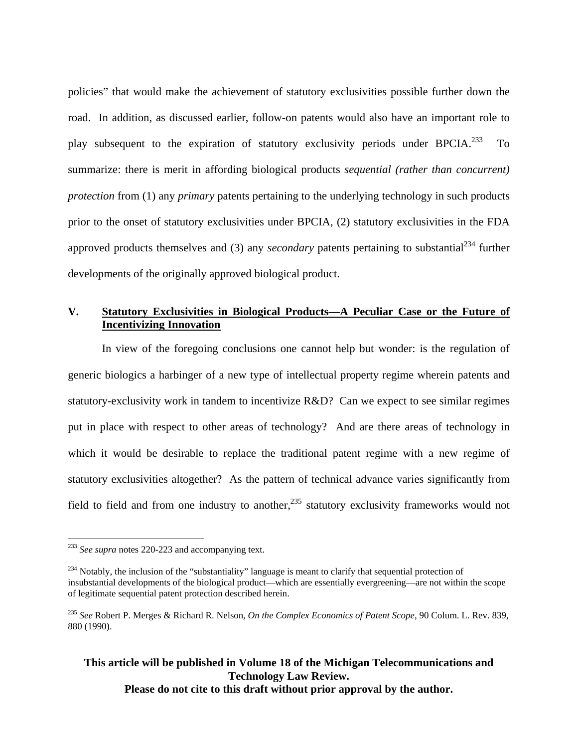policies" that would make the achievement of statutory exclusivities possible further down the road. In addition, as discussed earlier, follow-on patents would also have an important role to play subsequent to the expiration of statutory exclusivity periods under BPCIA.<sup>233</sup> To summarize: there is merit in affording biological products *sequential (rather than concurrent) protection* from (1) any *primary* patents pertaining to the underlying technology in such products prior to the onset of statutory exclusivities under BPCIA, (2) statutory exclusivities in the FDA approved products themselves and (3) any *secondary* patents pertaining to substantial<sup>234</sup> further developments of the originally approved biological product.

## **V. Statutory Exclusivities in Biological Products—A Peculiar Case or the Future of Incentivizing Innovation**

In view of the foregoing conclusions one cannot help but wonder: is the regulation of generic biologics a harbinger of a new type of intellectual property regime wherein patents and statutory-exclusivity work in tandem to incentivize R&D? Can we expect to see similar regimes put in place with respect to other areas of technology? And are there areas of technology in which it would be desirable to replace the traditional patent regime with a new regime of statutory exclusivities altogether? As the pattern of technical advance varies significantly from field to field and from one industry to another,  $235$  statutory exclusivity frameworks would not

 $\overline{a}$ 

<sup>233</sup> *See supra* notes 220-223 and accompanying text.

<sup>&</sup>lt;sup>234</sup> Notably, the inclusion of the "substantiality" language is meant to clarify that sequential protection of insubstantial developments of the biological product—which are essentially evergreening—are not within the scope of legitimate sequential patent protection described herein.

<sup>235</sup> *See* Robert P. Merges & Richard R. Nelson*, On the Complex Economics of Patent Scope*, 90 Colum. L. Rev. 839, 880 (1990).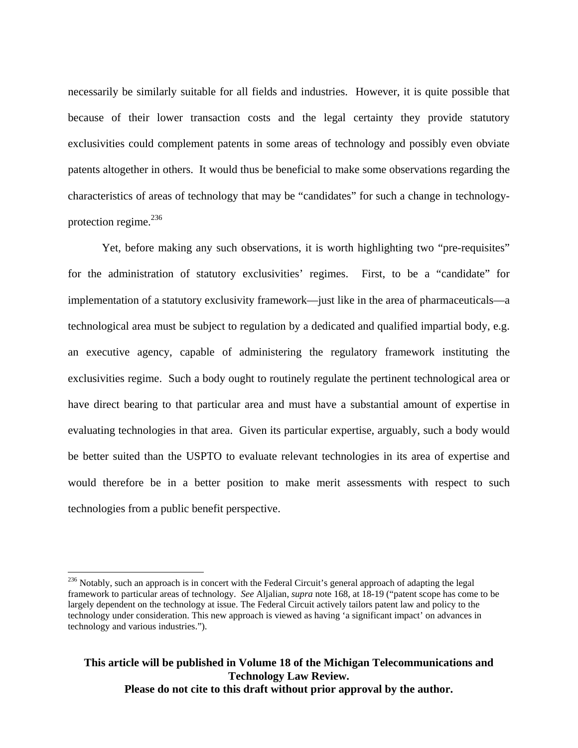necessarily be similarly suitable for all fields and industries. However, it is quite possible that because of their lower transaction costs and the legal certainty they provide statutory exclusivities could complement patents in some areas of technology and possibly even obviate patents altogether in others. It would thus be beneficial to make some observations regarding the characteristics of areas of technology that may be "candidates" for such a change in technologyprotection regime. $^{236}$ 

Yet, before making any such observations, it is worth highlighting two "pre-requisites" for the administration of statutory exclusivities' regimes. First, to be a "candidate" for implementation of a statutory exclusivity framework—just like in the area of pharmaceuticals—a technological area must be subject to regulation by a dedicated and qualified impartial body, e.g. an executive agency, capable of administering the regulatory framework instituting the exclusivities regime. Such a body ought to routinely regulate the pertinent technological area or have direct bearing to that particular area and must have a substantial amount of expertise in evaluating technologies in that area. Given its particular expertise, arguably, such a body would be better suited than the USPTO to evaluate relevant technologies in its area of expertise and would therefore be in a better position to make merit assessments with respect to such technologies from a public benefit perspective.

 $\overline{a}$ 

<sup>&</sup>lt;sup>236</sup> Notably, such an approach is in concert with the Federal Circuit's general approach of adapting the legal framework to particular areas of technology. *See* Aljalian, *supra* note 168, at 18-19 ("patent scope has come to be largely dependent on the technology at issue. The Federal Circuit actively tailors patent law and policy to the technology under consideration. This new approach is viewed as having 'a significant impact' on advances in technology and various industries.").

**This article will be published in Volume 18 of the Michigan Telecommunications and Technology Law Review. Please do not cite to this draft without prior approval by the author.**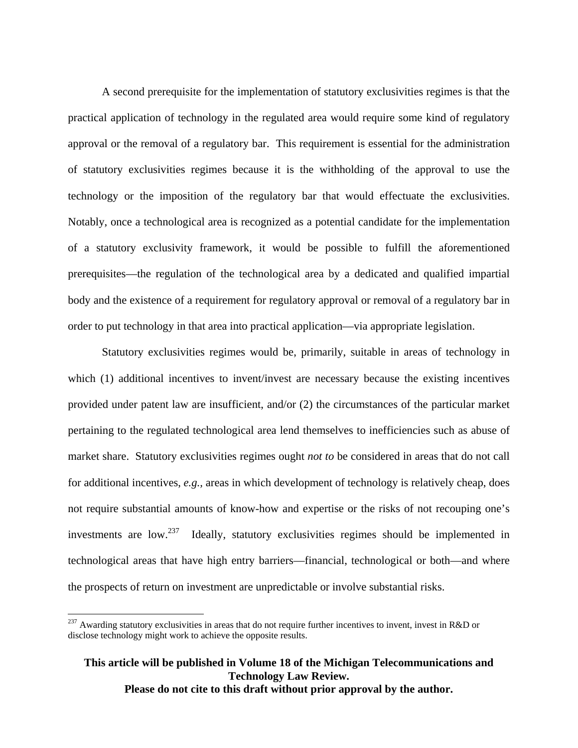A second prerequisite for the implementation of statutory exclusivities regimes is that the practical application of technology in the regulated area would require some kind of regulatory approval or the removal of a regulatory bar. This requirement is essential for the administration of statutory exclusivities regimes because it is the withholding of the approval to use the technology or the imposition of the regulatory bar that would effectuate the exclusivities. Notably, once a technological area is recognized as a potential candidate for the implementation of a statutory exclusivity framework, it would be possible to fulfill the aforementioned prerequisites—the regulation of the technological area by a dedicated and qualified impartial body and the existence of a requirement for regulatory approval or removal of a regulatory bar in order to put technology in that area into practical application—via appropriate legislation.

Statutory exclusivities regimes would be, primarily, suitable in areas of technology in which (1) additional incentives to invent/invest are necessary because the existing incentives provided under patent law are insufficient, and/or (2) the circumstances of the particular market pertaining to the regulated technological area lend themselves to inefficiencies such as abuse of market share. Statutory exclusivities regimes ought *not to* be considered in areas that do not call for additional incentives, *e.g.,* areas in which development of technology is relatively cheap, does not require substantial amounts of know-how and expertise or the risks of not recouping one's investments are low.<sup>237</sup> Ideally, statutory exclusivities regimes should be implemented in technological areas that have high entry barriers—financial, technological or both—and where the prospects of return on investment are unpredictable or involve substantial risks.

 $\overline{a}$ 

 $^{237}$  Awarding statutory exclusivities in areas that do not require further incentives to invent, invest in R&D or disclose technology might work to achieve the opposite results.

**This article will be published in Volume 18 of the Michigan Telecommunications and Technology Law Review. Please do not cite to this draft without prior approval by the author.**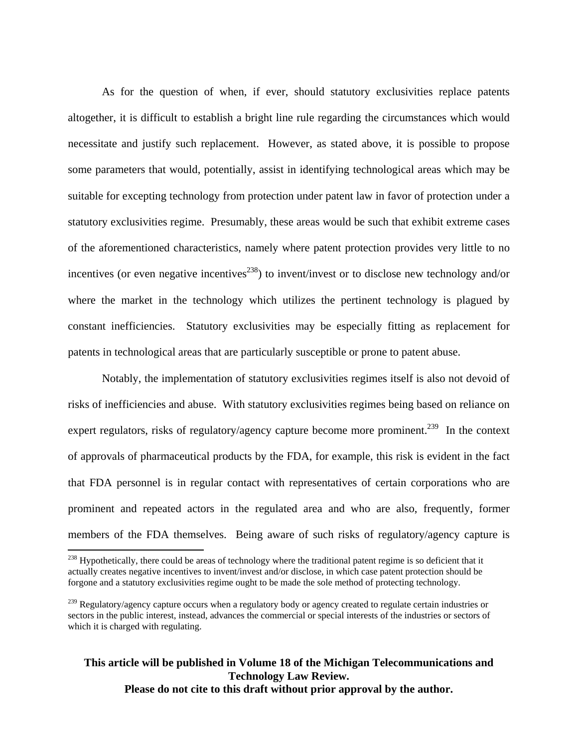As for the question of when, if ever, should statutory exclusivities replace patents altogether, it is difficult to establish a bright line rule regarding the circumstances which would necessitate and justify such replacement. However, as stated above, it is possible to propose some parameters that would, potentially, assist in identifying technological areas which may be suitable for excepting technology from protection under patent law in favor of protection under a statutory exclusivities regime. Presumably, these areas would be such that exhibit extreme cases of the aforementioned characteristics, namely where patent protection provides very little to no incentives (or even negative incentives<sup>238</sup>) to invent/invest or to disclose new technology and/or where the market in the technology which utilizes the pertinent technology is plagued by constant inefficiencies. Statutory exclusivities may be especially fitting as replacement for patents in technological areas that are particularly susceptible or prone to patent abuse.

Notably, the implementation of statutory exclusivities regimes itself is also not devoid of risks of inefficiencies and abuse. With statutory exclusivities regimes being based on reliance on expert regulators, risks of regulatory/agency capture become more prominent.<sup>239</sup> In the context of approvals of pharmaceutical products by the FDA, for example, this risk is evident in the fact that FDA personnel is in regular contact with representatives of certain corporations who are prominent and repeated actors in the regulated area and who are also, frequently, former members of the FDA themselves. Being aware of such risks of regulatory/agency capture is

 $\overline{a}$ 

<sup>&</sup>lt;sup>238</sup> Hypothetically, there could be areas of technology where the traditional patent regime is so deficient that it actually creates negative incentives to invent/invest and/or disclose, in which case patent protection should be forgone and a statutory exclusivities regime ought to be made the sole method of protecting technology.

<sup>&</sup>lt;sup>239</sup> Regulatory/agency capture occurs when a regulatory body or agency created to regulate certain industries or sectors in the public interest, instead, advances the commercial or special interests of the industries or sectors of which it is charged with regulating.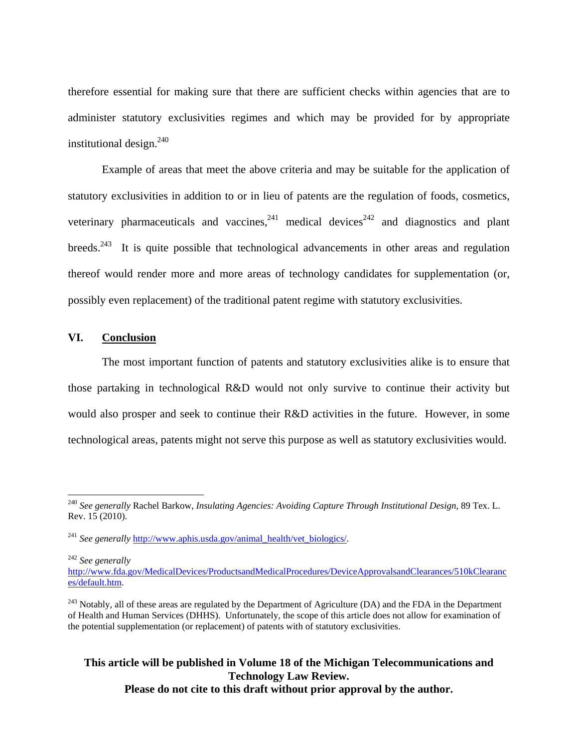therefore essential for making sure that there are sufficient checks within agencies that are to administer statutory exclusivities regimes and which may be provided for by appropriate institutional design. $240$ 

Example of areas that meet the above criteria and may be suitable for the application of statutory exclusivities in addition to or in lieu of patents are the regulation of foods, cosmetics, veterinary pharmaceuticals and vaccines,  $241$  medical devices  $242$  and diagnostics and plant breeds.<sup>243</sup> It is quite possible that technological advancements in other areas and regulation thereof would render more and more areas of technology candidates for supplementation (or, possibly even replacement) of the traditional patent regime with statutory exclusivities.

#### **VI. Conclusion**

The most important function of patents and statutory exclusivities alike is to ensure that those partaking in technological R&D would not only survive to continue their activity but would also prosper and seek to continue their R&D activities in the future. However, in some technological areas, patents might not serve this purpose as well as statutory exclusivities would.

<sup>242</sup> *See generally*

 $\overline{a}$ 

<sup>240</sup> *See generally* Rachel Barkow, *Insulating Agencies: Avoiding Capture Through Institutional Design*, 89 Tex. L. Rev. 15 (2010).

<sup>&</sup>lt;sup>241</sup> *See generally* http://www.aphis.usda.gov/animal\_health/vet\_biologics/.

http://www.fda.gov/MedicalDevices/ProductsandMedicalProcedures/DeviceApprovalsandClearances/510kClearanc es/default.htm.

<sup>&</sup>lt;sup>243</sup> Notably, all of these areas are regulated by the Department of Agriculture (DA) and the FDA in the Department of Health and Human Services (DHHS). Unfortunately, the scope of this article does not allow for examination of the potential supplementation (or replacement) of patents with of statutory exclusivities.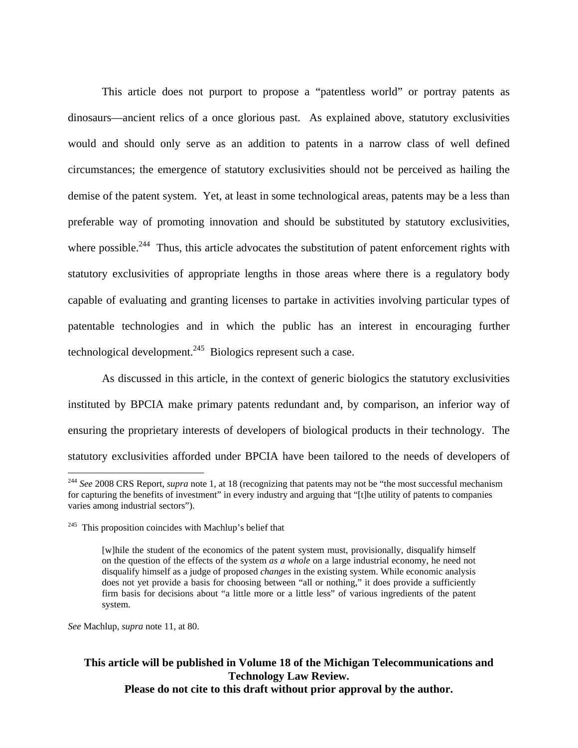This article does not purport to propose a "patentless world" or portray patents as dinosaurs—ancient relics of a once glorious past. As explained above, statutory exclusivities would and should only serve as an addition to patents in a narrow class of well defined circumstances; the emergence of statutory exclusivities should not be perceived as hailing the demise of the patent system. Yet, at least in some technological areas, patents may be a less than preferable way of promoting innovation and should be substituted by statutory exclusivities, where possible.<sup>244</sup> Thus, this article advocates the substitution of patent enforcement rights with statutory exclusivities of appropriate lengths in those areas where there is a regulatory body capable of evaluating and granting licenses to partake in activities involving particular types of patentable technologies and in which the public has an interest in encouraging further technological development.<sup>245</sup> Biologics represent such a case.

As discussed in this article, in the context of generic biologics the statutory exclusivities instituted by BPCIA make primary patents redundant and, by comparison, an inferior way of ensuring the proprietary interests of developers of biological products in their technology. The statutory exclusivities afforded under BPCIA have been tailored to the needs of developers of

*See* Machlup, *supra* note 11, at 80.

 $\overline{a}$ 

<sup>244</sup> *See* 2008 CRS Report, *supra* note 1, at 18 (recognizing that patents may not be "the most successful mechanism for capturing the benefits of investment" in every industry and arguing that "[t]he utility of patents to companies varies among industrial sectors").

 $245$  This proposition coincides with Machlup's belief that

<sup>[</sup>w]hile the student of the economics of the patent system must, provisionally, disqualify himself on the question of the effects of the system *as a whole* on a large industrial economy, he need not disqualify himself as a judge of proposed *changes* in the existing system. While economic analysis does not yet provide a basis for choosing between "all or nothing," it does provide a sufficiently firm basis for decisions about "a little more or a little less" of various ingredients of the patent system.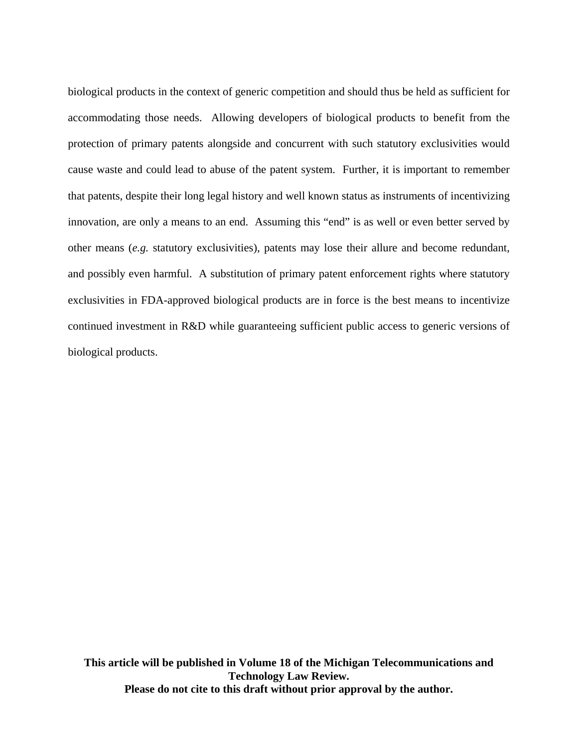biological products in the context of generic competition and should thus be held as sufficient for accommodating those needs. Allowing developers of biological products to benefit from the protection of primary patents alongside and concurrent with such statutory exclusivities would cause waste and could lead to abuse of the patent system. Further, it is important to remember that patents, despite their long legal history and well known status as instruments of incentivizing innovation, are only a means to an end. Assuming this "end" is as well or even better served by other means (*e.g.* statutory exclusivities), patents may lose their allure and become redundant, and possibly even harmful. A substitution of primary patent enforcement rights where statutory exclusivities in FDA-approved biological products are in force is the best means to incentivize continued investment in R&D while guaranteeing sufficient public access to generic versions of biological products.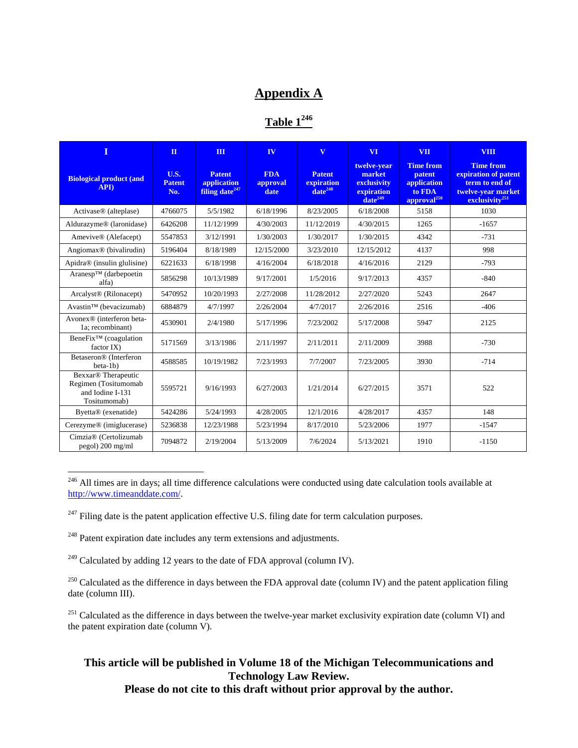# **Appendix A**

**Table 1246**

| Т                                                                                           | $\Pi$                               | $\Pi$                                                      | IV                             | $\overline{\mathbf{V}}$                     | VI <sup>-</sup>                                                    | <b>VII</b>                                                                     | <b>VIII</b>                                                                                                    |
|---------------------------------------------------------------------------------------------|-------------------------------------|------------------------------------------------------------|--------------------------------|---------------------------------------------|--------------------------------------------------------------------|--------------------------------------------------------------------------------|----------------------------------------------------------------------------------------------------------------|
| <b>Biological product (and</b><br><b>APD</b>                                                | <b>U.S.</b><br><b>Patent</b><br>No. | <b>Patent</b><br>application<br>filing date <sup>247</sup> | <b>FDA</b><br>approval<br>date | <b>Patent</b><br>expiration<br>$date^{248}$ | twelve-year<br>market<br>exclusivity<br>expiration<br>$date^{249}$ | <b>Time from</b><br>patent<br>application<br>to FDA<br>approval <sup>250</sup> | <b>Time from</b><br>expiration of patent<br>term to end of<br>twelve-year market<br>exclusivity <sup>251</sup> |
| Activase <sup>®</sup> (alteplase)                                                           | 4766075                             | 5/5/1982                                                   | 6/18/1996                      | 8/23/2005                                   | 6/18/2008                                                          | 5158                                                                           | 1030                                                                                                           |
| Aldurazyme® (laronidase)                                                                    | 6426208                             | 11/12/1999                                                 | 4/30/2003                      | 11/12/2019                                  | 4/30/2015                                                          | 1265                                                                           | $-1657$                                                                                                        |
| Amevive® (Alefacept)                                                                        | 5547853                             | 3/12/1991                                                  | 1/30/2003                      | 1/30/2017                                   | 1/30/2015                                                          | 4342                                                                           | $-731$                                                                                                         |
| Angiomax <sup>®</sup> (bivalirudin)                                                         | 5196404                             | 8/18/1989                                                  | 12/15/2000                     | 3/23/2010                                   | 12/15/2012                                                         | 4137                                                                           | 998                                                                                                            |
| Apidra <sup>®</sup> (insulin glulisine)                                                     | 6221633                             | 6/18/1998                                                  | 4/16/2004                      | 6/18/2018                                   | 4/16/2016                                                          | 2129                                                                           | $-793$                                                                                                         |
| Aranesp™ (darbepoetin<br>alfa)                                                              | 5856298                             | 10/13/1989                                                 | 9/17/2001                      | 1/5/2016                                    | 9/17/2013                                                          | 4357                                                                           | $-840$                                                                                                         |
| Arcalyst <sup>®</sup> (Rilonacept)                                                          | 5470952                             | 10/20/1993                                                 | 2/27/2008                      | 11/28/2012                                  | 2/27/2020                                                          | 5243                                                                           | 2647                                                                                                           |
| Avastin™ (bevacizumab)                                                                      | 6884879                             | 4/7/1997                                                   | 2/26/2004                      | 4/7/2017                                    | 2/26/2016                                                          | 2516                                                                           | $-406$                                                                                                         |
| Avonex <sup>®</sup> (interferon beta-<br>1a; recombinant)                                   | 4530901                             | 2/4/1980                                                   | 5/17/1996                      | 7/23/2002                                   | 5/17/2008                                                          | 5947                                                                           | 2125                                                                                                           |
| $BeneFix^{TM}$ (coagulation<br>factor IX                                                    | 5171569                             | 3/13/1986                                                  | 2/11/1997                      | 2/11/2011                                   | 2/11/2009                                                          | 3988                                                                           | $-730$                                                                                                         |
| Betaseron <sup>®</sup> (Interferon<br>$beta-1b)$                                            | 4588585                             | 10/19/1982                                                 | 7/23/1993                      | 7/7/2007                                    | 7/23/2005                                                          | 3930                                                                           | $-714$                                                                                                         |
| Bexxar <sup>®</sup> Therapeutic<br>Regimen (Tositumomab<br>and Iodine I-131<br>Tositumomab) | 5595721                             | 9/16/1993                                                  | 6/27/2003                      | 1/21/2014                                   | 6/27/2015                                                          | 3571                                                                           | 522                                                                                                            |
| Byetta® (exenatide)                                                                         | 5424286                             | 5/24/1993                                                  | 4/28/2005                      | 12/1/2016                                   | 4/28/2017                                                          | 4357                                                                           | 148                                                                                                            |
| Cerezyme® (imiglucerase)                                                                    | 5236838                             | 12/23/1988                                                 | 5/23/1994                      | 8/17/2010                                   | 5/23/2006                                                          | 1977                                                                           | $-1547$                                                                                                        |
| Cimzia® (Certolizumab<br>pegol) 200 mg/ml                                                   | 7094872                             | 2/19/2004                                                  | 5/13/2009                      | 7/6/2024                                    | 5/13/2021                                                          | 1910                                                                           | $-1150$                                                                                                        |

<sup>246</sup> All times are in days; all time difference calculations were conducted using date calculation tools available at http://www.timeanddate.com/.

 $^{247}$  Filing date is the patent application effective U.S. filing date for term calculation purposes.

<sup>248</sup> Patent expiration date includes any term extensions and adjustments.

 $\overline{a}$ 

 $249$  Calculated by adding 12 years to the date of FDA approval (column IV).

<sup>250</sup> Calculated as the difference in days between the FDA approval date (column IV) and the patent application filing date (column III).

 $251$  Calculated as the difference in days between the twelve-year market exclusivity expiration date (column VI) and the patent expiration date (column V).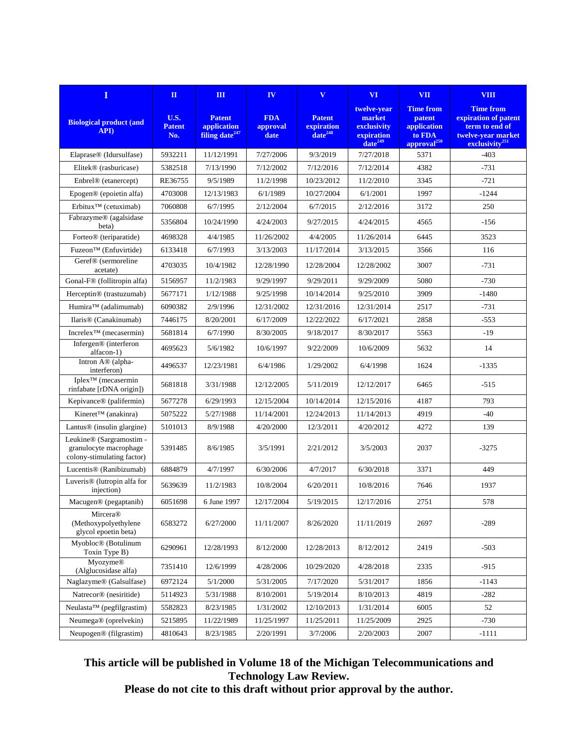| $\mathbf I$                                                                      | $\mathbf{H}$                 | Ш                                                          | IV                             | $\mathbf{V}$                                | VI <sup></sup>                                                     | <b>VII</b>                                                                     | <b>VIII</b>                                                                                                    |
|----------------------------------------------------------------------------------|------------------------------|------------------------------------------------------------|--------------------------------|---------------------------------------------|--------------------------------------------------------------------|--------------------------------------------------------------------------------|----------------------------------------------------------------------------------------------------------------|
| <b>Biological product (and</b><br>API)                                           | U.S.<br><b>Patent</b><br>No. | <b>Patent</b><br>application<br>filing date <sup>247</sup> | <b>FDA</b><br>approval<br>date | <b>Patent</b><br>expiration<br>$date^{248}$ | twelve-year<br>market<br>exclusivity<br>expiration<br>$date^{249}$ | <b>Time from</b><br>patent<br>application<br>to FDA<br>approval <sup>250</sup> | <b>Time from</b><br>expiration of patent<br>term to end of<br>twelve-year market<br>exclusivity <sup>251</sup> |
| Elaprase <sup>®</sup> (Idursulfase)                                              | 5932211                      | 11/12/1991                                                 | 7/27/2006                      | 9/3/2019                                    | 7/27/2018                                                          | 5371                                                                           | $-403$                                                                                                         |
| Elitek <sup>®</sup> (rasburicase)                                                | 5382518                      | 7/13/1990                                                  | 7/12/2002                      | 7/12/2016                                   | 7/12/2014                                                          | 4382                                                                           | $-731$                                                                                                         |
| Enbrel <sup>®</sup> (etanercept)                                                 | RE36755                      | 9/5/1989                                                   | 11/2/1998                      | 10/23/2012                                  | 11/2/2010                                                          | 3345                                                                           | $-721$                                                                                                         |
| Epogen® (epoietin alfa)                                                          | 4703008                      | 12/13/1983                                                 | 6/1/1989                       | 10/27/2004                                  | 6/1/2001                                                           | 1997                                                                           | $-1244$                                                                                                        |
| Erbitux <sup>TM</sup> (cetuximab)                                                | 7060808                      | 6/7/1995                                                   | 2/12/2004                      | 6/7/2015                                    | 2/12/2016                                                          | 3172                                                                           | 250                                                                                                            |
| Fabrazyme® (agalsidase<br>beta)                                                  | 5356804                      | 10/24/1990                                                 | 4/24/2003                      | 9/27/2015                                   | 4/24/2015                                                          | 4565                                                                           | $-156$                                                                                                         |
| Forteo <sup>®</sup> (teriparatide)                                               | 4698328                      | 4/4/1985                                                   | 11/26/2002                     | 4/4/2005                                    | 11/26/2014                                                         | 6445                                                                           | 3523                                                                                                           |
| Fuzeon™ (Enfuvirtide)                                                            | 6133418                      | 6/7/1993                                                   | 3/13/2003                      | 11/17/2014                                  | 3/13/2015                                                          | 3566                                                                           | 116                                                                                                            |
| Geref <sup>®</sup> (sermoreline<br>acetate)                                      | 4703035                      | 10/4/1982                                                  | 12/28/1990                     | 12/28/2004                                  | 12/28/2002                                                         | 3007                                                                           | $-731$                                                                                                         |
| Gonal-F <sup>®</sup> (follitropin alfa)                                          | 5156957                      | 11/2/1983                                                  | 9/29/1997                      | 9/29/2011                                   | 9/29/2009                                                          | 5080                                                                           | $-730$                                                                                                         |
| Herceptin <sup>®</sup> (trastuzumab)                                             | 5677171                      | 1/12/1988                                                  | 9/25/1998                      | 10/14/2014                                  | 9/25/2010                                                          | 3909                                                                           | $-1480$                                                                                                        |
| Humira™ (adalimumab)                                                             | 6090382                      | 2/9/1996                                                   | 12/31/2002                     | 12/31/2016                                  | 12/31/2014                                                         | 2517                                                                           | $-731$                                                                                                         |
| Ilaris <sup>®</sup> (Canakinumab)                                                | 7446175                      | 8/20/2001                                                  | 6/17/2009                      | 12/22/2022                                  | 6/17/2021                                                          | 2858                                                                           | $-553$                                                                                                         |
| Increlex <sup>TM</sup> (mecasermin)                                              | 5681814                      | 6/7/1990                                                   | 8/30/2005                      | 9/18/2017                                   | 8/30/2017                                                          | 5563                                                                           | $-19$                                                                                                          |
| Infergen® (interferon<br>alfacon-1)                                              | 4695623                      | 5/6/1982                                                   | 10/6/1997                      | 9/22/2009                                   | 10/6/2009                                                          | 5632                                                                           | 14                                                                                                             |
| Intron A® (alpha-<br>interferon)                                                 | 4496537                      | 12/23/1981                                                 | 6/4/1986                       | 1/29/2002                                   | 6/4/1998                                                           | 1624                                                                           | $-1335$                                                                                                        |
| Iplex <sup>TM</sup> (mecasermin<br>rinfabate [rDNA origin])                      | 5681818                      | 3/31/1988                                                  | 12/12/2005                     | 5/11/2019                                   | 12/12/2017                                                         | 6465                                                                           | $-515$                                                                                                         |
| Kepivance® (palifermin)                                                          | 5677278                      | 6/29/1993                                                  | 12/15/2004                     | 10/14/2014                                  | 12/15/2016                                                         | 4187                                                                           | 793                                                                                                            |
| Kineret™ (anakinra)                                                              | 5075222                      | 5/27/1988                                                  | 11/14/2001                     | 12/24/2013                                  | 11/14/2013                                                         | 4919                                                                           | $-40$                                                                                                          |
| Lantus <sup>®</sup> (insulin glargine)                                           | 5101013                      | 8/9/1988                                                   | 4/20/2000                      | 12/3/2011                                   | 4/20/2012                                                          | 4272                                                                           | 139                                                                                                            |
| Leukine® (Sargramostim -<br>granulocyte macrophage<br>colony-stimulating factor) | 5391485                      | 8/6/1985                                                   | 3/5/1991                       | 2/21/2012                                   | 3/5/2003                                                           | 2037                                                                           | $-3275$                                                                                                        |
| Lucentis <sup>®</sup> (Ranibizumab)                                              | 6884879                      | 4/7/1997                                                   | 6/30/2006                      | 4/7/2017                                    | 6/30/2018                                                          | 3371                                                                           | 449                                                                                                            |
| Luveris <sup>®</sup> (lutropin alfa for<br>injection)                            | 5639639                      | 11/2/1983                                                  | 10/8/2004                      | 6/20/2011                                   | 10/8/2016                                                          | 7646                                                                           | 1937                                                                                                           |
| Macugen® (pegaptanib)                                                            | 6051698                      | 6 June 1997                                                | 12/17/2004                     | 5/19/2015                                   | 12/17/2016                                                         | 2751                                                                           | 578                                                                                                            |
| Mircera®<br>(Methoxypolyethylene<br>glycol epoetin beta)                         | 6583272                      | 6/27/2000                                                  | 11/11/2007                     | 8/26/2020                                   | 11/11/2019                                                         | 2697                                                                           | $-289$                                                                                                         |
| Myobloc® (Botulinum<br>Toxin Type B)                                             | 6290961                      | 12/28/1993                                                 | 8/12/2000                      | 12/28/2013                                  | 8/12/2012                                                          | 2419                                                                           | $-503$                                                                                                         |
| <b>Myozyme®</b><br>(Alglucosidase alfa)                                          | 7351410                      | 12/6/1999                                                  | 4/28/2006                      | 10/29/2020                                  | 4/28/2018                                                          | 2335                                                                           | $-915$                                                                                                         |
| Naglazyme® (Galsulfase)                                                          | 6972124                      | 5/1/2000                                                   | 5/31/2005                      | 7/17/2020                                   | 5/31/2017                                                          | 1856                                                                           | $-1143$                                                                                                        |
| Natrecor® (nesiritide)                                                           | 5114923                      | 5/31/1988                                                  | 8/10/2001                      | 5/19/2014                                   | 8/10/2013                                                          | 4819                                                                           | $-282$                                                                                                         |
| Neulasta™ (pegfilgrastim)                                                        | 5582823                      | 8/23/1985                                                  | 1/31/2002                      | 12/10/2013                                  | 1/31/2014                                                          | 6005                                                                           | 52                                                                                                             |
| Neumega® (oprelvekin)                                                            | 5215895                      | 11/22/1989                                                 | 11/25/1997                     | 11/25/2011                                  | 11/25/2009                                                         | 2925                                                                           | -730                                                                                                           |
| Neupogen® (filgrastim)                                                           | 4810643                      | 8/23/1985                                                  | 2/20/1991                      | 3/7/2006                                    | 2/20/2003                                                          | 2007                                                                           | $-1111$                                                                                                        |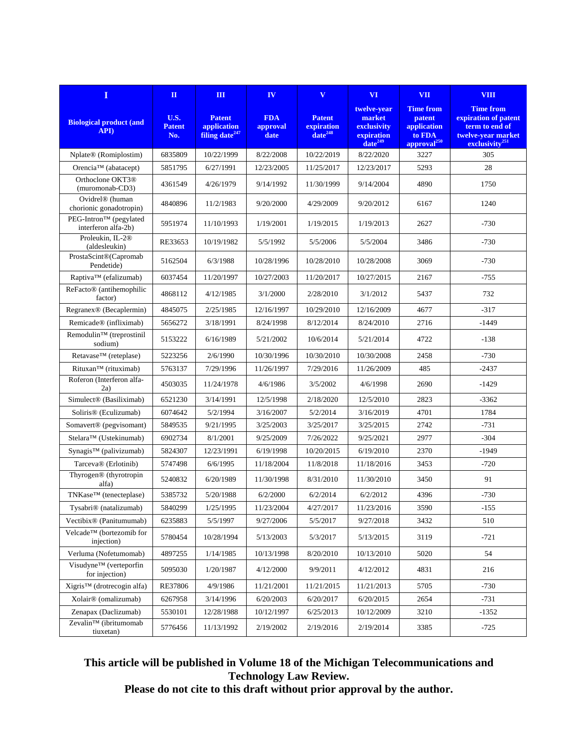| $\bf{I}$                                               | $\mathbf{H}$                 | Ш                                                          | IV                             | $\mathbf{V}$                                | VI <sup></sup>                                                     | <b>VII</b>                                                                     | <b>VIII</b>                                                                                                    |
|--------------------------------------------------------|------------------------------|------------------------------------------------------------|--------------------------------|---------------------------------------------|--------------------------------------------------------------------|--------------------------------------------------------------------------------|----------------------------------------------------------------------------------------------------------------|
| <b>Biological product (and</b><br>API)                 | U.S.<br><b>Patent</b><br>No. | <b>Patent</b><br>application<br>filing date <sup>247</sup> | <b>FDA</b><br>approval<br>date | <b>Patent</b><br>expiration<br>$date^{248}$ | twelve-year<br>market<br>exclusivity<br>expiration<br>$date^{249}$ | <b>Time from</b><br>patent<br>application<br>to FDA<br>approval <sup>250</sup> | <b>Time from</b><br>expiration of patent<br>term to end of<br>twelve-vear market<br>exclusivity <sup>251</sup> |
| Nplate® (Romiplostim)                                  | 6835809                      | 10/22/1999                                                 | 8/22/2008                      | 10/22/2019                                  | 8/22/2020                                                          | 3227                                                                           | 305                                                                                                            |
| Orencia <sup>TM</sup> (abatacept)                      | 5851795                      | 6/27/1991                                                  | 12/23/2005                     | 11/25/2017                                  | 12/23/2017                                                         | 5293                                                                           | 28                                                                                                             |
| Orthoclone OKT3 <sup>®</sup><br>(muromonab-CD3)        | 4361549                      | 4/26/1979                                                  | 9/14/1992                      | 11/30/1999                                  | 9/14/2004                                                          | 4890                                                                           | 1750                                                                                                           |
| Ovidrel <sup>®</sup> (human<br>chorionic gonadotropin) | 4840896                      | 11/2/1983                                                  | 9/20/2000                      | 4/29/2009                                   | 9/20/2012                                                          | 6167                                                                           | 1240                                                                                                           |
| PEG-Intron™ (pegylated<br>interferon alfa-2b)          | 5951974                      | 11/10/1993                                                 | 1/19/2001                      | 1/19/2015                                   | 1/19/2013                                                          | 2627                                                                           | $-730$                                                                                                         |
| Proleukin, IL-2 <sup>®</sup><br>(aldesleukin)          | RE33653                      | 10/19/1982                                                 | 5/5/1992                       | 5/5/2006                                    | 5/5/2004                                                           | 3486                                                                           | $-730$                                                                                                         |
| ProstaScint®(Capromab<br>Pendetide)                    | 5162504                      | 6/3/1988                                                   | 10/28/1996                     | 10/28/2010                                  | 10/28/2008                                                         | 3069                                                                           | $-730$                                                                                                         |
| Raptiva™ (efalizumab)                                  | 6037454                      | 11/20/1997                                                 | 10/27/2003                     | 11/20/2017                                  | 10/27/2015                                                         | 2167                                                                           | $-755$                                                                                                         |
| ReFacto <sup>®</sup> (antihemophilic<br>factor)        | 4868112                      | 4/12/1985                                                  | 3/1/2000                       | 2/28/2010                                   | 3/1/2012                                                           | 5437                                                                           | 732                                                                                                            |
| Regranex <sup>®</sup> (Becaplermin)                    | 4845075                      | 2/25/1985                                                  | 12/16/1997                     | 10/29/2010                                  | 12/16/2009                                                         | 4677                                                                           | $-317$                                                                                                         |
| Remicade® (infliximab)                                 | 5656272                      | 3/18/1991                                                  | 8/24/1998                      | 8/12/2014                                   | 8/24/2010                                                          | 2716                                                                           | $-1449$                                                                                                        |
| Remodulin™ (treprostinil<br>sodium)                    | 5153222                      | 6/16/1989                                                  | 5/21/2002                      | 10/6/2014                                   | 5/21/2014                                                          | 4722                                                                           | $-138$                                                                                                         |
| Retavase™ (reteplase)                                  | 5223256                      | 2/6/1990                                                   | 10/30/1996                     | 10/30/2010                                  | 10/30/2008                                                         | 2458                                                                           | $-730$                                                                                                         |
| Rituxan™ (rituximab)                                   | 5763137                      | 7/29/1996                                                  | 11/26/1997                     | 7/29/2016                                   | 11/26/2009                                                         | 485                                                                            | $-2437$                                                                                                        |
| Roferon (Interferon alfa-<br>2a)                       | 4503035                      | 11/24/1978                                                 | 4/6/1986                       | 3/5/2002                                    | 4/6/1998                                                           | 2690                                                                           | $-1429$                                                                                                        |
| Simulect <sup>®</sup> (Basiliximab)                    | 6521230                      | 3/14/1991                                                  | 12/5/1998                      | 2/18/2020                                   | 12/5/2010                                                          | 2823                                                                           | $-3362$                                                                                                        |
| Soliris <sup>®</sup> (Eculizumab)                      | 6074642                      | 5/2/1994                                                   | 3/16/2007                      | 5/2/2014                                    | 3/16/2019                                                          | 4701                                                                           | 1784                                                                                                           |
| Somavert <sup>®</sup> (pegvisomant)                    | 5849535                      | 9/21/1995                                                  | 3/25/2003                      | 3/25/2017                                   | 3/25/2015                                                          | 2742                                                                           | -731                                                                                                           |
| Stelara™ (Ustekinumab)                                 | 6902734                      | 8/1/2001                                                   | 9/25/2009                      | 7/26/2022                                   | 9/25/2021                                                          | 2977                                                                           | $-304$                                                                                                         |
| Synagis™ (palivizumab)                                 | 5824307                      | 12/23/1991                                                 | 6/19/1998                      | 10/20/2015                                  | 6/19/2010                                                          | 2370                                                                           | $-1949$                                                                                                        |
| Tarceva® (Erlotinib)                                   | 5747498                      | 6/6/1995                                                   | 11/18/2004                     | 11/8/2018                                   | 11/18/2016                                                         | 3453                                                                           | $-720$                                                                                                         |
| Thyrogen® (thyrotropin<br>alfa)                        | 5240832                      | 6/20/1989                                                  | 11/30/1998                     | 8/31/2010                                   | 11/30/2010                                                         | 3450                                                                           | 91                                                                                                             |
| TNKase™ (tenecteplase)                                 | 5385732                      | 5/20/1988                                                  | 6/2/2000                       | 6/2/2014                                    | 6/2/2012                                                           | 4396                                                                           | $-730$                                                                                                         |
| Tysabri® (natalizumab)                                 | 5840299                      | 1/25/1995                                                  | 11/23/2004                     | 4/27/2017                                   | 11/23/2016                                                         | 3590                                                                           | $-155$                                                                                                         |
| Vectibix <sup>®</sup> (Panitumumab)                    | 6235883                      | 5/5/1997                                                   | 9/27/2006                      | 5/5/2017                                    | 9/27/2018                                                          | 3432                                                                           | 510                                                                                                            |
| Velcade™ (bortezomib for<br>injection)                 | 5780454                      | 10/28/1994                                                 | 5/13/2003                      | 5/3/2017                                    | 5/13/2015                                                          | 3119                                                                           | $-721$                                                                                                         |
| Verluma (Nofetumomab)                                  | 4897255                      | 1/14/1985                                                  | 10/13/1998                     | 8/20/2010                                   | 10/13/2010                                                         | 5020                                                                           | 54                                                                                                             |
| Visudyne™ (verteporfin<br>for injection)               | 5095030                      | 1/20/1987                                                  | 4/12/2000                      | 9/9/2011                                    | 4/12/2012                                                          | 4831                                                                           | 216                                                                                                            |
| Xigris™ (drotrecogin alfa)                             | RE37806                      | 4/9/1986                                                   | 11/21/2001                     | 11/21/2015                                  | 11/21/2013                                                         | 5705                                                                           | $-730$                                                                                                         |
| Xolair® (omalizumab)                                   | 6267958                      | 3/14/1996                                                  | 6/20/2003                      | 6/20/2017                                   | 6/20/2015                                                          | 2654                                                                           | $-731$                                                                                                         |
| Zenapax (Daclizumab)                                   | 5530101                      | 12/28/1988                                                 | 10/12/1997                     | 6/25/2013                                   | 10/12/2009                                                         | 3210                                                                           | $-1352$                                                                                                        |
| Zevalin™ (ibritumomab<br>tiuxetan)                     | 5776456                      | 11/13/1992                                                 | 2/19/2002                      | 2/19/2016                                   | 2/19/2014                                                          | 3385                                                                           | $-725$                                                                                                         |